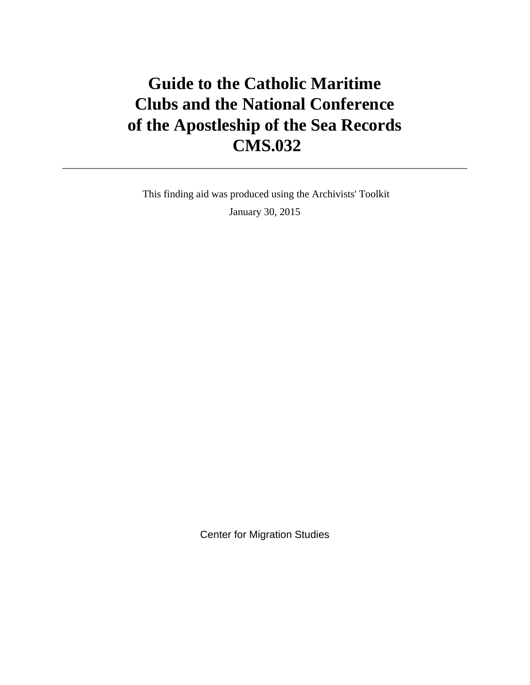# **Guide to the Catholic Maritime Clubs and the National Conference of the Apostleship of the Sea Records CMS.032**

 This finding aid was produced using the Archivists' Toolkit January 30, 2015

Center for Migration Studies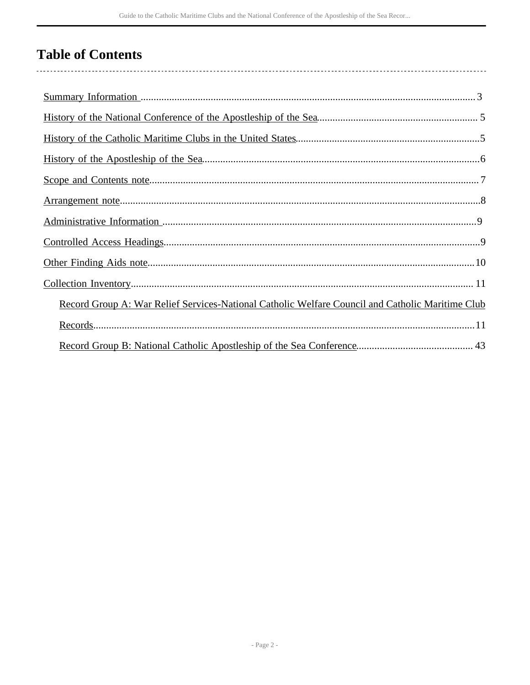# **Table of Contents**

| Record Group A: War Relief Services-National Catholic Welfare Council and Catholic Maritime Club |
|--------------------------------------------------------------------------------------------------|
|                                                                                                  |
|                                                                                                  |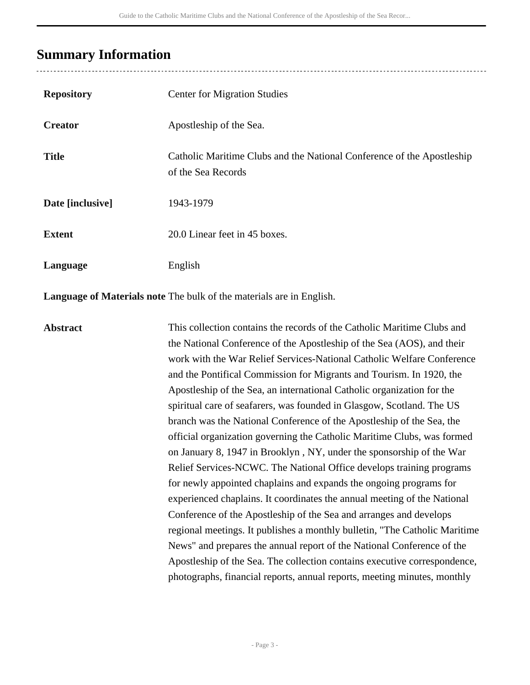# <span id="page-2-0"></span>**Summary Information**

| <b>Repository</b> | <b>Center for Migration Studies</b>                                                          |
|-------------------|----------------------------------------------------------------------------------------------|
| <b>Creator</b>    | Apostleship of the Sea.                                                                      |
| <b>Title</b>      | Catholic Maritime Clubs and the National Conference of the Apostleship<br>of the Sea Records |
| Date [inclusive]  | 1943-1979                                                                                    |
| <b>Extent</b>     | 20.0 Linear feet in 45 boxes.                                                                |
| Language          | English                                                                                      |

**Language of Materials note** The bulk of the materials are in English.

**Abstract** This collection contains the records of the Catholic Maritime Clubs and the National Conference of the Apostleship of the Sea (AOS), and their work with the War Relief Services-National Catholic Welfare Conference and the Pontifical Commission for Migrants and Tourism. In 1920, the Apostleship of the Sea, an international Catholic organization for the spiritual care of seafarers, was founded in Glasgow, Scotland. The US branch was the National Conference of the Apostleship of the Sea, the official organization governing the Catholic Maritime Clubs, was formed on January 8, 1947 in Brooklyn , NY, under the sponsorship of the War Relief Services-NCWC. The National Office develops training programs for newly appointed chaplains and expands the ongoing programs for experienced chaplains. It coordinates the annual meeting of the National Conference of the Apostleship of the Sea and arranges and develops regional meetings. It publishes a monthly bulletin, "The Catholic Maritime News" and prepares the annual report of the National Conference of the Apostleship of the Sea. The collection contains executive correspondence, photographs, financial reports, annual reports, meeting minutes, monthly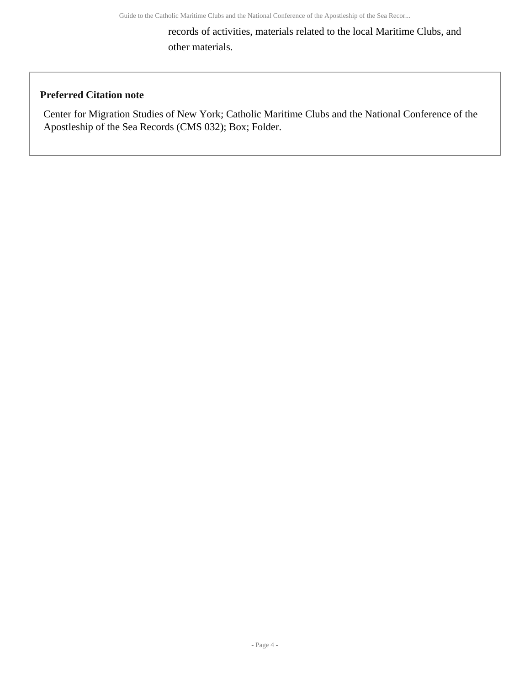records of activities, materials related to the local Maritime Clubs, and other materials.

# **Preferred Citation note**

Center for Migration Studies of New York; Catholic Maritime Clubs and the National Conference of the Apostleship of the Sea Records (CMS 032); Box; Folder.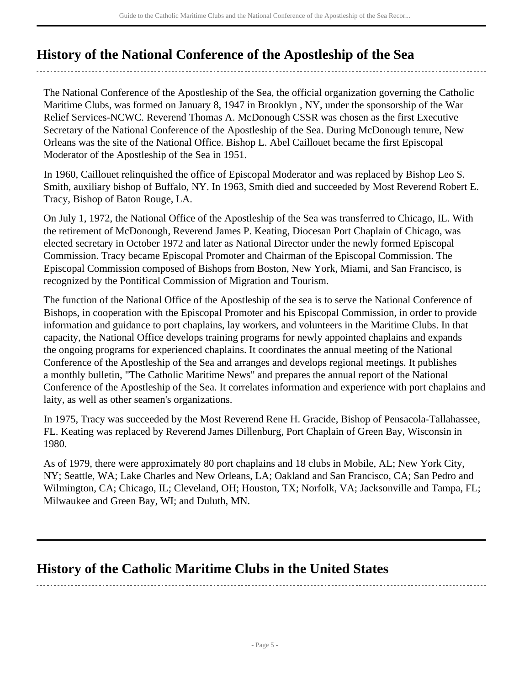# <span id="page-4-0"></span>**History of the National Conference of the Apostleship of the Sea**

The National Conference of the Apostleship of the Sea, the official organization governing the Catholic Maritime Clubs, was formed on January 8, 1947 in Brooklyn , NY, under the sponsorship of the War Relief Services-NCWC. Reverend Thomas A. McDonough CSSR was chosen as the first Executive Secretary of the National Conference of the Apostleship of the Sea. During McDonough tenure, New Orleans was the site of the National Office. Bishop L. Abel Caillouet became the first Episcopal Moderator of the Apostleship of the Sea in 1951.

In 1960, Caillouet relinquished the office of Episcopal Moderator and was replaced by Bishop Leo S. Smith, auxiliary bishop of Buffalo, NY. In 1963, Smith died and succeeded by Most Reverend Robert E. Tracy, Bishop of Baton Rouge, LA.

On July 1, 1972, the National Office of the Apostleship of the Sea was transferred to Chicago, IL. With the retirement of McDonough, Reverend James P. Keating, Diocesan Port Chaplain of Chicago, was elected secretary in October 1972 and later as National Director under the newly formed Episcopal Commission. Tracy became Episcopal Promoter and Chairman of the Episcopal Commission. The Episcopal Commission composed of Bishops from Boston, New York, Miami, and San Francisco, is recognized by the Pontifical Commission of Migration and Tourism.

The function of the National Office of the Apostleship of the sea is to serve the National Conference of Bishops, in cooperation with the Episcopal Promoter and his Episcopal Commission, in order to provide information and guidance to port chaplains, lay workers, and volunteers in the Maritime Clubs. In that capacity, the National Office develops training programs for newly appointed chaplains and expands the ongoing programs for experienced chaplains. It coordinates the annual meeting of the National Conference of the Apostleship of the Sea and arranges and develops regional meetings. It publishes a monthly bulletin, "The Catholic Maritime News" and prepares the annual report of the National Conference of the Apostleship of the Sea. It correlates information and experience with port chaplains and laity, as well as other seamen's organizations.

In 1975, Tracy was succeeded by the Most Reverend Rene H. Gracide, Bishop of Pensacola-Tallahassee, FL. Keating was replaced by Reverend James Dillenburg, Port Chaplain of Green Bay, Wisconsin in 1980.

As of 1979, there were approximately 80 port chaplains and 18 clubs in Mobile, AL; New York City, NY; Seattle, WA; Lake Charles and New Orleans, LA; Oakland and San Francisco, CA; San Pedro and Wilmington, CA; Chicago, IL; Cleveland, OH; Houston, TX; Norfolk, VA; Jacksonville and Tampa, FL; Milwaukee and Green Bay, WI; and Duluth, MN.

# <span id="page-4-1"></span>**History of the Catholic Maritime Clubs in the United States**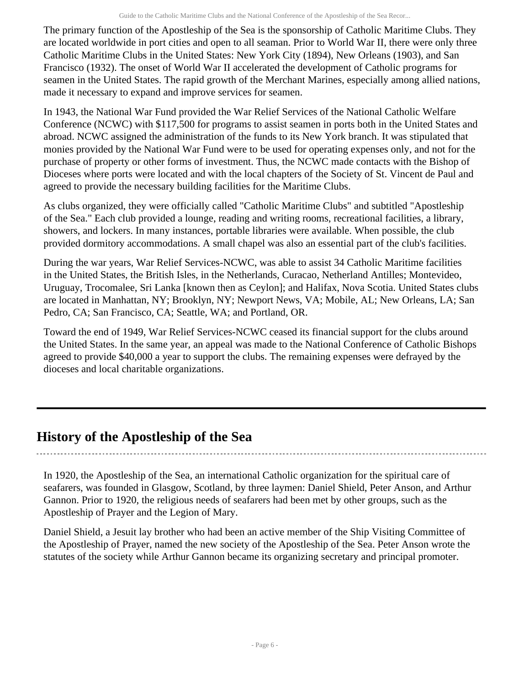The primary function of the Apostleship of the Sea is the sponsorship of Catholic Maritime Clubs. They are located worldwide in port cities and open to all seaman. Prior to World War II, there were only three Catholic Maritime Clubs in the United States: New York City (1894), New Orleans (1903), and San Francisco (1932). The onset of World War II accelerated the development of Catholic programs for seamen in the United States. The rapid growth of the Merchant Marines, especially among allied nations, made it necessary to expand and improve services for seamen.

In 1943, the National War Fund provided the War Relief Services of the National Catholic Welfare Conference (NCWC) with \$117,500 for programs to assist seamen in ports both in the United States and abroad. NCWC assigned the administration of the funds to its New York branch. It was stipulated that monies provided by the National War Fund were to be used for operating expenses only, and not for the purchase of property or other forms of investment. Thus, the NCWC made contacts with the Bishop of Dioceses where ports were located and with the local chapters of the Society of St. Vincent de Paul and agreed to provide the necessary building facilities for the Maritime Clubs.

As clubs organized, they were officially called "Catholic Maritime Clubs" and subtitled "Apostleship of the Sea." Each club provided a lounge, reading and writing rooms, recreational facilities, a library, showers, and lockers. In many instances, portable libraries were available. When possible, the club provided dormitory accommodations. A small chapel was also an essential part of the club's facilities.

During the war years, War Relief Services-NCWC, was able to assist 34 Catholic Maritime facilities in the United States, the British Isles, in the Netherlands, Curacao, Netherland Antilles; Montevideo, Uruguay, Trocomalee, Sri Lanka [known then as Ceylon]; and Halifax, Nova Scotia. United States clubs are located in Manhattan, NY; Brooklyn, NY; Newport News, VA; Mobile, AL; New Orleans, LA; San Pedro, CA; San Francisco, CA; Seattle, WA; and Portland, OR.

Toward the end of 1949, War Relief Services-NCWC ceased its financial support for the clubs around the United States. In the same year, an appeal was made to the National Conference of Catholic Bishops agreed to provide \$40,000 a year to support the clubs. The remaining expenses were defrayed by the dioceses and local charitable organizations.

# <span id="page-5-0"></span>**History of the Apostleship of the Sea**

In 1920, the Apostleship of the Sea, an international Catholic organization for the spiritual care of seafarers, was founded in Glasgow, Scotland, by three laymen: Daniel Shield, Peter Anson, and Arthur Gannon. Prior to 1920, the religious needs of seafarers had been met by other groups, such as the Apostleship of Prayer and the Legion of Mary.

Daniel Shield, a Jesuit lay brother who had been an active member of the Ship Visiting Committee of the Apostleship of Prayer, named the new society of the Apostleship of the Sea. Peter Anson wrote the statutes of the society while Arthur Gannon became its organizing secretary and principal promoter.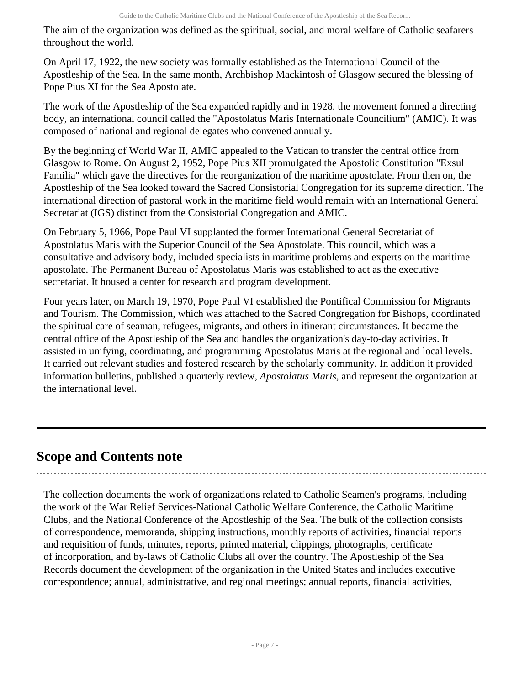The aim of the organization was defined as the spiritual, social, and moral welfare of Catholic seafarers throughout the world.

On April 17, 1922, the new society was formally established as the International Council of the Apostleship of the Sea. In the same month, Archbishop Mackintosh of Glasgow secured the blessing of Pope Pius XI for the Sea Apostolate.

The work of the Apostleship of the Sea expanded rapidly and in 1928, the movement formed a directing body, an international council called the "Apostolatus Maris Internationale Councilium" (AMIC). It was composed of national and regional delegates who convened annually.

By the beginning of World War II, AMIC appealed to the Vatican to transfer the central office from Glasgow to Rome. On August 2, 1952, Pope Pius XII promulgated the Apostolic Constitution "Exsul Familia" which gave the directives for the reorganization of the maritime apostolate. From then on, the Apostleship of the Sea looked toward the Sacred Consistorial Congregation for its supreme direction. The international direction of pastoral work in the maritime field would remain with an International General Secretariat (IGS) distinct from the Consistorial Congregation and AMIC.

On February 5, 1966, Pope Paul VI supplanted the former International General Secretariat of Apostolatus Maris with the Superior Council of the Sea Apostolate. This council, which was a consultative and advisory body, included specialists in maritime problems and experts on the maritime apostolate. The Permanent Bureau of Apostolatus Maris was established to act as the executive secretariat. It housed a center for research and program development.

Four years later, on March 19, 1970, Pope Paul VI established the Pontifical Commission for Migrants and Tourism. The Commission, which was attached to the Sacred Congregation for Bishops, coordinated the spiritual care of seaman, refugees, migrants, and others in itinerant circumstances. It became the central office of the Apostleship of the Sea and handles the organization's day-to-day activities. It assisted in unifying, coordinating, and programming Apostolatus Maris at the regional and local levels. It carried out relevant studies and fostered research by the scholarly community. In addition it provided information bulletins, published a quarterly review, *Apostolatus Maris*, and represent the organization at the international level.

# <span id="page-6-0"></span>**Scope and Contents note**

The collection documents the work of organizations related to Catholic Seamen's programs, including the work of the War Relief Services-National Catholic Welfare Conference, the Catholic Maritime Clubs, and the National Conference of the Apostleship of the Sea. The bulk of the collection consists of correspondence, memoranda, shipping instructions, monthly reports of activities, financial reports and requisition of funds, minutes, reports, printed material, clippings, photographs, certificate of incorporation, and by-laws of Catholic Clubs all over the country. The Apostleship of the Sea Records document the development of the organization in the United States and includes executive correspondence; annual, administrative, and regional meetings; annual reports, financial activities,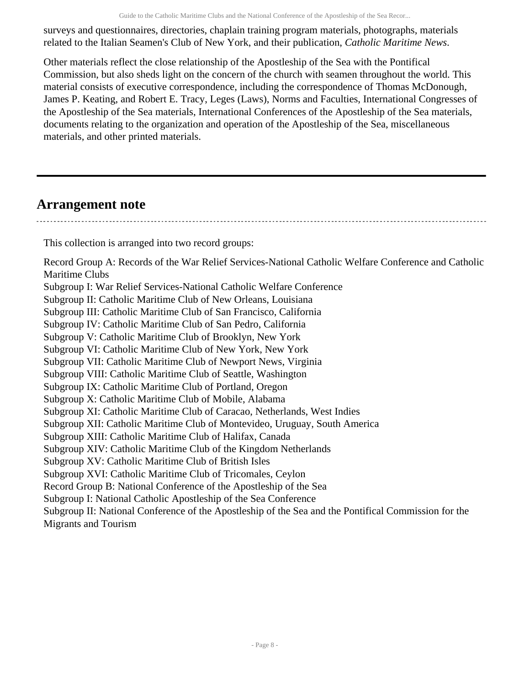surveys and questionnaires, directories, chaplain training program materials, photographs, materials related to the Italian Seamen's Club of New York, and their publication, *Catholic Maritime News*.

Other materials reflect the close relationship of the Apostleship of the Sea with the Pontifical Commission, but also sheds light on the concern of the church with seamen throughout the world. This material consists of executive correspondence, including the correspondence of Thomas McDonough, James P. Keating, and Robert E. Tracy, Leges (Laws), Norms and Faculties, International Congresses of the Apostleship of the Sea materials, International Conferences of the Apostleship of the Sea materials, documents relating to the organization and operation of the Apostleship of the Sea, miscellaneous materials, and other printed materials.

# <span id="page-7-0"></span>**Arrangement note**

This collection is arranged into two record groups:

Record Group A: Records of the War Relief Services-National Catholic Welfare Conference and Catholic Maritime Clubs Subgroup I: War Relief Services-National Catholic Welfare Conference Subgroup II: Catholic Maritime Club of New Orleans, Louisiana Subgroup III: Catholic Maritime Club of San Francisco, California Subgroup IV: Catholic Maritime Club of San Pedro, California Subgroup V: Catholic Maritime Club of Brooklyn, New York Subgroup VI: Catholic Maritime Club of New York, New York Subgroup VII: Catholic Maritime Club of Newport News, Virginia Subgroup VIII: Catholic Maritime Club of Seattle, Washington Subgroup IX: Catholic Maritime Club of Portland, Oregon Subgroup X: Catholic Maritime Club of Mobile, Alabama Subgroup XI: Catholic Maritime Club of Caracao, Netherlands, West Indies Subgroup XII: Catholic Maritime Club of Montevideo, Uruguay, South America Subgroup XIII: Catholic Maritime Club of Halifax, Canada Subgroup XIV: Catholic Maritime Club of the Kingdom Netherlands Subgroup XV: Catholic Maritime Club of British Isles Subgroup XVI: Catholic Maritime Club of Tricomales, Ceylon Record Group B: National Conference of the Apostleship of the Sea Subgroup I: National Catholic Apostleship of the Sea Conference Subgroup II: National Conference of the Apostleship of the Sea and the Pontifical Commission for the Migrants and Tourism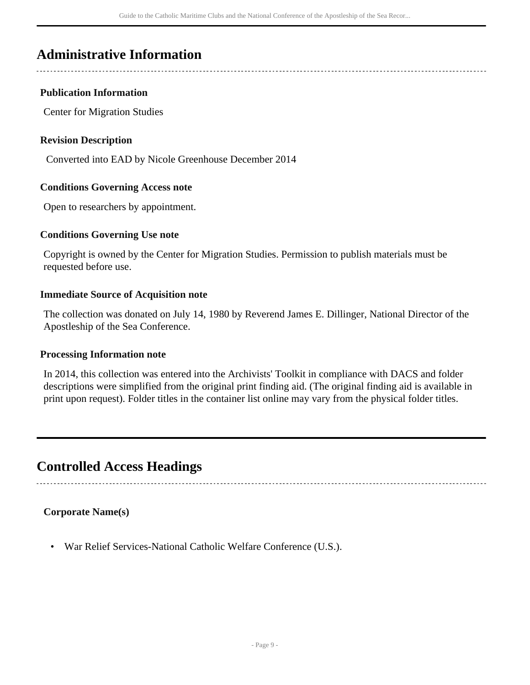# <span id="page-8-0"></span>**Administrative Information**

# **Publication Information**

Center for Migration Studies

# **Revision Description**

Converted into EAD by Nicole Greenhouse December 2014

# **Conditions Governing Access note**

Open to researchers by appointment.

# **Conditions Governing Use note**

Copyright is owned by the Center for Migration Studies. Permission to publish materials must be requested before use.

#### **Immediate Source of Acquisition note**

The collection was donated on July 14, 1980 by Reverend James E. Dillinger, National Director of the Apostleship of the Sea Conference.

# **Processing Information note**

In 2014, this collection was entered into the Archivists' Toolkit in compliance with DACS and folder descriptions were simplified from the original print finding aid. (The original finding aid is available in print upon request). Folder titles in the container list online may vary from the physical folder titles.

# <span id="page-8-1"></span>**Controlled Access Headings**

# **Corporate Name(s)**

• War Relief Services-National Catholic Welfare Conference (U.S.).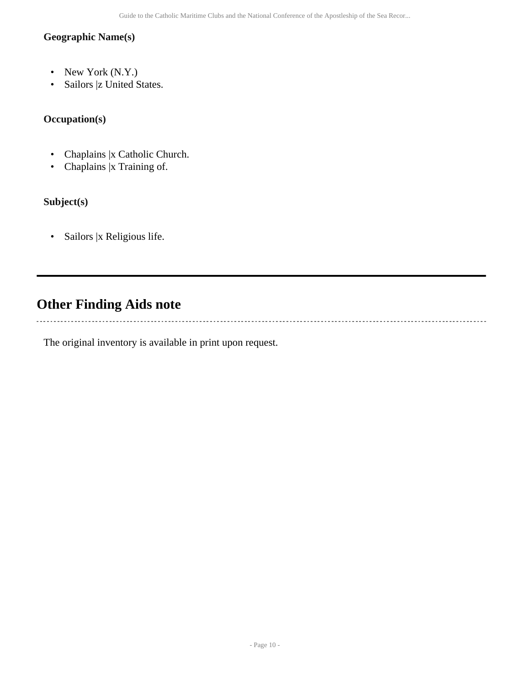# **Geographic Name(s)**

- New York (N.Y.)
- Sailors |z United States.

# **Occupation(s)**

- Chaplains |x Catholic Church.
- Chaplains |x Training of.

# **Subject(s)**

• Sailors |x Religious life.

# <span id="page-9-0"></span>**Other Finding Aids note**

 $\frac{1}{2}$ 

The original inventory is available in print upon request.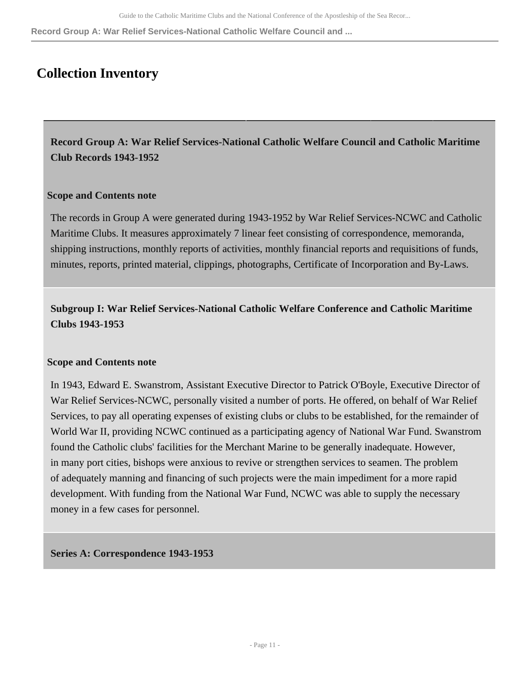**Record Group A: War Relief Services-National Catholic Welfare Council and ...**

# <span id="page-10-0"></span>**Collection Inventory**

<span id="page-10-1"></span>**Record Group A: War Relief Services-National Catholic Welfare Council and Catholic Maritime Club Records 1943-1952** 

# **Scope and Contents note**

The records in Group A were generated during 1943-1952 by War Relief Services-NCWC and Catholic Maritime Clubs. It measures approximately 7 linear feet consisting of correspondence, memoranda, shipping instructions, monthly reports of activities, monthly financial reports and requisitions of funds, minutes, reports, printed material, clippings, photographs, Certificate of Incorporation and By-Laws.

**Subgroup I: War Relief Services-National Catholic Welfare Conference and Catholic Maritime Clubs 1943-1953** 

# **Scope and Contents note**

In 1943, Edward E. Swanstrom, Assistant Executive Director to Patrick O'Boyle, Executive Director of War Relief Services-NCWC, personally visited a number of ports. He offered, on behalf of War Relief Services, to pay all operating expenses of existing clubs or clubs to be established, for the remainder of World War II, providing NCWC continued as a participating agency of National War Fund. Swanstrom found the Catholic clubs' facilities for the Merchant Marine to be generally inadequate. However, in many port cities, bishops were anxious to revive or strengthen services to seamen. The problem of adequately manning and financing of such projects were the main impediment for a more rapid development. With funding from the National War Fund, NCWC was able to supply the necessary money in a few cases for personnel.

# **Series A: Correspondence 1943-1953**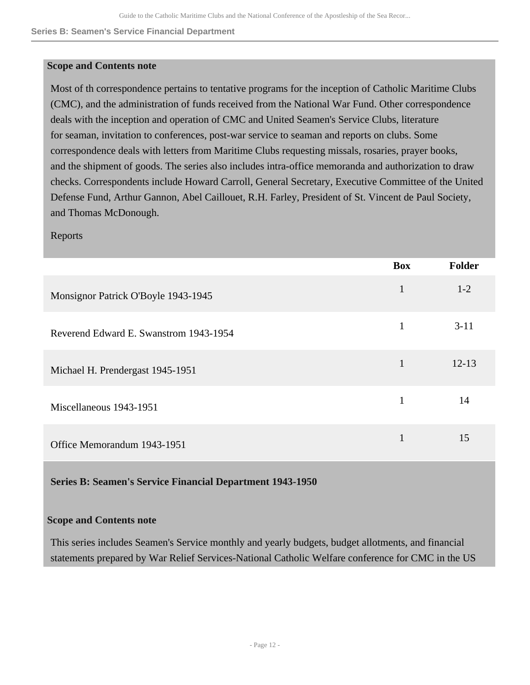**Series B: Seamen's Service Financial Department**

#### **Scope and Contents note**

Most of th correspondence pertains to tentative programs for the inception of Catholic Maritime Clubs (CMC), and the administration of funds received from the National War Fund. Other correspondence deals with the inception and operation of CMC and United Seamen's Service Clubs, literature for seaman, invitation to conferences, post-war service to seaman and reports on clubs. Some correspondence deals with letters from Maritime Clubs requesting missals, rosaries, prayer books, and the shipment of goods. The series also includes intra-office memoranda and authorization to draw checks. Correspondents include Howard Carroll, General Secretary, Executive Committee of the United Defense Fund, Arthur Gannon, Abel Caillouet, R.H. Farley, President of St. Vincent de Paul Society, and Thomas McDonough.

#### Reports

|                                        | <b>Box</b>   | <b>Folder</b> |
|----------------------------------------|--------------|---------------|
| Monsignor Patrick O'Boyle 1943-1945    | $\mathbf{1}$ | $1-2$         |
| Reverend Edward E. Swanstrom 1943-1954 | $\mathbf{1}$ | $3 - 11$      |
| Michael H. Prendergast 1945-1951       | 1            | $12 - 13$     |
| Miscellaneous 1943-1951                | 1            | 14            |
| Office Memorandum 1943-1951            | 1            | 15            |

# **Series B: Seamen's Service Financial Department 1943-1950**

# **Scope and Contents note**

This series includes Seamen's Service monthly and yearly budgets, budget allotments, and financial statements prepared by War Relief Services-National Catholic Welfare conference for CMC in the US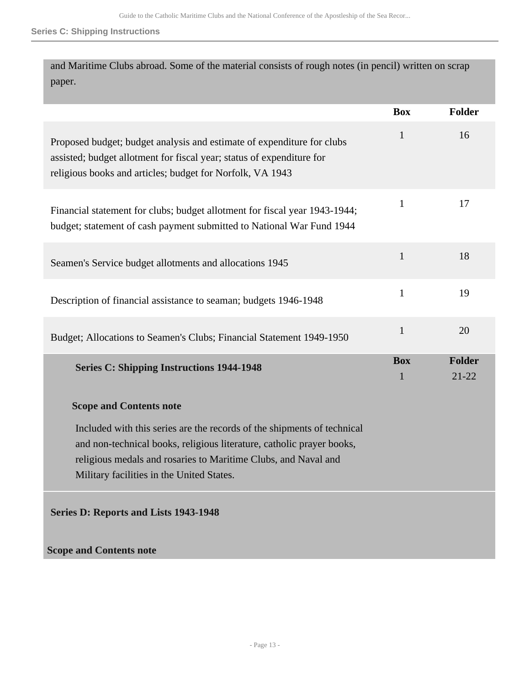#### **Series C: Shipping Instructions**

and Maritime Clubs abroad. Some of the material consists of rough notes (in pencil) written on scrap paper.

|                                                                                                                                                                                                                                                                 | <b>Box</b>      | Folder              |
|-----------------------------------------------------------------------------------------------------------------------------------------------------------------------------------------------------------------------------------------------------------------|-----------------|---------------------|
| Proposed budget; budget analysis and estimate of expenditure for clubs<br>assisted; budget allotment for fiscal year; status of expenditure for<br>religious books and articles; budget for Norfolk, VA 1943                                                    | 1               | 16                  |
| Financial statement for clubs; budget allotment for fiscal year 1943-1944;<br>budget; statement of cash payment submitted to National War Fund 1944                                                                                                             | $\mathbf{1}$    | 17                  |
| Seamen's Service budget allotments and allocations 1945                                                                                                                                                                                                         | $\mathbf{1}$    | 18                  |
| Description of financial assistance to seaman; budgets 1946-1948                                                                                                                                                                                                | $\mathbf{1}$    | 19                  |
| Budget; Allocations to Seamen's Clubs; Financial Statement 1949-1950                                                                                                                                                                                            | $\mathbf{1}$    | 20                  |
| <b>Series C: Shipping Instructions 1944-1948</b>                                                                                                                                                                                                                | <b>Box</b><br>1 | Folder<br>$21 - 22$ |
| <b>Scope and Contents note</b>                                                                                                                                                                                                                                  |                 |                     |
| Included with this series are the records of the shipments of technical<br>and non-technical books, religious literature, catholic prayer books,<br>religious medals and rosaries to Maritime Clubs, and Naval and<br>Military facilities in the United States. |                 |                     |
| Series D: Reports and Lists 1943-1948                                                                                                                                                                                                                           |                 |                     |
| <b>Scope and Contents note</b>                                                                                                                                                                                                                                  |                 |                     |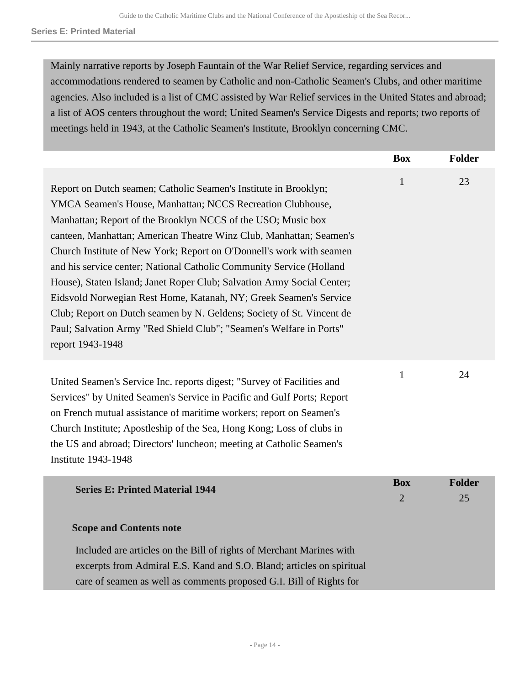Mainly narrative reports by Joseph Fauntain of the War Relief Service, regarding services and accommodations rendered to seamen by Catholic and non-Catholic Seamen's Clubs, and other maritime agencies. Also included is a list of CMC assisted by War Relief services in the United States and abroad; a list of AOS centers throughout the word; United Seamen's Service Digests and reports; two reports of meetings held in 1943, at the Catholic Seamen's Institute, Brooklyn concerning CMC.

|                                                                                                                                                                                                                                                                                                                                                                                                                                                                                                                                                                                                                                                                                                                                          | <b>Box</b>                   | <b>Folder</b>       |
|------------------------------------------------------------------------------------------------------------------------------------------------------------------------------------------------------------------------------------------------------------------------------------------------------------------------------------------------------------------------------------------------------------------------------------------------------------------------------------------------------------------------------------------------------------------------------------------------------------------------------------------------------------------------------------------------------------------------------------------|------------------------------|---------------------|
| Report on Dutch seamen; Catholic Seamen's Institute in Brooklyn;<br>YMCA Seamen's House, Manhattan; NCCS Recreation Clubhouse,<br>Manhattan; Report of the Brooklyn NCCS of the USO; Music box<br>canteen, Manhattan; American Theatre Winz Club, Manhattan; Seamen's<br>Church Institute of New York; Report on O'Donnell's work with seamen<br>and his service center; National Catholic Community Service (Holland<br>House), Staten Island; Janet Roper Club; Salvation Army Social Center;<br>Eidsvold Norwegian Rest Home, Katanah, NY; Greek Seamen's Service<br>Club; Report on Dutch seamen by N. Geldens; Society of St. Vincent de<br>Paul; Salvation Army "Red Shield Club"; "Seamen's Welfare in Ports"<br>report 1943-1948 | $\mathbf{1}$                 | 23                  |
| United Seamen's Service Inc. reports digest; "Survey of Facilities and<br>Services" by United Seamen's Service in Pacific and Gulf Ports; Report<br>on French mutual assistance of maritime workers; report on Seamen's<br>Church Institute; Apostleship of the Sea, Hong Kong; Loss of clubs in<br>the US and abroad; Directors' luncheon; meeting at Catholic Seamen's<br><b>Institute 1943-1948</b>                                                                                                                                                                                                                                                                                                                                   | $\mathbf{1}$                 | 24                  |
| <b>Series E: Printed Material 1944</b>                                                                                                                                                                                                                                                                                                                                                                                                                                                                                                                                                                                                                                                                                                   | <b>Box</b><br>$\overline{2}$ | <b>Folder</b><br>25 |
| <b>Scope and Contents note</b><br>Included are articles on the Bill of rights of Merchant Marines with<br>excerpts from Admiral E.S. Kand and S.O. Bland; articles on spiritual<br>care of seamen as well as comments proposed G.I. Bill of Rights for                                                                                                                                                                                                                                                                                                                                                                                                                                                                                   |                              |                     |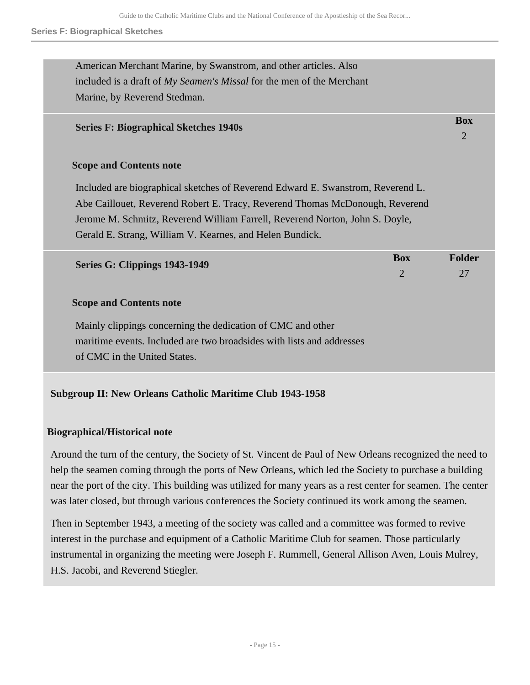| American Merchant Marine, by Swanstrom, and other articles. Also                |                |                |
|---------------------------------------------------------------------------------|----------------|----------------|
| included is a draft of My Seamen's Missal for the men of the Merchant           |                |                |
| Marine, by Reverend Stedman.                                                    |                |                |
| <b>Series F: Biographical Sketches 1940s</b>                                    |                | <b>Box</b>     |
|                                                                                 |                | $\overline{2}$ |
| <b>Scope and Contents note</b>                                                  |                |                |
| Included are biographical sketches of Reverend Edward E. Swanstrom, Reverend L. |                |                |
| Abe Caillouet, Reverend Robert E. Tracy, Reverend Thomas McDonough, Reverend    |                |                |
| Jerome M. Schmitz, Reverend William Farrell, Reverend Norton, John S. Doyle,    |                |                |
| Gerald E. Strang, William V. Kearnes, and Helen Bundick.                        |                |                |
|                                                                                 | <b>Box</b>     | <b>Folder</b>  |
| Series G: Clippings 1943-1949                                                   | $\overline{2}$ | 27             |
| <b>Scope and Contents note</b>                                                  |                |                |
| Mainly clippings concerning the dedication of CMC and other                     |                |                |
| maritime events. Included are two broadsides with lists and addresses           |                |                |
| of CMC in the United States.                                                    |                |                |
|                                                                                 |                |                |

# **Subgroup II: New Orleans Catholic Maritime Club 1943-1958**

# **Biographical/Historical note**

Around the turn of the century, the Society of St. Vincent de Paul of New Orleans recognized the need to help the seamen coming through the ports of New Orleans, which led the Society to purchase a building near the port of the city. This building was utilized for many years as a rest center for seamen. The center was later closed, but through various conferences the Society continued its work among the seamen.

Then in September 1943, a meeting of the society was called and a committee was formed to revive interest in the purchase and equipment of a Catholic Maritime Club for seamen. Those particularly instrumental in organizing the meeting were Joseph F. Rummell, General Allison Aven, Louis Mulrey, H.S. Jacobi, and Reverend Stiegler.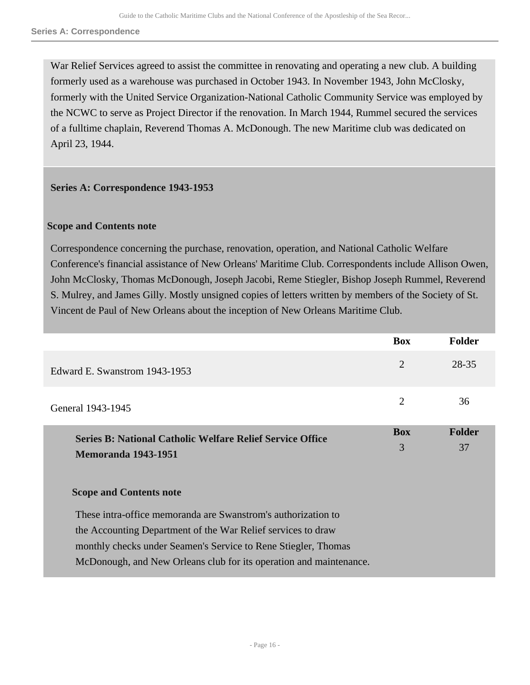War Relief Services agreed to assist the committee in renovating and operating a new club. A building formerly used as a warehouse was purchased in October 1943. In November 1943, John McClosky, formerly with the United Service Organization-National Catholic Community Service was employed by the NCWC to serve as Project Director if the renovation. In March 1944, Rummel secured the services of a fulltime chaplain, Reverend Thomas A. McDonough. The new Maritime club was dedicated on April 23, 1944.

# **Series A: Correspondence 1943-1953**

# **Scope and Contents note**

Correspondence concerning the purchase, renovation, operation, and National Catholic Welfare Conference's financial assistance of New Orleans' Maritime Club. Correspondents include Allison Owen, John McClosky, Thomas McDonough, Joseph Jacobi, Reme Stiegler, Bishop Joseph Rummel, Reverend S. Mulrey, and James Gilly. Mostly unsigned copies of letters written by members of the Society of St. Vincent de Paul of New Orleans about the inception of New Orleans Maritime Club.

|                                                                                                | <b>Box</b>      | <b>Folder</b>       |
|------------------------------------------------------------------------------------------------|-----------------|---------------------|
| Edward E. Swanstrom 1943-1953                                                                  | $\overline{2}$  | 28-35               |
| General 1943-1945                                                                              | 2               | 36                  |
| <b>Series B: National Catholic Welfare Relief Service Office</b><br><b>Memoranda 1943-1951</b> | <b>Box</b><br>3 | <b>Folder</b><br>37 |
| <b>Scope and Contents note</b>                                                                 |                 |                     |
| These intra-office memoranda are Swanstrom's authorization to                                  |                 |                     |
| the Accounting Department of the War Relief services to draw                                   |                 |                     |
| monthly checks under Seamen's Service to Rene Stiegler, Thomas                                 |                 |                     |
| McDonough, and New Orleans club for its operation and maintenance.                             |                 |                     |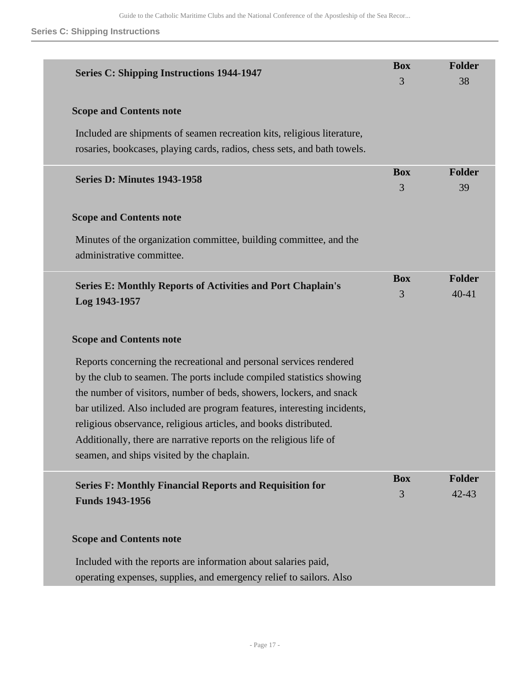# **Series C: Shipping Instructions**

| <b>Series C: Shipping Instructions 1944-1947</b>                                                                                                                                                                                                                                                                                                                                                                                                                                      | <b>Box</b><br>3 | <b>Folder</b><br>38        |
|---------------------------------------------------------------------------------------------------------------------------------------------------------------------------------------------------------------------------------------------------------------------------------------------------------------------------------------------------------------------------------------------------------------------------------------------------------------------------------------|-----------------|----------------------------|
| <b>Scope and Contents note</b>                                                                                                                                                                                                                                                                                                                                                                                                                                                        |                 |                            |
| Included are shipments of seamen recreation kits, religious literature,<br>rosaries, bookcases, playing cards, radios, chess sets, and bath towels.                                                                                                                                                                                                                                                                                                                                   |                 |                            |
| <b>Series D: Minutes 1943-1958</b>                                                                                                                                                                                                                                                                                                                                                                                                                                                    | <b>Box</b><br>3 | <b>Folder</b><br>39        |
| <b>Scope and Contents note</b>                                                                                                                                                                                                                                                                                                                                                                                                                                                        |                 |                            |
| Minutes of the organization committee, building committee, and the<br>administrative committee.                                                                                                                                                                                                                                                                                                                                                                                       |                 |                            |
| <b>Series E: Monthly Reports of Activities and Port Chaplain's</b><br>Log 1943-1957                                                                                                                                                                                                                                                                                                                                                                                                   | <b>Box</b><br>3 | <b>Folder</b><br>40-41     |
| <b>Scope and Contents note</b>                                                                                                                                                                                                                                                                                                                                                                                                                                                        |                 |                            |
| Reports concerning the recreational and personal services rendered<br>by the club to seamen. The ports include compiled statistics showing<br>the number of visitors, number of beds, showers, lockers, and snack<br>bar utilized. Also included are program features, interesting incidents,<br>religious observance, religious articles, and books distributed.<br>Additionally, there are narrative reports on the religious life of<br>seamen, and ships visited by the chaplain. |                 |                            |
| <b>Series F: Monthly Financial Reports and Requisition for</b><br><b>Funds 1943-1956</b>                                                                                                                                                                                                                                                                                                                                                                                              | <b>Box</b><br>3 | <b>Folder</b><br>$42 - 43$ |
| <b>Scope and Contents note</b>                                                                                                                                                                                                                                                                                                                                                                                                                                                        |                 |                            |
| Included with the reports are information about salaries paid,<br>operating expenses, supplies, and emergency relief to sailors. Also                                                                                                                                                                                                                                                                                                                                                 |                 |                            |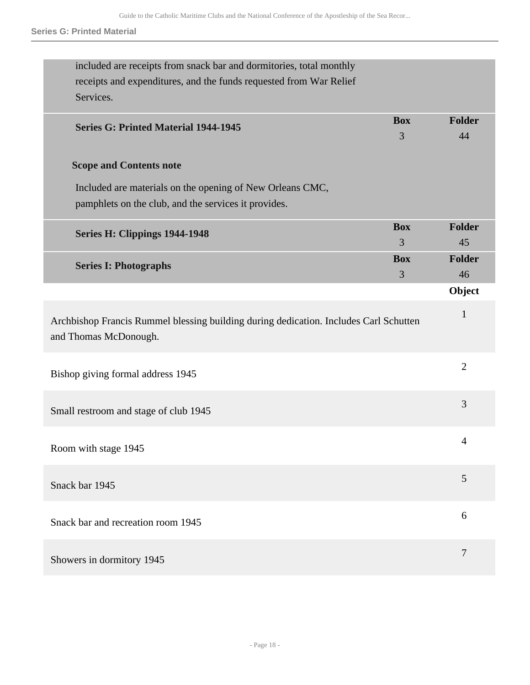#### **Series G: Printed Material**

| included are receipts from snack bar and dormitories, total monthly<br>receipts and expenditures, and the funds requested from War Relief<br>Services. |            |                |
|--------------------------------------------------------------------------------------------------------------------------------------------------------|------------|----------------|
| <b>Series G: Printed Material 1944-1945</b>                                                                                                            | <b>Box</b> | <b>Folder</b>  |
|                                                                                                                                                        | 3          | 44             |
| <b>Scope and Contents note</b>                                                                                                                         |            |                |
| Included are materials on the opening of New Orleans CMC,                                                                                              |            |                |
| pamphlets on the club, and the services it provides.                                                                                                   |            |                |
|                                                                                                                                                        | <b>Box</b> | <b>Folder</b>  |
| Series H: Clippings 1944-1948                                                                                                                          | 3          | 45             |
|                                                                                                                                                        | <b>Box</b> | <b>Folder</b>  |
| <b>Series I: Photographs</b>                                                                                                                           | 3          | 46             |
|                                                                                                                                                        |            | Object         |
| Archbishop Francis Rummel blessing building during dedication. Includes Carl Schutten<br>and Thomas McDonough.                                         |            | $\mathbf{1}$   |
| Bishop giving formal address 1945                                                                                                                      |            | $\overline{2}$ |
| Small restroom and stage of club 1945                                                                                                                  |            | 3              |
| Room with stage 1945                                                                                                                                   |            | $\Lambda$      |
| Snack bar 1945                                                                                                                                         |            | 5              |
| Snack bar and recreation room 1945                                                                                                                     |            | 6              |
| Showers in dormitory 1945                                                                                                                              |            | 7              |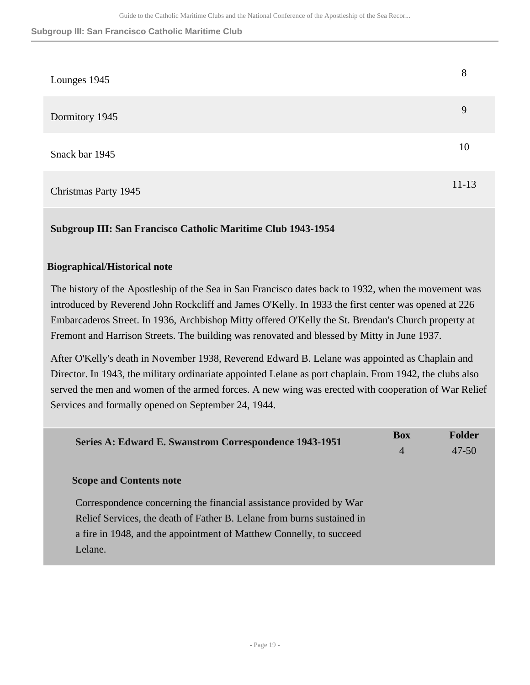#### **Subgroup III: San Francisco Catholic Maritime Club**

| Lounges 1945         | 8         |
|----------------------|-----------|
| Dormitory 1945       | 9         |
| Snack bar 1945       | 10        |
| Christmas Party 1945 | $11 - 13$ |

# **Subgroup III: San Francisco Catholic Maritime Club 1943-1954**

# **Biographical/Historical note**

The history of the Apostleship of the Sea in San Francisco dates back to 1932, when the movement was introduced by Reverend John Rockcliff and James O'Kelly. In 1933 the first center was opened at 226 Embarcaderos Street. In 1936, Archbishop Mitty offered O'Kelly the St. Brendan's Church property at Fremont and Harrison Streets. The building was renovated and blessed by Mitty in June 1937.

After O'Kelly's death in November 1938, Reverend Edward B. Lelane was appointed as Chaplain and Director. In 1943, the military ordinariate appointed Lelane as port chaplain. From 1942, the clubs also served the men and women of the armed forces. A new wing was erected with cooperation of War Relief Services and formally opened on September 24, 1944.

| <b>Box</b><br>$\overline{4}$ | <b>Folder</b><br>$47 - 50$ |
|------------------------------|----------------------------|
|                              |                            |
|                              |                            |
|                              |                            |
|                              |                            |
|                              |                            |
|                              |                            |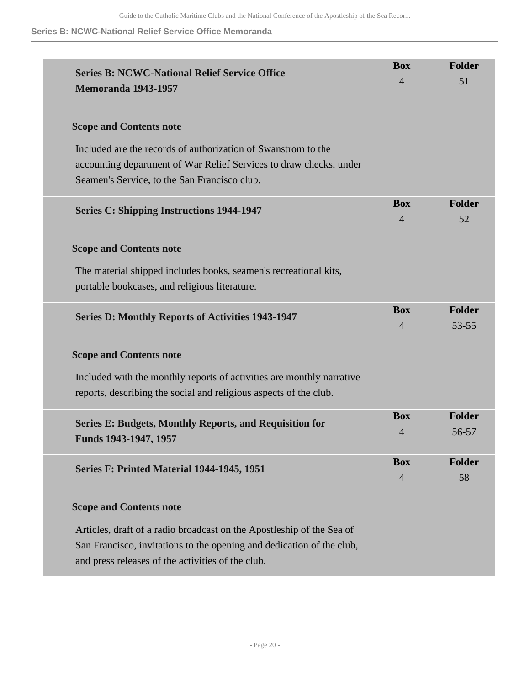# **Series B: NCWC-National Relief Service Office Memoranda**

| <b>Series B: NCWC-National Relief Service Office</b><br><b>Memoranda 1943-1957</b>                                                                                                                  | <b>Box</b><br>$\overline{4}$ | <b>Folder</b><br>51        |
|-----------------------------------------------------------------------------------------------------------------------------------------------------------------------------------------------------|------------------------------|----------------------------|
| <b>Scope and Contents note</b>                                                                                                                                                                      |                              |                            |
| Included are the records of authorization of Swanstrom to the<br>accounting department of War Relief Services to draw checks, under<br>Seamen's Service, to the San Francisco club.                 |                              |                            |
| <b>Series C: Shipping Instructions 1944-1947</b>                                                                                                                                                    | <b>Box</b><br>$\overline{4}$ | <b>Folder</b><br>52        |
| <b>Scope and Contents note</b>                                                                                                                                                                      |                              |                            |
| The material shipped includes books, seamen's recreational kits,<br>portable bookcases, and religious literature.                                                                                   |                              |                            |
| <b>Series D: Monthly Reports of Activities 1943-1947</b>                                                                                                                                            | <b>Box</b><br>$\overline{4}$ | <b>Folder</b><br>$53 - 55$ |
| <b>Scope and Contents note</b>                                                                                                                                                                      |                              |                            |
| Included with the monthly reports of activities are monthly narrative<br>reports, describing the social and religious aspects of the club.                                                          |                              |                            |
| <b>Series E: Budgets, Monthly Reports, and Requisition for</b><br>Funds 1943-1947, 1957                                                                                                             | <b>Box</b><br>$\overline{4}$ | <b>Folder</b><br>56-57     |
| Series F: Printed Material 1944-1945, 1951                                                                                                                                                          | <b>Box</b><br>$\overline{4}$ | <b>Folder</b><br>58        |
| <b>Scope and Contents note</b>                                                                                                                                                                      |                              |                            |
| Articles, draft of a radio broadcast on the Apostleship of the Sea of<br>San Francisco, invitations to the opening and dedication of the club,<br>and press releases of the activities of the club. |                              |                            |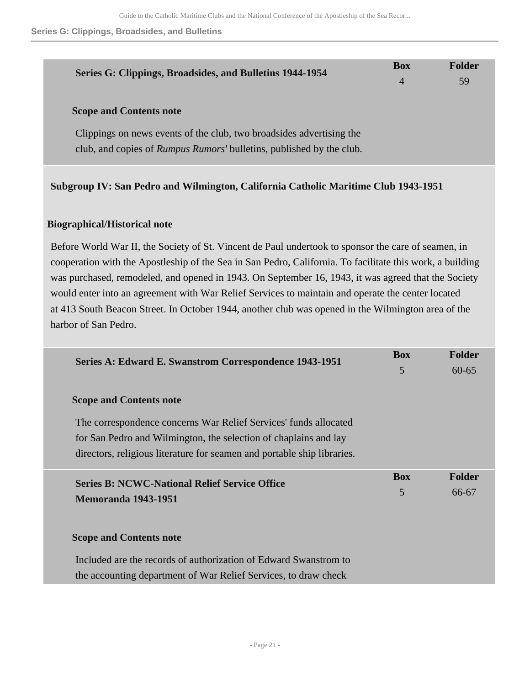**Series G: Clippings, Broadsides, and Bulletins**

| Series G: Clippings, Broadsides, and Bulletins 1944-1954                                                                                                                              | <b>Box</b> | Folder |
|---------------------------------------------------------------------------------------------------------------------------------------------------------------------------------------|------------|--------|
|                                                                                                                                                                                       | 4          | 59     |
| <b>Scope and Contents note</b><br>Clippings on news events of the club, two broadsides advertising the<br>club, and copies of <i>Rumpus Rumors'</i> bulletins, published by the club. |            |        |

# **Subgroup IV: San Pedro and Wilmington, California Catholic Maritime Club 1943-1951**

# **Biographical/Historical note**

Before World War II, the Society of St. Vincent de Paul undertook to sponsor the care of seamen, in cooperation with the Apostleship of the Sea in San Pedro, California. To facilitate this work, a building was purchased, remodeled, and opened in 1943. On September 16, 1943, it was agreed that the Society would enter into an agreement with War Relief Services to maintain and operate the center located at 413 South Beacon Street. In October 1944, another club was opened in the Wilmington area of the harbor of San Pedro.

| Series A: Edward E. Swanstrom Correspondence 1943-1951                  | <b>Box</b> | <b>Folder</b> |
|-------------------------------------------------------------------------|------------|---------------|
|                                                                         | 5          | $60 - 65$     |
| <b>Scope and Contents note</b>                                          |            |               |
| The correspondence concerns War Relief Services' funds allocated        |            |               |
| for San Pedro and Wilmington, the selection of chaplains and lay        |            |               |
| directors, religious literature for seamen and portable ship libraries. |            |               |
| <b>Series B: NCWC-National Relief Service Office</b>                    | <b>Box</b> | <b>Folder</b> |
| <b>Memoranda 1943-1951</b>                                              | 5          | 66-67         |
|                                                                         |            |               |
| <b>Scope and Contents note</b>                                          |            |               |
| Included are the records of authorization of Edward Swanstrom to        |            |               |
| the accounting department of War Relief Services, to draw check         |            |               |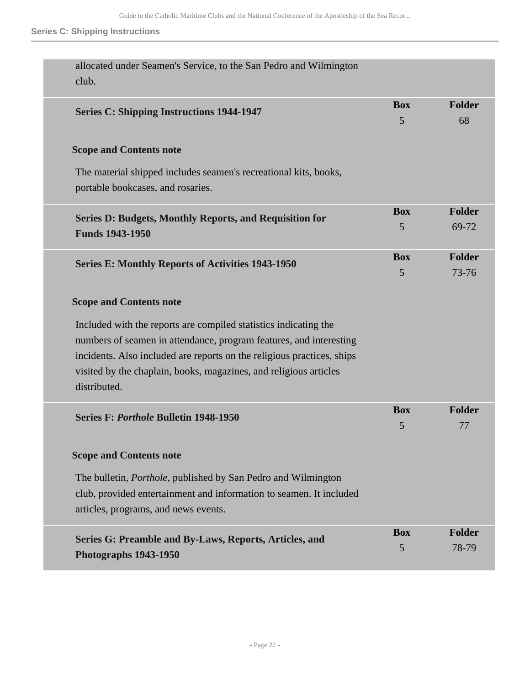# **Series C: Shipping Instructions**

| allocated under Seamen's Service, to the San Pedro and Wilmington<br>club.                                  |                 |                     |
|-------------------------------------------------------------------------------------------------------------|-----------------|---------------------|
| <b>Series C: Shipping Instructions 1944-1947</b>                                                            | <b>Box</b><br>5 | <b>Folder</b><br>68 |
| <b>Scope and Contents note</b>                                                                              |                 |                     |
| The material shipped includes seamen's recreational kits, books,<br>portable bookcases, and rosaries.       |                 |                     |
| <b>Series D: Budgets, Monthly Reports, and Requisition for</b>                                              | <b>Box</b>      | <b>Folder</b>       |
| <b>Funds 1943-1950</b>                                                                                      | 5               | 69-72               |
|                                                                                                             | <b>Box</b>      | <b>Folder</b>       |
| <b>Series E: Monthly Reports of Activities 1943-1950</b>                                                    | 5               | 73-76               |
| <b>Scope and Contents note</b>                                                                              |                 |                     |
| Included with the reports are compiled statistics indicating the                                            |                 |                     |
| numbers of seamen in attendance, program features, and interesting                                          |                 |                     |
| incidents. Also included are reports on the religious practices, ships                                      |                 |                     |
| visited by the chaplain, books, magazines, and religious articles                                           |                 |                     |
| distributed.                                                                                                |                 |                     |
| Series F: Porthole Bulletin 1948-1950                                                                       | <b>Box</b>      | <b>Folder</b>       |
|                                                                                                             | 5               | 77                  |
| <b>Scope and Contents note</b>                                                                              |                 |                     |
| The bulletin, <i>Porthole</i> , published by San Pedro and Wilmington                                       |                 |                     |
| club, provided entertainment and information to seamen. It included<br>articles, programs, and news events. |                 |                     |
|                                                                                                             | <b>Box</b>      | <b>Folder</b>       |
| Series G: Preamble and By-Laws, Reports, Articles, and<br><b>Photographs 1943-1950</b>                      | 5               | 78-79               |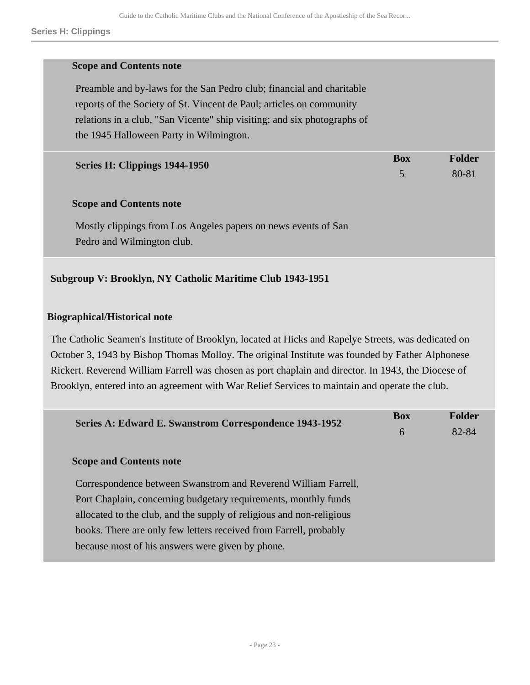#### **Scope and Contents note**

Preamble and by-laws for the San Pedro club; financial and charitable reports of the Society of St. Vincent de Paul; articles on community relations in a club, "San Vicente" ship visiting; and six photographs of the 1945 Halloween Party in Wilmington.

| Series H: Clippings 1944-1950 | Box | <b>Folder</b> |
|-------------------------------|-----|---------------|
|                               |     | 80-81         |

#### **Scope and Contents note**

Mostly clippings from Los Angeles papers on news events of San Pedro and Wilmington club.

# **Subgroup V: Brooklyn, NY Catholic Maritime Club 1943-1951**

# **Biographical/Historical note**

The Catholic Seamen's Institute of Brooklyn, located at Hicks and Rapelye Streets, was dedicated on October 3, 1943 by Bishop Thomas Molloy. The original Institute was founded by Father Alphonese Rickert. Reverend William Farrell was chosen as port chaplain and director. In 1943, the Diocese of Brooklyn, entered into an agreement with War Relief Services to maintain and operate the club.

| Series A: Edward E. Swanstrom Correspondence 1943-1952               | <b>Box</b> | <b>Folder</b> |  |
|----------------------------------------------------------------------|------------|---------------|--|
|                                                                      | 6          | 82-84         |  |
| <b>Scope and Contents note</b>                                       |            |               |  |
| Correspondence between Swanstrom and Reverend William Farrell,       |            |               |  |
| Port Chaplain, concerning budgetary requirements, monthly funds      |            |               |  |
| allocated to the club, and the supply of religious and non-religious |            |               |  |
| books. There are only few letters received from Farrell, probably    |            |               |  |
| because most of his answers were given by phone.                     |            |               |  |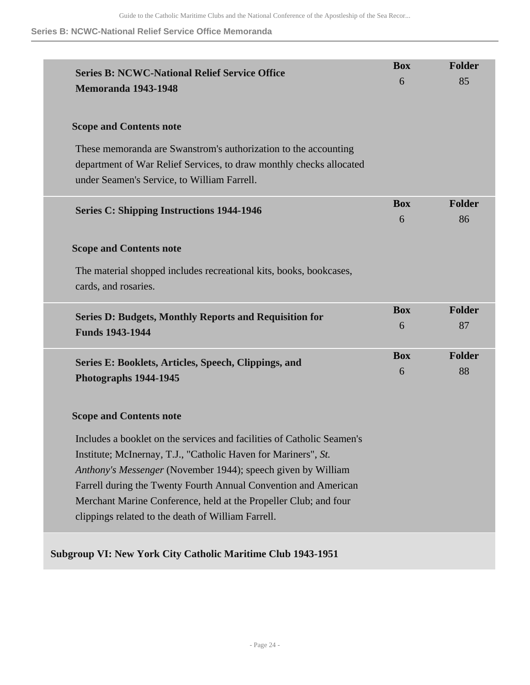# **Series B: NCWC-National Relief Service Office Memoranda**

| <b>Series B: NCWC-National Relief Service Office</b><br><b>Memoranda 1943-1948</b>                                                                                                                       | <b>Box</b><br>6 | <b>Folder</b><br>85 |
|----------------------------------------------------------------------------------------------------------------------------------------------------------------------------------------------------------|-----------------|---------------------|
| <b>Scope and Contents note</b>                                                                                                                                                                           |                 |                     |
| These memoranda are Swanstrom's authorization to the accounting<br>department of War Relief Services, to draw monthly checks allocated<br>under Seamen's Service, to William Farrell.                    |                 |                     |
| <b>Series C: Shipping Instructions 1944-1946</b>                                                                                                                                                         | <b>Box</b><br>6 | Folder<br>86        |
| <b>Scope and Contents note</b>                                                                                                                                                                           |                 |                     |
| The material shopped includes recreational kits, books, bookcases,<br>cards, and rosaries.                                                                                                               |                 |                     |
| <b>Series D: Budgets, Monthly Reports and Requisition for</b><br><b>Funds 1943-1944</b>                                                                                                                  | <b>Box</b><br>6 | Folder<br>87        |
| Series E: Booklets, Articles, Speech, Clippings, and<br>Photographs 1944-1945                                                                                                                            | <b>Box</b><br>6 | <b>Folder</b><br>88 |
| <b>Scope and Contents note</b>                                                                                                                                                                           |                 |                     |
| Includes a booklet on the services and facilities of Catholic Seamen's<br>Institute; McInernay, T.J., "Catholic Haven for Mariners", St.<br>Anthony's Messenger (November 1944); speech given by William |                 |                     |
| Farrell during the Twenty Fourth Annual Convention and American<br>Merchant Marine Conference, held at the Propeller Club; and four<br>clippings related to the death of William Farrell.                |                 |                     |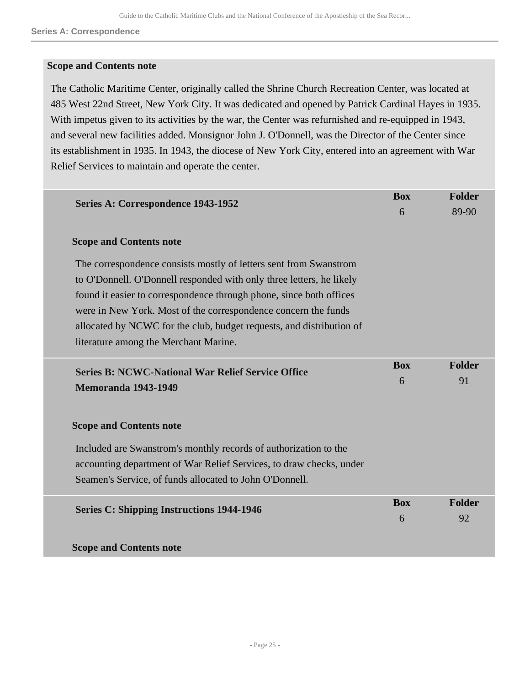#### **Scope and Contents note**

The Catholic Maritime Center, originally called the Shrine Church Recreation Center, was located at 485 West 22nd Street, New York City. It was dedicated and opened by Patrick Cardinal Hayes in 1935. With impetus given to its activities by the war, the Center was refurnished and re-equipped in 1943, and several new facilities added. Monsignor John J. O'Donnell, was the Director of the Center since its establishment in 1935. In 1943, the diocese of New York City, entered into an agreement with War Relief Services to maintain and operate the center.

| Series A: Correspondence 1943-1952                                                                                                                                                                                                                                                                                                                                                                  | <b>Box</b>      | Folder              |
|-----------------------------------------------------------------------------------------------------------------------------------------------------------------------------------------------------------------------------------------------------------------------------------------------------------------------------------------------------------------------------------------------------|-----------------|---------------------|
|                                                                                                                                                                                                                                                                                                                                                                                                     | 6               | 89-90               |
| <b>Scope and Contents note</b>                                                                                                                                                                                                                                                                                                                                                                      |                 |                     |
| The correspondence consists mostly of letters sent from Swanstrom<br>to O'Donnell. O'Donnell responded with only three letters, he likely<br>found it easier to correspondence through phone, since both offices<br>were in New York. Most of the correspondence concern the funds<br>allocated by NCWC for the club, budget requests, and distribution of<br>literature among the Merchant Marine. |                 |                     |
| <b>Series B: NCWC-National War Relief Service Office</b><br><b>Memoranda 1943-1949</b>                                                                                                                                                                                                                                                                                                              | <b>Box</b><br>6 | <b>Folder</b><br>91 |
| <b>Scope and Contents note</b>                                                                                                                                                                                                                                                                                                                                                                      |                 |                     |
| Included are Swanstrom's monthly records of authorization to the                                                                                                                                                                                                                                                                                                                                    |                 |                     |
| accounting department of War Relief Services, to draw checks, under                                                                                                                                                                                                                                                                                                                                 |                 |                     |
| Seamen's Service, of funds allocated to John O'Donnell.                                                                                                                                                                                                                                                                                                                                             |                 |                     |
| <b>Series C: Shipping Instructions 1944-1946</b>                                                                                                                                                                                                                                                                                                                                                    | <b>Box</b>      | Folder              |
|                                                                                                                                                                                                                                                                                                                                                                                                     | 6               | 92                  |
| <b>Scope and Contents note</b>                                                                                                                                                                                                                                                                                                                                                                      |                 |                     |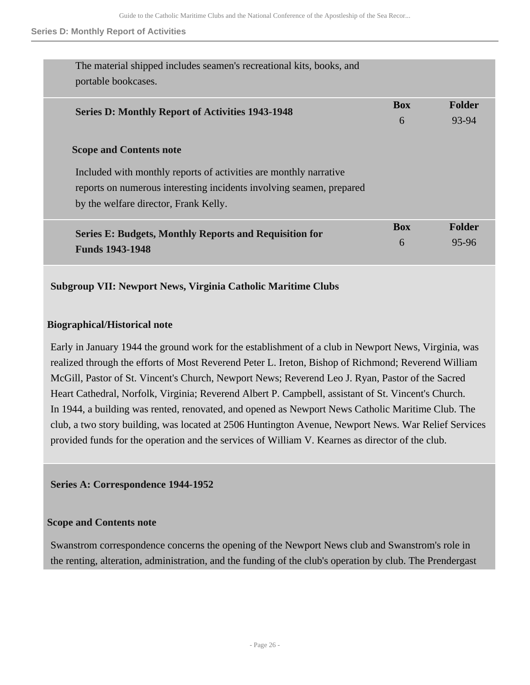#### **Series D: Monthly Report of Activities**

| The material shipped includes seamen's recreational kits, books, and<br>portable bookcases.                                                                                                                          |            |               |
|----------------------------------------------------------------------------------------------------------------------------------------------------------------------------------------------------------------------|------------|---------------|
| <b>Series D: Monthly Report of Activities 1943-1948</b>                                                                                                                                                              | <b>Box</b> | Folder        |
|                                                                                                                                                                                                                      | 6          | 93-94         |
| <b>Scope and Contents note</b><br>Included with monthly reports of activities are monthly narrative<br>reports on numerous interesting incidents involving seamen, prepared<br>by the welfare director, Frank Kelly. |            |               |
| <b>Series E: Budgets, Monthly Reports and Requisition for</b>                                                                                                                                                        | <b>Box</b> | <b>Folder</b> |
| <b>Funds 1943-1948</b>                                                                                                                                                                                               | 6          | 95-96         |
|                                                                                                                                                                                                                      |            |               |

# **Subgroup VII: Newport News, Virginia Catholic Maritime Clubs**

# **Biographical/Historical note**

Early in January 1944 the ground work for the establishment of a club in Newport News, Virginia, was realized through the efforts of Most Reverend Peter L. Ireton, Bishop of Richmond; Reverend William McGill, Pastor of St. Vincent's Church, Newport News; Reverend Leo J. Ryan, Pastor of the Sacred Heart Cathedral, Norfolk, Virginia; Reverend Albert P. Campbell, assistant of St. Vincent's Church. In 1944, a building was rented, renovated, and opened as Newport News Catholic Maritime Club. The club, a two story building, was located at 2506 Huntington Avenue, Newport News. War Relief Services provided funds for the operation and the services of William V. Kearnes as director of the club.

**Series A: Correspondence 1944-1952** 

# **Scope and Contents note**

Swanstrom correspondence concerns the opening of the Newport News club and Swanstrom's role in the renting, alteration, administration, and the funding of the club's operation by club. The Prendergast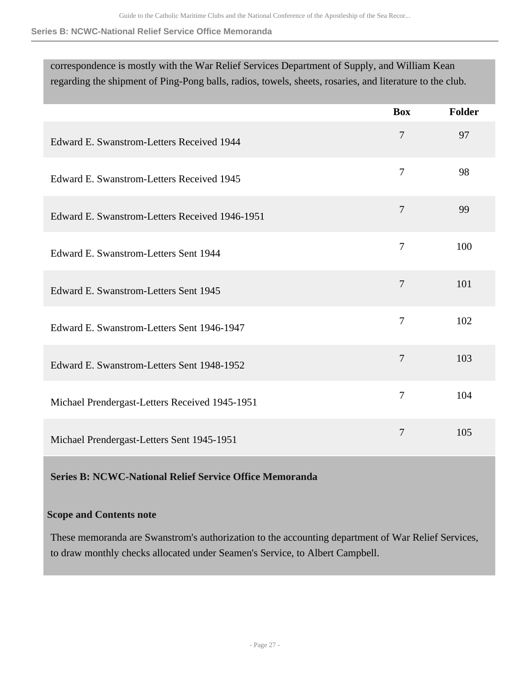# **Series B: NCWC-National Relief Service Office Memoranda**

| correspondence is mostly with the War Relief Services Department of Supply, and William Kean<br>regarding the shipment of Ping-Pong balls, radios, towels, sheets, rosaries, and literature to the club. |                |        |
|----------------------------------------------------------------------------------------------------------------------------------------------------------------------------------------------------------|----------------|--------|
|                                                                                                                                                                                                          | <b>Box</b>     | Folder |
| Edward E. Swanstrom-Letters Received 1944                                                                                                                                                                | $\overline{7}$ | 97     |
| Edward E. Swanstrom-Letters Received 1945                                                                                                                                                                | $\overline{7}$ | 98     |
| Edward E. Swanstrom-Letters Received 1946-1951                                                                                                                                                           | $\overline{7}$ | 99     |
| Edward E. Swanstrom-Letters Sent 1944                                                                                                                                                                    | $\overline{7}$ | 100    |
| Edward E. Swanstrom-Letters Sent 1945                                                                                                                                                                    | $\overline{7}$ | 101    |
| Edward E. Swanstrom-Letters Sent 1946-1947                                                                                                                                                               | $\overline{7}$ | 102    |
| Edward E. Swanstrom-Letters Sent 1948-1952                                                                                                                                                               | $\overline{7}$ | 103    |
| Michael Prendergast-Letters Received 1945-1951                                                                                                                                                           | $\overline{7}$ | 104    |
| Michael Prendergast-Letters Sent 1945-1951                                                                                                                                                               | 7              | 105    |

# **Series B: NCWC-National Relief Service Office Memoranda**

# **Scope and Contents note**

These memoranda are Swanstrom's authorization to the accounting department of War Relief Services, to draw monthly checks allocated under Seamen's Service, to Albert Campbell.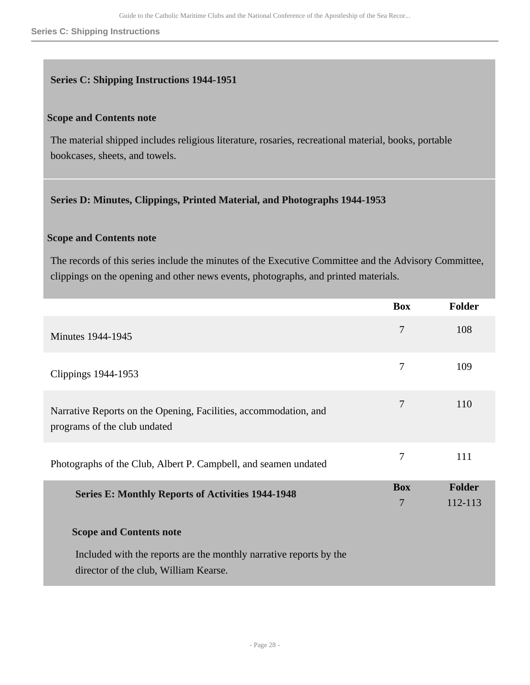#### **Series C: Shipping Instructions**

#### **Series C: Shipping Instructions 1944-1951**

#### **Scope and Contents note**

The material shipped includes religious literature, rosaries, recreational material, books, portable bookcases, sheets, and towels.

#### **Series D: Minutes, Clippings, Printed Material, and Photographs 1944-1953**

# **Scope and Contents note**

The records of this series include the minutes of the Executive Committee and the Advisory Committee, clippings on the opening and other news events, photographs, and printed materials.

|                                                                                                  | <b>Box</b>     | <b>Folder</b> |
|--------------------------------------------------------------------------------------------------|----------------|---------------|
| <b>Minutes 1944-1945</b>                                                                         | 7              | 108           |
| Clippings 1944-1953                                                                              | 7              | 109           |
| Narrative Reports on the Opening, Facilities, accommodation, and<br>programs of the club undated | 7              | 110           |
| Photographs of the Club, Albert P. Campbell, and seamen undated                                  | 7              | 111           |
| <b>Series E: Monthly Reports of Activities 1944-1948</b>                                         | <b>Box</b>     | <b>Folder</b> |
|                                                                                                  | $\overline{7}$ | 112-113       |
| <b>Scope and Contents note</b>                                                                   |                |               |
| Included with the reports are the monthly narrative reports by the                               |                |               |
| director of the club, William Kearse.                                                            |                |               |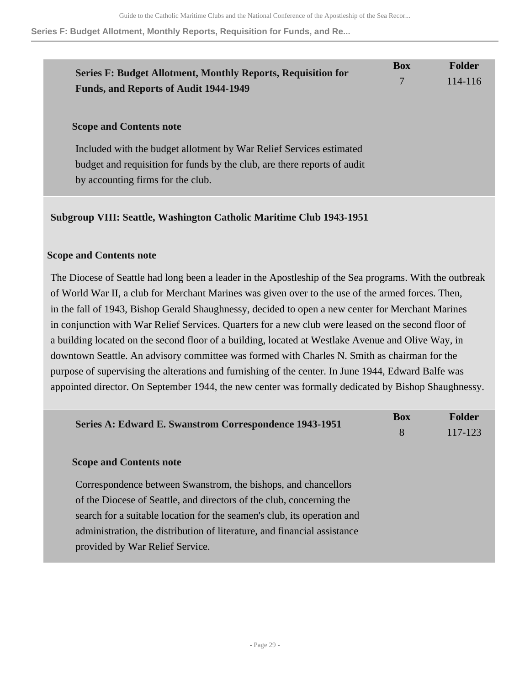#### **Series F: Budget Allotment, Monthly Reports, Requisition for Funds, and Re...**

| <b>Series F: Budget Allotment, Monthly Reports, Requisition for</b>                                                                                                                                                    | <b>Box</b> | <b>Folder</b> |
|------------------------------------------------------------------------------------------------------------------------------------------------------------------------------------------------------------------------|------------|---------------|
| <b>Funds, and Reports of Audit 1944-1949</b>                                                                                                                                                                           | 7          | 114-116       |
| <b>Scope and Contents note</b><br>Included with the budget allotment by War Relief Services estimated<br>budget and requisition for funds by the club, are there reports of audit<br>by accounting firms for the club. |            |               |

# **Subgroup VIII: Seattle, Washington Catholic Maritime Club 1943-1951**

# **Scope and Contents note**

The Diocese of Seattle had long been a leader in the Apostleship of the Sea programs. With the outbreak of World War II, a club for Merchant Marines was given over to the use of the armed forces. Then, in the fall of 1943, Bishop Gerald Shaughnessy, decided to open a new center for Merchant Marines in conjunction with War Relief Services. Quarters for a new club were leased on the second floor of a building located on the second floor of a building, located at Westlake Avenue and Olive Way, in downtown Seattle. An advisory committee was formed with Charles N. Smith as chairman for the purpose of supervising the alterations and furnishing of the center. In June 1944, Edward Balfe was appointed director. On September 1944, the new center was formally dedicated by Bishop Shaughnessy.

| Series A: Edward E. Swanstrom Correspondence 1943-1951                   | <b>Box</b><br>8 | <b>Folder</b><br>117-123 |
|--------------------------------------------------------------------------|-----------------|--------------------------|
| <b>Scope and Contents note</b>                                           |                 |                          |
| Correspondence between Swanstrom, the bishops, and chancellors           |                 |                          |
| of the Diocese of Seattle, and directors of the club, concerning the     |                 |                          |
| search for a suitable location for the seamen's club, its operation and  |                 |                          |
| administration, the distribution of literature, and financial assistance |                 |                          |
| provided by War Relief Service.                                          |                 |                          |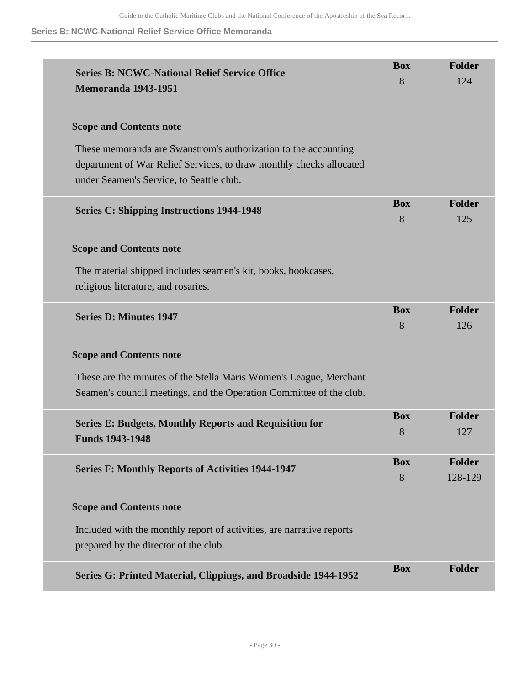# **Series B: NCWC-National Relief Service Office Memoranda**

| <b>Series B: NCWC-National Relief Service Office</b><br><b>Memoranda 1943-1951</b>                                                                                                 | <b>Box</b><br>8 | <b>Folder</b><br>124     |
|------------------------------------------------------------------------------------------------------------------------------------------------------------------------------------|-----------------|--------------------------|
| <b>Scope and Contents note</b>                                                                                                                                                     |                 |                          |
| These memoranda are Swanstrom's authorization to the accounting<br>department of War Relief Services, to draw monthly checks allocated<br>under Seamen's Service, to Seattle club. |                 |                          |
| <b>Series C: Shipping Instructions 1944-1948</b>                                                                                                                                   | <b>Box</b><br>8 | <b>Folder</b><br>125     |
| <b>Scope and Contents note</b>                                                                                                                                                     |                 |                          |
| The material shipped includes seamen's kit, books, bookcases,<br>religious literature, and rosaries.                                                                               |                 |                          |
| <b>Series D: Minutes 1947</b>                                                                                                                                                      | <b>Box</b><br>8 | <b>Folder</b><br>126     |
| <b>Scope and Contents note</b>                                                                                                                                                     |                 |                          |
| These are the minutes of the Stella Maris Women's League, Merchant<br>Seamen's council meetings, and the Operation Committee of the club.                                          |                 |                          |
| <b>Series E: Budgets, Monthly Reports and Requisition for</b><br><b>Funds 1943-1948</b>                                                                                            | <b>Box</b><br>8 | <b>Folder</b><br>127     |
| <b>Series F: Monthly Reports of Activities 1944-1947</b>                                                                                                                           | <b>Box</b><br>8 | <b>Folder</b><br>128-129 |
| <b>Scope and Contents note</b>                                                                                                                                                     |                 |                          |
| Included with the monthly report of activities, are narrative reports<br>prepared by the director of the club.                                                                     |                 |                          |
| Series G: Printed Material, Clippings, and Broadside 1944-1952                                                                                                                     | <b>Box</b>      | <b>Folder</b>            |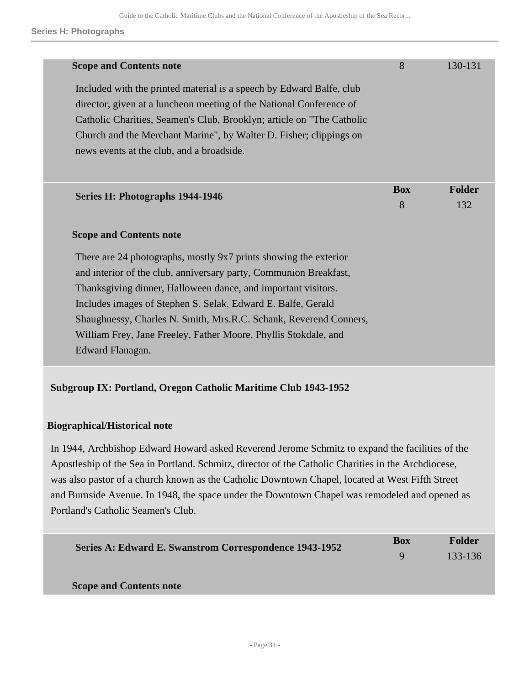| <b>Scope and Contents note</b>                                                                                                                                                                                                                                                             | 8          | 130-131 |
|--------------------------------------------------------------------------------------------------------------------------------------------------------------------------------------------------------------------------------------------------------------------------------------------|------------|---------|
| Included with the printed material is a speech by Edward Balfe, club<br>director, given at a luncheon meeting of the National Conference of<br>Catholic Charities, Seamen's Club, Brooklyn; article on "The Catholic<br>Church and the Merchant Marine", by Walter D. Fisher; clippings on |            |         |
| news events at the club, and a broadside.                                                                                                                                                                                                                                                  |            |         |
|                                                                                                                                                                                                                                                                                            | <b>Box</b> | Folder  |
| Series H: Photographs 1944-1946                                                                                                                                                                                                                                                            | 8          | 132     |
| <b>Scope and Contents note</b>                                                                                                                                                                                                                                                             |            |         |
| There are 24 photographs, mostly 9x7 prints showing the exterior<br>and interior of the club, anniversary party, Communion Breakfast,                                                                                                                                                      |            |         |
| Thanksgiving dinner, Halloween dance, and important visitors.                                                                                                                                                                                                                              |            |         |
| Includes images of Stephen S. Selak, Edward E. Balfe, Gerald                                                                                                                                                                                                                               |            |         |
| Shaughnessy, Charles N. Smith, Mrs.R.C. Schank, Reverend Conners,                                                                                                                                                                                                                          |            |         |
| William Frey, Jane Freeley, Father Moore, Phyllis Stokdale, and                                                                                                                                                                                                                            |            |         |
| Edward Flanagan.                                                                                                                                                                                                                                                                           |            |         |

# **Subgroup IX: Portland, Oregon Catholic Maritime Club 1943-1952**

# **Biographical/Historical note**

In 1944, Archbishop Edward Howard asked Reverend Jerome Schmitz to expand the facilities of the Apostleship of the Sea in Portland. Schmitz, director of the Catholic Charities in the Archdiocese, was also pastor of a church known as the Catholic Downtown Chapel, located at West Fifth Street and Burnside Avenue. In 1948, the space under the Downtown Chapel was remodeled and opened as Portland's Catholic Seamen's Club.

| Series A: Edward E. Swanstrom Correspondence 1943-1952 | <b>Box</b>   | Folder  |
|--------------------------------------------------------|--------------|---------|
|                                                        | $\mathbf{q}$ | 133-136 |
|                                                        |              |         |
| <b>Scope and Contents note</b>                         |              |         |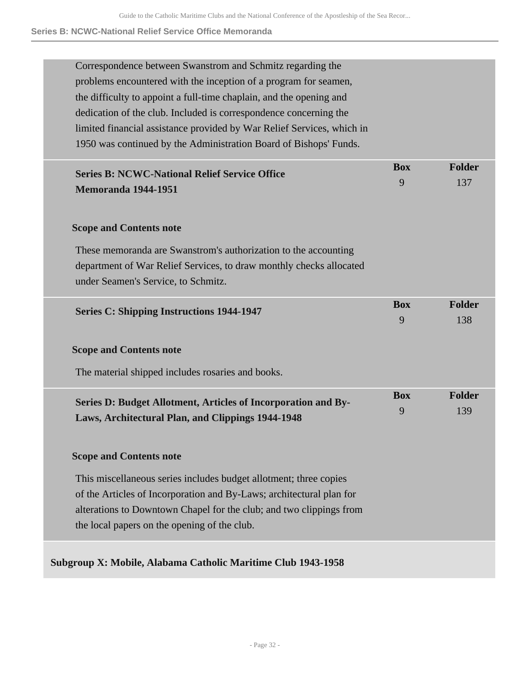# **Series B: NCWC-National Relief Service Office Memoranda**

| Correspondence between Swanstrom and Schmitz regarding the             |            |               |
|------------------------------------------------------------------------|------------|---------------|
| problems encountered with the inception of a program for seamen,       |            |               |
| the difficulty to appoint a full-time chaplain, and the opening and    |            |               |
| dedication of the club. Included is correspondence concerning the      |            |               |
| limited financial assistance provided by War Relief Services, which in |            |               |
| 1950 was continued by the Administration Board of Bishops' Funds.      |            |               |
| <b>Series B: NCWC-National Relief Service Office</b>                   | <b>Box</b> | Folder        |
| <b>Memoranda 1944-1951</b>                                             | 9          | 137           |
|                                                                        |            |               |
| <b>Scope and Contents note</b>                                         |            |               |
| These memoranda are Swanstrom's authorization to the accounting        |            |               |
| department of War Relief Services, to draw monthly checks allocated    |            |               |
| under Seamen's Service, to Schmitz.                                    |            |               |
|                                                                        | <b>Box</b> | Folder        |
| <b>Series C: Shipping Instructions 1944-1947</b>                       | 9          | 138           |
|                                                                        |            |               |
| <b>Scope and Contents note</b>                                         |            |               |
| The material shipped includes rosaries and books.                      |            |               |
| Series D: Budget Allotment, Articles of Incorporation and By-          | <b>Box</b> | <b>Folder</b> |
| Laws, Architectural Plan, and Clippings 1944-1948                      | 9          | 139           |
|                                                                        |            |               |
| <b>Scope and Contents note</b>                                         |            |               |
| This miscellaneous series includes budget allotment; three copies      |            |               |
| of the Articles of Incorporation and By-Laws; architectural plan for   |            |               |
| alterations to Downtown Chapel for the club; and two clippings from    |            |               |
| the local papers on the opening of the club.                           |            |               |
|                                                                        |            |               |
| Subgroup X: Mobile, Alabama Catholic Maritime Club 1943-1958           |            |               |
|                                                                        |            |               |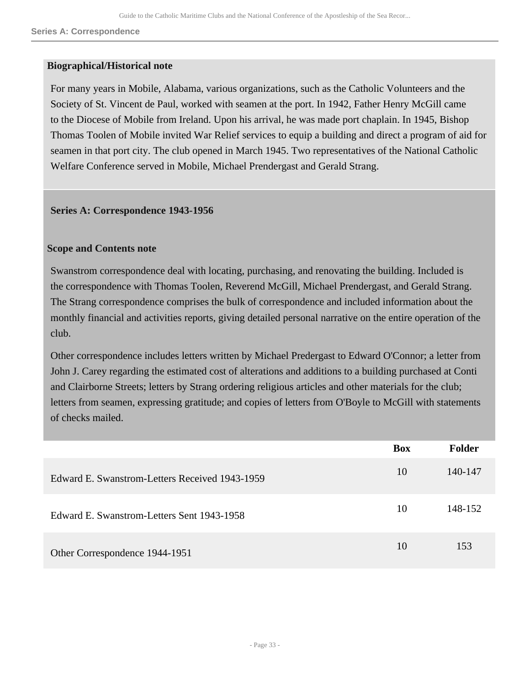#### **Biographical/Historical note**

For many years in Mobile, Alabama, various organizations, such as the Catholic Volunteers and the Society of St. Vincent de Paul, worked with seamen at the port. In 1942, Father Henry McGill came to the Diocese of Mobile from Ireland. Upon his arrival, he was made port chaplain. In 1945, Bishop Thomas Toolen of Mobile invited War Relief services to equip a building and direct a program of aid for seamen in that port city. The club opened in March 1945. Two representatives of the National Catholic Welfare Conference served in Mobile, Michael Prendergast and Gerald Strang.

#### **Series A: Correspondence 1943-1956**

#### **Scope and Contents note**

Swanstrom correspondence deal with locating, purchasing, and renovating the building. Included is the correspondence with Thomas Toolen, Reverend McGill, Michael Prendergast, and Gerald Strang. The Strang correspondence comprises the bulk of correspondence and included information about the monthly financial and activities reports, giving detailed personal narrative on the entire operation of the club.

Other correspondence includes letters written by Michael Predergast to Edward O'Connor; a letter from John J. Carey regarding the estimated cost of alterations and additions to a building purchased at Conti and Clairborne Streets; letters by Strang ordering religious articles and other materials for the club; letters from seamen, expressing gratitude; and copies of letters from O'Boyle to McGill with statements of checks mailed.

|                                                | <b>Box</b> | <b>Folder</b> |
|------------------------------------------------|------------|---------------|
| Edward E. Swanstrom-Letters Received 1943-1959 | 10         | 140-147       |
| Edward E. Swanstrom-Letters Sent 1943-1958     | 10         | 148-152       |
| Other Correspondence 1944-1951                 | 10         | 153           |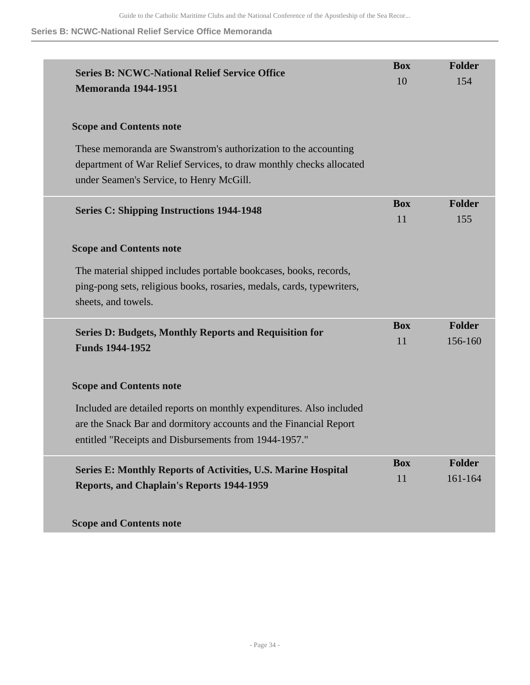### **Series B: NCWC-National Relief Service Office Memoranda**

| <b>Series B: NCWC-National Relief Service Office</b><br><b>Memoranda 1944-1951</b>                                                                                                 | <b>Box</b><br>10 | <b>Folder</b><br>154     |
|------------------------------------------------------------------------------------------------------------------------------------------------------------------------------------|------------------|--------------------------|
| <b>Scope and Contents note</b>                                                                                                                                                     |                  |                          |
| These memoranda are Swanstrom's authorization to the accounting<br>department of War Relief Services, to draw monthly checks allocated<br>under Seamen's Service, to Henry McGill. |                  |                          |
| <b>Series C: Shipping Instructions 1944-1948</b>                                                                                                                                   | <b>Box</b><br>11 | <b>Folder</b><br>155     |
| <b>Scope and Contents note</b>                                                                                                                                                     |                  |                          |
| The material shipped includes portable bookcases, books, records,<br>ping-pong sets, religious books, rosaries, medals, cards, typewriters,<br>sheets, and towels.                 |                  |                          |
| <b>Series D: Budgets, Monthly Reports and Requisition for</b><br><b>Funds 1944-1952</b>                                                                                            | <b>Box</b><br>11 | Folder<br>156-160        |
| <b>Scope and Contents note</b>                                                                                                                                                     |                  |                          |
| Included are detailed reports on monthly expenditures. Also included                                                                                                               |                  |                          |
| are the Snack Bar and dormitory accounts and the Financial Report<br>entitled "Receipts and Disbursements from 1944-1957."                                                         |                  |                          |
| <b>Series E: Monthly Reports of Activities, U.S. Marine Hospital</b><br><b>Reports, and Chaplain's Reports 1944-1959</b>                                                           | <b>Box</b><br>11 | <b>Folder</b><br>161-164 |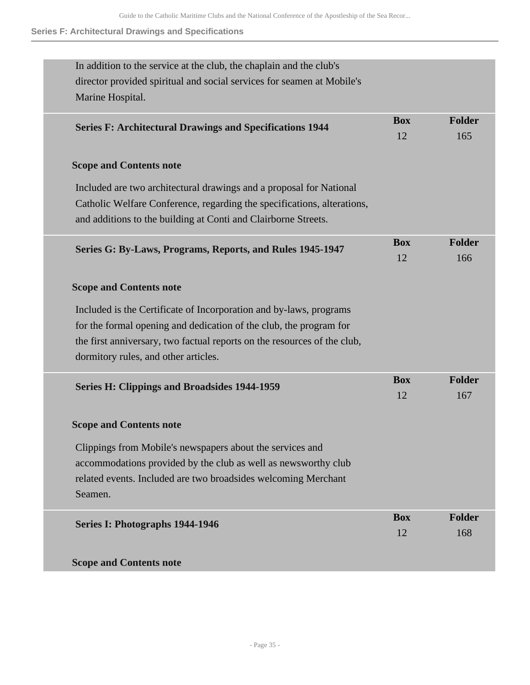# **Series F: Architectural Drawings and Specifications**

| In addition to the service at the club, the chaplain and the club's<br>director provided spiritual and social services for seamen at Mobile's |            |               |
|-----------------------------------------------------------------------------------------------------------------------------------------------|------------|---------------|
| Marine Hospital.                                                                                                                              |            |               |
|                                                                                                                                               | <b>Box</b> | <b>Folder</b> |
| <b>Series F: Architectural Drawings and Specifications 1944</b>                                                                               | 12         | 165           |
| <b>Scope and Contents note</b>                                                                                                                |            |               |
| Included are two architectural drawings and a proposal for National                                                                           |            |               |
| Catholic Welfare Conference, regarding the specifications, alterations,                                                                       |            |               |
| and additions to the building at Conti and Clairborne Streets.                                                                                |            |               |
| Series G: By-Laws, Programs, Reports, and Rules 1945-1947                                                                                     | <b>Box</b> | <b>Folder</b> |
|                                                                                                                                               | 12         | 166           |
| <b>Scope and Contents note</b>                                                                                                                |            |               |
| Included is the Certificate of Incorporation and by-laws, programs                                                                            |            |               |
| for the formal opening and dedication of the club, the program for                                                                            |            |               |
| the first anniversary, two factual reports on the resources of the club,                                                                      |            |               |
| dormitory rules, and other articles.                                                                                                          |            |               |
|                                                                                                                                               | <b>Box</b> | <b>Folder</b> |
| <b>Series H: Clippings and Broadsides 1944-1959</b>                                                                                           | 12         | 167           |
| <b>Scope and Contents note</b>                                                                                                                |            |               |
| Clippings from Mobile's newspapers about the services and                                                                                     |            |               |
| accommodations provided by the club as well as newsworthy club                                                                                |            |               |
| related events. Included are two broadsides welcoming Merchant                                                                                |            |               |
| Seamen.                                                                                                                                       |            |               |
| Series I: Photographs 1944-1946                                                                                                               | <b>Box</b> | <b>Folder</b> |
|                                                                                                                                               | 12         | 168           |
| <b>Scope and Contents note</b>                                                                                                                |            |               |
|                                                                                                                                               |            |               |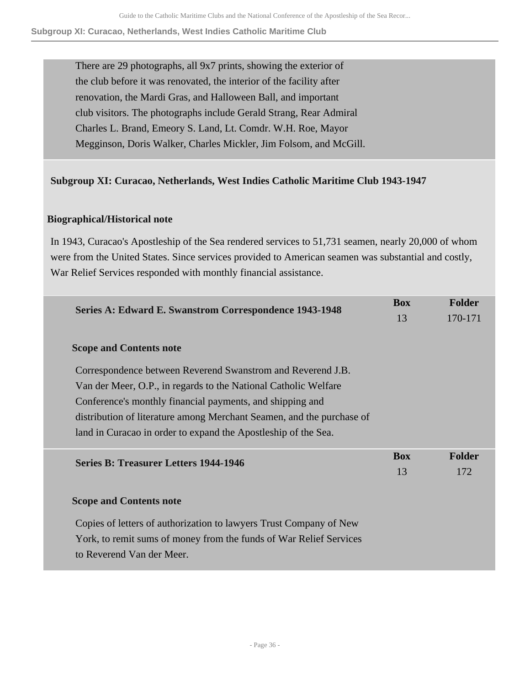#### **Subgroup XI: Curacao, Netherlands, West Indies Catholic Maritime Club**

There are 29 photographs, all 9x7 prints, showing the exterior of the club before it was renovated, the interior of the facility after renovation, the Mardi Gras, and Halloween Ball, and important club visitors. The photographs include Gerald Strang, Rear Admiral Charles L. Brand, Emeory S. Land, Lt. Comdr. W.H. Roe, Mayor Megginson, Doris Walker, Charles Mickler, Jim Folsom, and McGill.

# **Subgroup XI: Curacao, Netherlands, West Indies Catholic Maritime Club 1943-1947**

# **Biographical/Historical note**

In 1943, Curacao's Apostleship of the Sea rendered services to 51,731 seamen, nearly 20,000 of whom were from the United States. Since services provided to American seamen was substantial and costly, War Relief Services responded with monthly financial assistance.

| <b>Series A: Edward E. Swanstrom Correspondence 1943-1948</b>         | <b>Box</b> | <b>Folder</b> |
|-----------------------------------------------------------------------|------------|---------------|
|                                                                       | 13         | 170-171       |
| <b>Scope and Contents note</b>                                        |            |               |
| Correspondence between Reverend Swanstrom and Reverend J.B.           |            |               |
| Van der Meer, O.P., in regards to the National Catholic Welfare       |            |               |
| Conference's monthly financial payments, and shipping and             |            |               |
| distribution of literature among Merchant Seamen, and the purchase of |            |               |
| land in Curacao in order to expand the Apostleship of the Sea.        |            |               |
| <b>Series B: Treasurer Letters 1944-1946</b>                          | <b>Box</b> | <b>Folder</b> |
|                                                                       | 13         | 172           |
| <b>Scope and Contents note</b>                                        |            |               |
| Copies of letters of authorization to lawyers Trust Company of New    |            |               |
| York, to remit sums of money from the funds of War Relief Services    |            |               |
| to Reverend Van der Meer.                                             |            |               |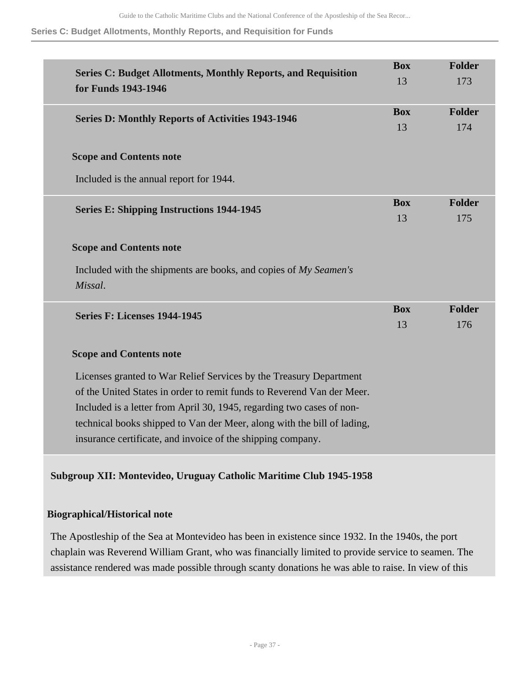#### **Series C: Budget Allotments, Monthly Reports, and Requisition for Funds**

| <b>Series C: Budget Allotments, Monthly Reports, and Requisition</b><br>for Funds 1943-1946                                                                                                                                                                                                                                                                     | <b>Box</b><br>13 | <b>Folder</b><br>173 |
|-----------------------------------------------------------------------------------------------------------------------------------------------------------------------------------------------------------------------------------------------------------------------------------------------------------------------------------------------------------------|------------------|----------------------|
| <b>Series D: Monthly Reports of Activities 1943-1946</b>                                                                                                                                                                                                                                                                                                        | <b>Box</b><br>13 | Folder<br>174        |
| <b>Scope and Contents note</b>                                                                                                                                                                                                                                                                                                                                  |                  |                      |
| Included is the annual report for 1944.                                                                                                                                                                                                                                                                                                                         |                  |                      |
| <b>Series E: Shipping Instructions 1944-1945</b>                                                                                                                                                                                                                                                                                                                | <b>Box</b><br>13 | Folder<br>175        |
| <b>Scope and Contents note</b><br>Included with the shipments are books, and copies of My Seamen's<br>Missal.                                                                                                                                                                                                                                                   |                  |                      |
| Series F: Licenses 1944-1945                                                                                                                                                                                                                                                                                                                                    | <b>Box</b><br>13 | Folder<br>176        |
| <b>Scope and Contents note</b>                                                                                                                                                                                                                                                                                                                                  |                  |                      |
| Licenses granted to War Relief Services by the Treasury Department<br>of the United States in order to remit funds to Reverend Van der Meer.<br>Included is a letter from April 30, 1945, regarding two cases of non-<br>technical books shipped to Van der Meer, along with the bill of lading,<br>insurance certificate, and invoice of the shipping company. |                  |                      |

**Subgroup XII: Montevideo, Uruguay Catholic Maritime Club 1945-1958** 

# **Biographical/Historical note**

The Apostleship of the Sea at Montevideo has been in existence since 1932. In the 1940s, the port chaplain was Reverend William Grant, who was financially limited to provide service to seamen. The assistance rendered was made possible through scanty donations he was able to raise. In view of this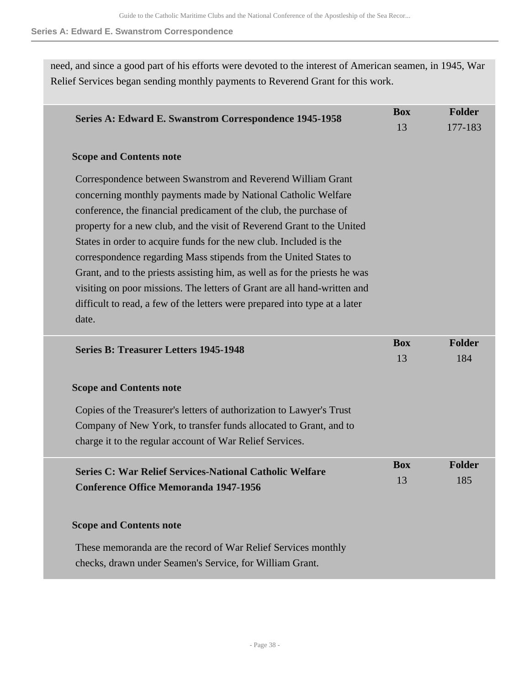**Series A: Edward E. Swanstrom Correspondence**

need, and since a good part of his efforts were devoted to the interest of American seamen, in 1945, War Relief Services began sending monthly payments to Reverend Grant for this work.

| Series A: Edward E. Swanstrom Correspondence 1945-1958                                                                                                                                                                                                                                                                                                                                                                                                                                                                                                                                                                                                                  | <b>Box</b>       | Folder               |
|-------------------------------------------------------------------------------------------------------------------------------------------------------------------------------------------------------------------------------------------------------------------------------------------------------------------------------------------------------------------------------------------------------------------------------------------------------------------------------------------------------------------------------------------------------------------------------------------------------------------------------------------------------------------------|------------------|----------------------|
|                                                                                                                                                                                                                                                                                                                                                                                                                                                                                                                                                                                                                                                                         | 13               | 177-183              |
| <b>Scope and Contents note</b>                                                                                                                                                                                                                                                                                                                                                                                                                                                                                                                                                                                                                                          |                  |                      |
| Correspondence between Swanstrom and Reverend William Grant<br>concerning monthly payments made by National Catholic Welfare<br>conference, the financial predicament of the club, the purchase of<br>property for a new club, and the visit of Reverend Grant to the United<br>States in order to acquire funds for the new club. Included is the<br>correspondence regarding Mass stipends from the United States to<br>Grant, and to the priests assisting him, as well as for the priests he was<br>visiting on poor missions. The letters of Grant are all hand-written and<br>difficult to read, a few of the letters were prepared into type at a later<br>date. |                  |                      |
| <b>Series B: Treasurer Letters 1945-1948</b>                                                                                                                                                                                                                                                                                                                                                                                                                                                                                                                                                                                                                            | <b>Box</b><br>13 | <b>Folder</b><br>184 |
| <b>Scope and Contents note</b>                                                                                                                                                                                                                                                                                                                                                                                                                                                                                                                                                                                                                                          |                  |                      |
| Copies of the Treasurer's letters of authorization to Lawyer's Trust<br>Company of New York, to transfer funds allocated to Grant, and to<br>charge it to the regular account of War Relief Services.                                                                                                                                                                                                                                                                                                                                                                                                                                                                   |                  |                      |
| <b>Series C: War Relief Services-National Catholic Welfare</b><br><b>Conference Office Memoranda 1947-1956</b>                                                                                                                                                                                                                                                                                                                                                                                                                                                                                                                                                          | <b>Box</b><br>13 | <b>Folder</b><br>185 |
| <b>Scope and Contents note</b>                                                                                                                                                                                                                                                                                                                                                                                                                                                                                                                                                                                                                                          |                  |                      |
| These memoranda are the record of War Relief Services monthly                                                                                                                                                                                                                                                                                                                                                                                                                                                                                                                                                                                                           |                  |                      |
| checks, drawn under Seamen's Service, for William Grant.                                                                                                                                                                                                                                                                                                                                                                                                                                                                                                                                                                                                                |                  |                      |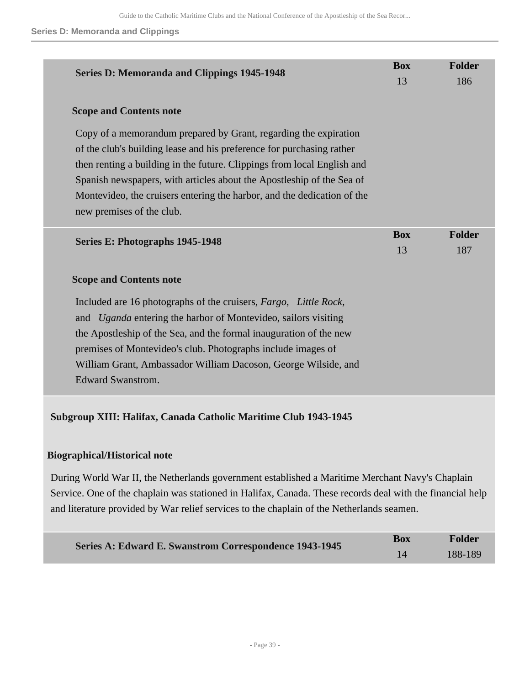#### **Series D: Memoranda and Clippings**

| <b>Series D: Memoranda and Clippings 1945-1948</b>                                                                                                                                                                                                                                                                                                                                                    | <b>Box</b>       | <b>Folder</b> |
|-------------------------------------------------------------------------------------------------------------------------------------------------------------------------------------------------------------------------------------------------------------------------------------------------------------------------------------------------------------------------------------------------------|------------------|---------------|
|                                                                                                                                                                                                                                                                                                                                                                                                       | 13               | 186           |
| <b>Scope and Contents note</b>                                                                                                                                                                                                                                                                                                                                                                        |                  |               |
| Copy of a memorandum prepared by Grant, regarding the expiration<br>of the club's building lease and his preference for purchasing rather<br>then renting a building in the future. Clippings from local English and<br>Spanish newspapers, with articles about the Apostleship of the Sea of<br>Montevideo, the cruisers entering the harbor, and the dedication of the<br>new premises of the club. |                  |               |
| Series E: Photographs 1945-1948                                                                                                                                                                                                                                                                                                                                                                       | <b>Box</b><br>13 | <b>Folder</b> |
|                                                                                                                                                                                                                                                                                                                                                                                                       |                  | 187           |
| <b>Scope and Contents note</b>                                                                                                                                                                                                                                                                                                                                                                        |                  |               |
| Included are 16 photographs of the cruisers, Fargo, Little Rock,<br>and <i>Uganda</i> entering the harbor of Montevideo, sailors visiting<br>the Apostleship of the Sea, and the formal inauguration of the new<br>premises of Montevideo's club. Photographs include images of                                                                                                                       |                  |               |
| William Grant, Ambassador William Dacoson, George Wilside, and<br><b>Edward Swanstrom.</b>                                                                                                                                                                                                                                                                                                            |                  |               |
| Subgroup XIII: Halifax, Canada Catholic Maritime Club 1943-1945                                                                                                                                                                                                                                                                                                                                       |                  |               |

## **Biographical/Historical note**

During World War II, the Netherlands government established a Maritime Merchant Navy's Chaplain Service. One of the chaplain was stationed in Halifax, Canada. These records deal with the financial help and literature provided by War relief services to the chaplain of the Netherlands seamen.

| Series A: Edward E. Swanstrom Correspondence 1943-1945 | Box | Folder  |
|--------------------------------------------------------|-----|---------|
|                                                        |     | 188-189 |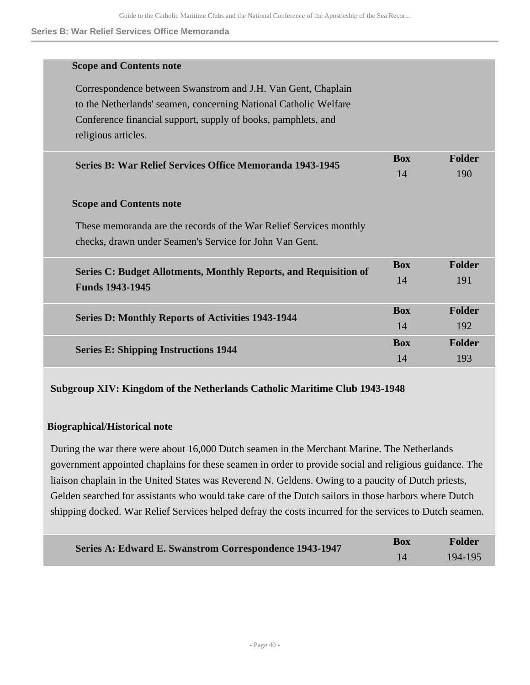#### **Series B: War Relief Services Office Memoranda**

| <b>Scope and Contents note</b>                                     |            |               |
|--------------------------------------------------------------------|------------|---------------|
| Correspondence between Swanstrom and J.H. Van Gent, Chaplain       |            |               |
| to the Netherlands' seamen, concerning National Catholic Welfare   |            |               |
| Conference financial support, supply of books, pamphlets, and      |            |               |
| religious articles.                                                |            |               |
| <b>Series B: War Relief Services Office Memoranda 1943-1945</b>    | <b>Box</b> | <b>Folder</b> |
|                                                                    | 14         | 190           |
| <b>Scope and Contents note</b>                                     |            |               |
| These memoranda are the records of the War Relief Services monthly |            |               |
| checks, drawn under Seamen's Service for John Van Gent.            |            |               |
| Series C: Budget Allotments, Monthly Reports, and Requisition of   | <b>Box</b> | <b>Folder</b> |
| <b>Funds 1943-1945</b>                                             | 14         | 191           |
| <b>Series D: Monthly Reports of Activities 1943-1944</b>           | <b>Box</b> | <b>Folder</b> |
|                                                                    |            | 192           |
| <b>Series E: Shipping Instructions 1944</b>                        | <b>Box</b> | <b>Folder</b> |
|                                                                    | 14         | 193           |

## **Subgroup XIV: Kingdom of the Netherlands Catholic Maritime Club 1943-1948**

## **Biographical/Historical note**

During the war there were about 16,000 Dutch seamen in the Merchant Marine. The Netherlands government appointed chaplains for these seamen in order to provide social and religious guidance. The liaison chaplain in the United States was Reverend N. Geldens. Owing to a paucity of Dutch priests, Gelden searched for assistants who would take care of the Dutch sailors in those harbors where Dutch shipping docked. War Relief Services helped defray the costs incurred for the services to Dutch seamen.

| Series A: Edward E. Swanstrom Correspondence 1943-1947 | Box | <b>Folder</b> |
|--------------------------------------------------------|-----|---------------|
|                                                        |     | 194-195       |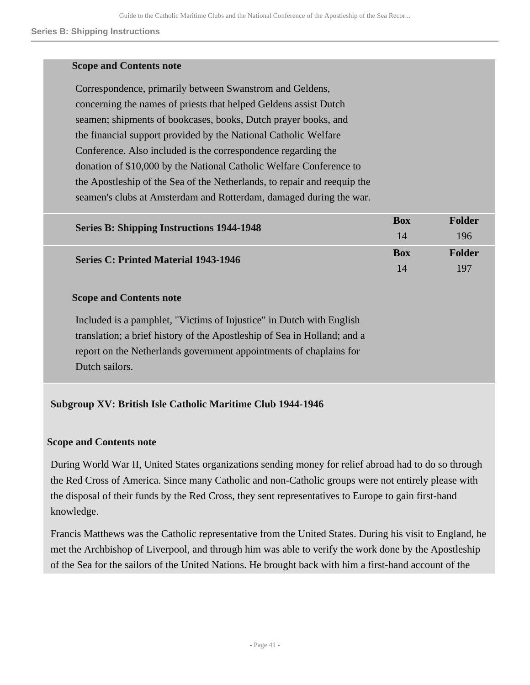#### **Series B: Shipping Instructions**

## **Scope and Contents note**

Correspondence, primarily between Swanstrom and Geldens, concerning the names of priests that helped Geldens assist Dutch seamen; shipments of bookcases, books, Dutch prayer books, and the financial support provided by the National Catholic Welfare Conference. Also included is the correspondence regarding the donation of \$10,000 by the National Catholic Welfare Conference to the Apostleship of the Sea of the Netherlands, to repair and reequip the seamen's clubs at Amsterdam and Rotterdam, damaged during the war.

| <b>Series B: Shipping Instructions 1944-1948</b> | Box        | Folder |
|--------------------------------------------------|------------|--------|
|                                                  | 14         | 196    |
| <b>Series C: Printed Material 1943-1946</b>      | <b>Box</b> | Folder |
|                                                  | $1\Delta$  | 197    |

### **Scope and Contents note**

Included is a pamphlet, "Victims of Injustice" in Dutch with English translation; a brief history of the Apostleship of Sea in Holland; and a report on the Netherlands government appointments of chaplains for Dutch sailors.

## **Subgroup XV: British Isle Catholic Maritime Club 1944-1946**

## **Scope and Contents note**

During World War II, United States organizations sending money for relief abroad had to do so through the Red Cross of America. Since many Catholic and non-Catholic groups were not entirely please with the disposal of their funds by the Red Cross, they sent representatives to Europe to gain first-hand knowledge.

Francis Matthews was the Catholic representative from the United States. During his visit to England, he met the Archbishop of Liverpool, and through him was able to verify the work done by the Apostleship of the Sea for the sailors of the United Nations. He brought back with him a first-hand account of the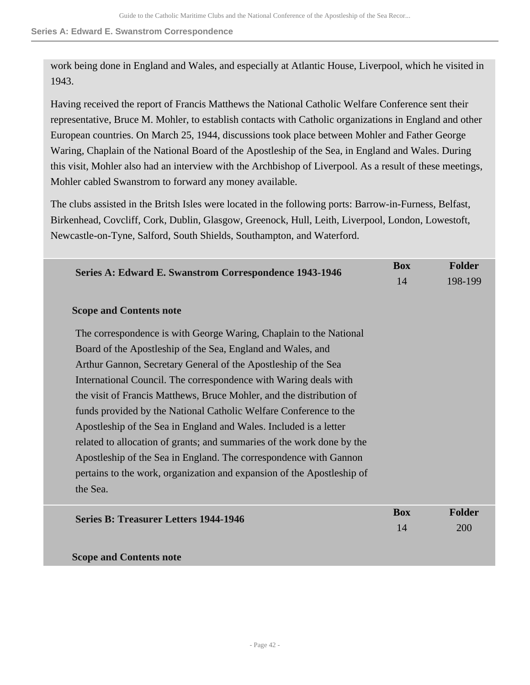**Series A: Edward E. Swanstrom Correspondence**

work being done in England and Wales, and especially at Atlantic House, Liverpool, which he visited in 1943.

Having received the report of Francis Matthews the National Catholic Welfare Conference sent their representative, Bruce M. Mohler, to establish contacts with Catholic organizations in England and other European countries. On March 25, 1944, discussions took place between Mohler and Father George Waring, Chaplain of the National Board of the Apostleship of the Sea, in England and Wales. During this visit, Mohler also had an interview with the Archbishop of Liverpool. As a result of these meetings, Mohler cabled Swanstrom to forward any money available.

The clubs assisted in the Britsh Isles were located in the following ports: Barrow-in-Furness, Belfast, Birkenhead, Covcliff, Cork, Dublin, Glasgow, Greenock, Hull, Leith, Liverpool, London, Lowestoft, Newcastle-on-Tyne, Salford, South Shields, Southampton, and Waterford.

| <b>Series A: Edward E. Swanstrom Correspondence 1943-1946</b>          | <b>Box</b> | <b>Folder</b> |
|------------------------------------------------------------------------|------------|---------------|
|                                                                        |            | 198-199       |
| <b>Scope and Contents note</b>                                         |            |               |
| The correspondence is with George Waring, Chaplain to the National     |            |               |
| Board of the Apostleship of the Sea, England and Wales, and            |            |               |
| Arthur Gannon, Secretary General of the Apostleship of the Sea         |            |               |
| International Council. The correspondence with Waring deals with       |            |               |
| the visit of Francis Matthews, Bruce Mohler, and the distribution of   |            |               |
| funds provided by the National Catholic Welfare Conference to the      |            |               |
| Apostleship of the Sea in England and Wales. Included is a letter      |            |               |
| related to allocation of grants; and summaries of the work done by the |            |               |
| Apostleship of the Sea in England. The correspondence with Gannon      |            |               |
| pertains to the work, organization and expansion of the Apostleship of |            |               |
| the Sea.                                                               |            |               |
| <b>Series B: Treasurer Letters 1944-1946</b>                           | <b>Box</b> | <b>Folder</b> |
|                                                                        | 14         | 200           |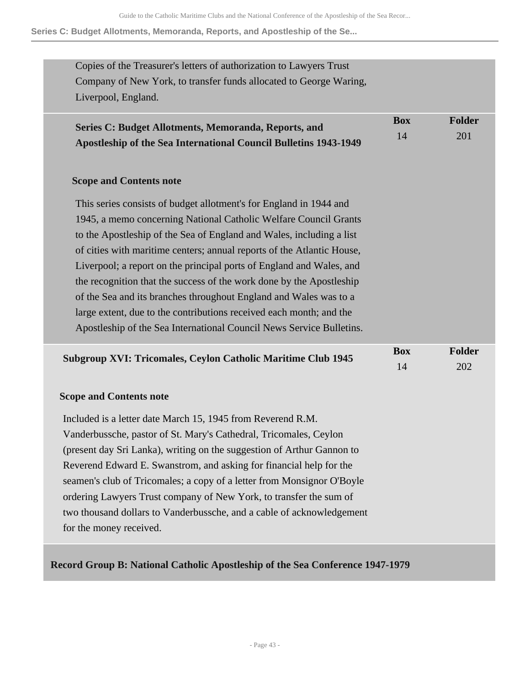**Series C: Budget Allotments, Memoranda, Reports, and Apostleship of the Se...**

| Copies of the Treasurer's letters of authorization to Lawyers Trust<br>Company of New York, to transfer funds allocated to George Waring,<br>Liverpool, England.                                                                                                                                                                                                                                                                                                                                                                                                                                                                                             |                  |                      |
|--------------------------------------------------------------------------------------------------------------------------------------------------------------------------------------------------------------------------------------------------------------------------------------------------------------------------------------------------------------------------------------------------------------------------------------------------------------------------------------------------------------------------------------------------------------------------------------------------------------------------------------------------------------|------------------|----------------------|
| Series C: Budget Allotments, Memoranda, Reports, and<br>Apostleship of the Sea International Council Bulletins 1943-1949                                                                                                                                                                                                                                                                                                                                                                                                                                                                                                                                     | <b>Box</b><br>14 | <b>Folder</b><br>201 |
| <b>Scope and Contents note</b>                                                                                                                                                                                                                                                                                                                                                                                                                                                                                                                                                                                                                               |                  |                      |
| This series consists of budget allotment's for England in 1944 and<br>1945, a memo concerning National Catholic Welfare Council Grants<br>to the Apostleship of the Sea of England and Wales, including a list<br>of cities with maritime centers; annual reports of the Atlantic House,<br>Liverpool; a report on the principal ports of England and Wales, and<br>the recognition that the success of the work done by the Apostleship<br>of the Sea and its branches throughout England and Wales was to a<br>large extent, due to the contributions received each month; and the<br>Apostleship of the Sea International Council News Service Bulletins. |                  |                      |
| <b>Subgroup XVI: Tricomales, Ceylon Catholic Maritime Club 1945</b>                                                                                                                                                                                                                                                                                                                                                                                                                                                                                                                                                                                          | <b>Box</b><br>14 | Folder<br>202        |
| <b>Scope and Contents note</b>                                                                                                                                                                                                                                                                                                                                                                                                                                                                                                                                                                                                                               |                  |                      |
| Included is a letter date March 15, 1945 from Reverend R.M.<br>Vanderbussche, pastor of St. Mary's Cathedral, Tricomales, Ceylon<br>(present day Sri Lanka), writing on the suggestion of Arthur Gannon to<br>Reverend Edward E. Swanstrom, and asking for financial help for the<br>seamen's club of Tricomales; a copy of a letter from Monsignor O'Boyle<br>ordering Lawyers Trust company of New York, to transfer the sum of<br>two thousand dollars to Vanderbussche, and a cable of acknowledgement<br>for the money received.                                                                                                                        |                  |                      |
|                                                                                                                                                                                                                                                                                                                                                                                                                                                                                                                                                                                                                                                              |                  |                      |

**Record Group B: National Catholic Apostleship of the Sea Conference 1947-1979**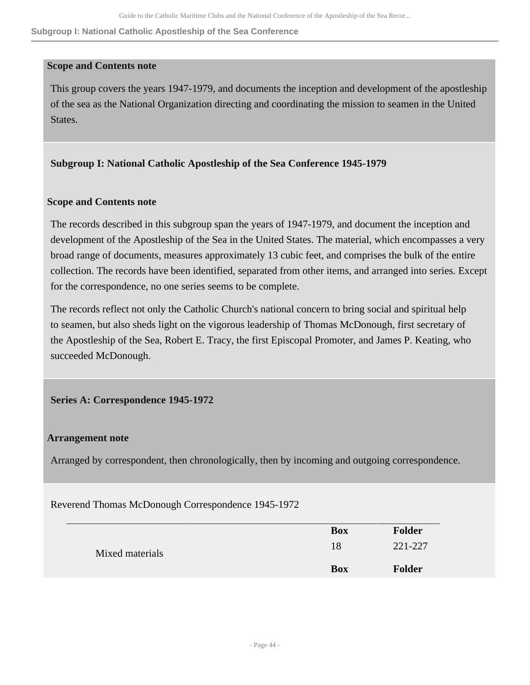**Subgroup I: National Catholic Apostleship of the Sea Conference**

## **Scope and Contents note**

This group covers the years 1947-1979, and documents the inception and development of the apostleship of the sea as the National Organization directing and coordinating the mission to seamen in the United States.

# **Subgroup I: National Catholic Apostleship of the Sea Conference 1945-1979**

## **Scope and Contents note**

The records described in this subgroup span the years of 1947-1979, and document the inception and development of the Apostleship of the Sea in the United States. The material, which encompasses a very broad range of documents, measures approximately 13 cubic feet, and comprises the bulk of the entire collection. The records have been identified, separated from other items, and arranged into series. Except for the correspondence, no one series seems to be complete.

The records reflect not only the Catholic Church's national concern to bring social and spiritual help to seamen, but also sheds light on the vigorous leadership of Thomas McDonough, first secretary of the Apostleship of the Sea, Robert E. Tracy, the first Episcopal Promoter, and James P. Keating, who succeeded McDonough.

## **Series A: Correspondence 1945-1972**

## **Arrangement note**

Arranged by correspondent, then chronologically, then by incoming and outgoing correspondence.

Reverend Thomas McDonough Correspondence 1945-1972

|                 | <b>Box</b> | <b>Folder</b> |
|-----------------|------------|---------------|
| Mixed materials | 18         | 221-227       |
|                 | <b>Box</b> | <b>Folder</b> |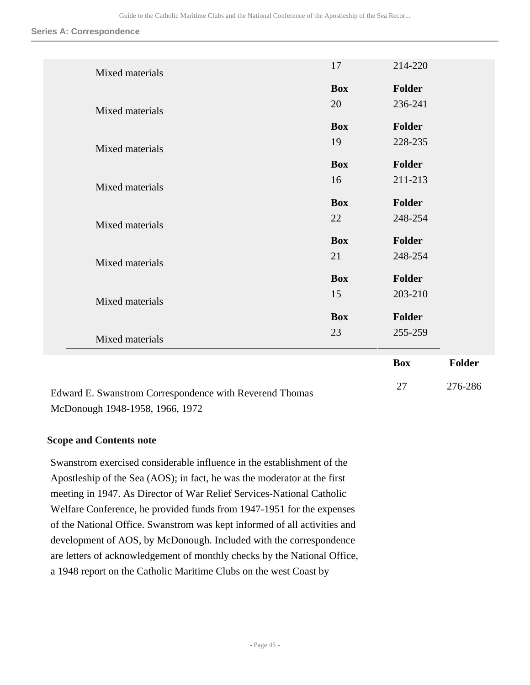**Series A: Correspondence**

|                 |                  | <b>Box</b> | Folder |
|-----------------|------------------|------------|--------|
| Mixed materials | 23               | 255-259    |        |
|                 | <b>Box</b>       | Folder     |        |
| Mixed materials |                  |            |        |
|                 | 15               | 203-210    |        |
|                 | <b>Box</b>       | Folder     |        |
| Mixed materials | 21               | 248-254    |        |
|                 | <b>Box</b>       | Folder     |        |
| Mixed materials | 22               | 248-254    |        |
|                 | <b>Box</b>       | Folder     |        |
| Mixed materials | 16               | 211-213    |        |
|                 | <b>Box</b>       | Folder     |        |
| Mixed materials |                  | 228-235    |        |
|                 | <b>Box</b><br>19 | Folder     |        |
| Mixed materials |                  |            |        |
|                 | 20               | 236-241    |        |
|                 | <b>Box</b>       | Folder     |        |
| Mixed materials | 17               | 214-220    |        |
|                 |                  |            |        |

27 276-286

Edward E. Swanstrom Correspondence with Reverend Thomas McDonough 1948-1958, 1966, 1972

## **Scope and Contents note**

Swanstrom exercised considerable influence in the establishment of the Apostleship of the Sea (AOS); in fact, he was the moderator at the first meeting in 1947. As Director of War Relief Services-National Catholic Welfare Conference, he provided funds from 1947-1951 for the expenses of the National Office. Swanstrom was kept informed of all activities and development of AOS, by McDonough. Included with the correspondence are letters of acknowledgement of monthly checks by the National Office, a 1948 report on the Catholic Maritime Clubs on the west Coast by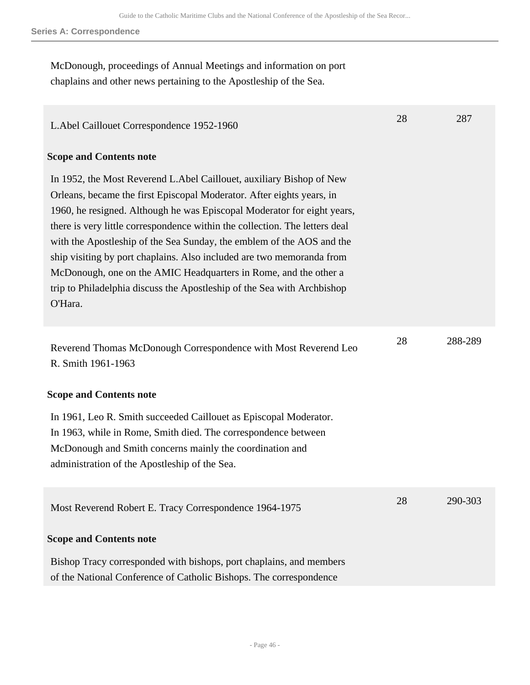#### **Series A: Correspondence**

McDonough, proceedings of Annual Meetings and information on port chaplains and other news pertaining to the Apostleship of the Sea.

| L. Abel Caillouet Correspondence 1952-1960                                                                                                                                                                                                                                                                                                                                                                                                                                                                                                                                                                           | 28 | 287     |
|----------------------------------------------------------------------------------------------------------------------------------------------------------------------------------------------------------------------------------------------------------------------------------------------------------------------------------------------------------------------------------------------------------------------------------------------------------------------------------------------------------------------------------------------------------------------------------------------------------------------|----|---------|
| <b>Scope and Contents note</b>                                                                                                                                                                                                                                                                                                                                                                                                                                                                                                                                                                                       |    |         |
| In 1952, the Most Reverend L. Abel Caillouet, auxiliary Bishop of New<br>Orleans, became the first Episcopal Moderator. After eights years, in<br>1960, he resigned. Although he was Episcopal Moderator for eight years,<br>there is very little correspondence within the collection. The letters deal<br>with the Apostleship of the Sea Sunday, the emblem of the AOS and the<br>ship visiting by port chaplains. Also included are two memoranda from<br>McDonough, one on the AMIC Headquarters in Rome, and the other a<br>trip to Philadelphia discuss the Apostleship of the Sea with Archbishop<br>O'Hara. |    |         |
| Reverend Thomas McDonough Correspondence with Most Reverend Leo<br>R. Smith 1961-1963                                                                                                                                                                                                                                                                                                                                                                                                                                                                                                                                | 28 | 288-289 |
| <b>Scope and Contents note</b>                                                                                                                                                                                                                                                                                                                                                                                                                                                                                                                                                                                       |    |         |
| In 1961, Leo R. Smith succeeded Caillouet as Episcopal Moderator.<br>In 1963, while in Rome, Smith died. The correspondence between<br>McDonough and Smith concerns mainly the coordination and<br>administration of the Apostleship of the Sea.                                                                                                                                                                                                                                                                                                                                                                     |    |         |
| Most Reverend Robert E. Tracy Correspondence 1964-1975                                                                                                                                                                                                                                                                                                                                                                                                                                                                                                                                                               | 28 | 290-303 |
| <b>Scope and Contents note</b>                                                                                                                                                                                                                                                                                                                                                                                                                                                                                                                                                                                       |    |         |
| Bishop Tracy corresponded with bishops, port chaplains, and members<br>of the National Conference of Catholic Bishops. The correspondence                                                                                                                                                                                                                                                                                                                                                                                                                                                                            |    |         |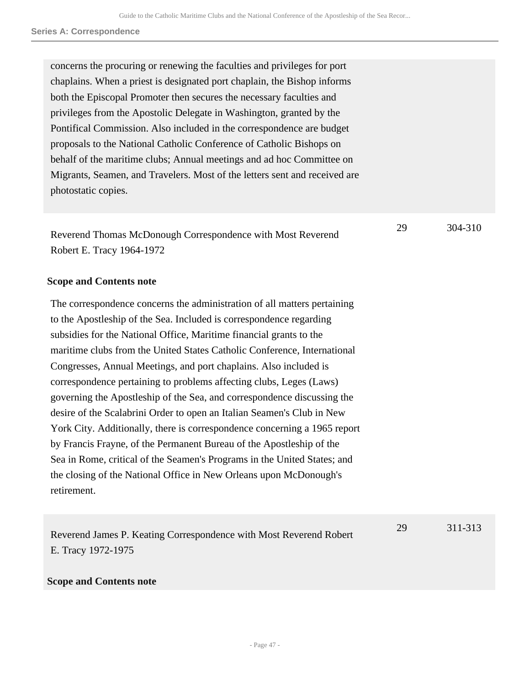| concerns the procuring or renewing the faculties and privileges for port<br>chaplains. When a priest is designated port chaplain, the Bishop informs<br>both the Episcopal Promoter then secures the necessary faculties and<br>privileges from the Apostolic Delegate in Washington, granted by the<br>Pontifical Commission. Also included in the correspondence are budget<br>proposals to the National Catholic Conference of Catholic Bishops on<br>behalf of the maritime clubs; Annual meetings and ad hoc Committee on<br>Migrants, Seamen, and Travelers. Most of the letters sent and received are<br>photostatic copies.                                                                                                                                                                                                                                                                                       |    |         |
|---------------------------------------------------------------------------------------------------------------------------------------------------------------------------------------------------------------------------------------------------------------------------------------------------------------------------------------------------------------------------------------------------------------------------------------------------------------------------------------------------------------------------------------------------------------------------------------------------------------------------------------------------------------------------------------------------------------------------------------------------------------------------------------------------------------------------------------------------------------------------------------------------------------------------|----|---------|
| Reverend Thomas McDonough Correspondence with Most Reverend<br>Robert E. Tracy 1964-1972                                                                                                                                                                                                                                                                                                                                                                                                                                                                                                                                                                                                                                                                                                                                                                                                                                  | 29 | 304-310 |
| <b>Scope and Contents note</b>                                                                                                                                                                                                                                                                                                                                                                                                                                                                                                                                                                                                                                                                                                                                                                                                                                                                                            |    |         |
| The correspondence concerns the administration of all matters pertaining<br>to the Apostleship of the Sea. Included is correspondence regarding<br>subsidies for the National Office, Maritime financial grants to the<br>maritime clubs from the United States Catholic Conference, International<br>Congresses, Annual Meetings, and port chaplains. Also included is<br>correspondence pertaining to problems affecting clubs, Leges (Laws)<br>governing the Apostleship of the Sea, and correspondence discussing the<br>desire of the Scalabrini Order to open an Italian Seamen's Club in New<br>York City. Additionally, there is correspondence concerning a 1965 report<br>by Francis Frayne, of the Permanent Bureau of the Apostleship of the<br>Sea in Rome, critical of the Seamen's Programs in the United States; and<br>the closing of the National Office in New Orleans upon McDonough's<br>retirement. |    |         |
| Reverend James P. Keating Correspondence with Most Reverend Robert<br>E. Tracy 1972-1975                                                                                                                                                                                                                                                                                                                                                                                                                                                                                                                                                                                                                                                                                                                                                                                                                                  | 29 | 311-313 |
| <b>Scope and Contents note</b>                                                                                                                                                                                                                                                                                                                                                                                                                                                                                                                                                                                                                                                                                                                                                                                                                                                                                            |    |         |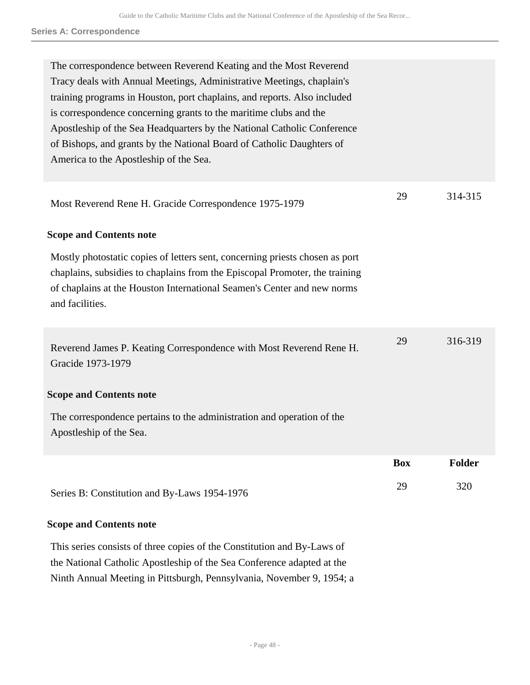| The correspondence between Reverend Keating and the Most Reverend<br>Tracy deals with Annual Meetings, Administrative Meetings, chaplain's<br>training programs in Houston, port chaplains, and reports. Also included<br>is correspondence concerning grants to the maritime clubs and the<br>Apostleship of the Sea Headquarters by the National Catholic Conference<br>of Bishops, and grants by the National Board of Catholic Daughters of<br>America to the Apostleship of the Sea. |            |               |
|-------------------------------------------------------------------------------------------------------------------------------------------------------------------------------------------------------------------------------------------------------------------------------------------------------------------------------------------------------------------------------------------------------------------------------------------------------------------------------------------|------------|---------------|
| Most Reverend Rene H. Gracide Correspondence 1975-1979                                                                                                                                                                                                                                                                                                                                                                                                                                    | 29         | 314-315       |
| <b>Scope and Contents note</b>                                                                                                                                                                                                                                                                                                                                                                                                                                                            |            |               |
| Mostly photostatic copies of letters sent, concerning priests chosen as port<br>chaplains, subsidies to chaplains from the Episcopal Promoter, the training<br>of chaplains at the Houston International Seamen's Center and new norms<br>and facilities.                                                                                                                                                                                                                                 |            |               |
| Reverend James P. Keating Correspondence with Most Reverend Rene H.<br>Gracide 1973-1979                                                                                                                                                                                                                                                                                                                                                                                                  | 29         | 316-319       |
| <b>Scope and Contents note</b>                                                                                                                                                                                                                                                                                                                                                                                                                                                            |            |               |
| The correspondence pertains to the administration and operation of the<br>Apostleship of the Sea.                                                                                                                                                                                                                                                                                                                                                                                         |            |               |
|                                                                                                                                                                                                                                                                                                                                                                                                                                                                                           | <b>Box</b> | <b>Folder</b> |
| Series B: Constitution and By-Laws 1954-1976                                                                                                                                                                                                                                                                                                                                                                                                                                              | 29         | 320           |

## **Scope and Contents note**

This series consists of three copies of the Constitution and By-Laws of the National Catholic Apostleship of the Sea Conference adapted at the Ninth Annual Meeting in Pittsburgh, Pennsylvania, November 9, 1954; a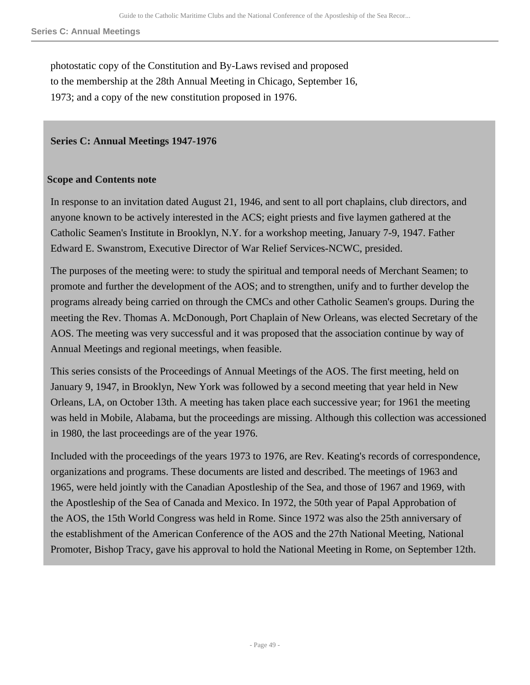photostatic copy of the Constitution and By-Laws revised and proposed to the membership at the 28th Annual Meeting in Chicago, September 16, 1973; and a copy of the new constitution proposed in 1976.

## **Series C: Annual Meetings 1947-1976**

## **Scope and Contents note**

In response to an invitation dated August 21, 1946, and sent to all port chaplains, club directors, and anyone known to be actively interested in the ACS; eight priests and five laymen gathered at the Catholic Seamen's Institute in Brooklyn, N.Y. for a workshop meeting, January 7-9, 1947. Father Edward E. Swanstrom, Executive Director of War Relief Services-NCWC, presided.

The purposes of the meeting were: to study the spiritual and temporal needs of Merchant Seamen; to promote and further the development of the AOS; and to strengthen, unify and to further develop the programs already being carried on through the CMCs and other Catholic Seamen's groups. During the meeting the Rev. Thomas A. McDonough, Port Chaplain of New Orleans, was elected Secretary of the AOS. The meeting was very successful and it was proposed that the association continue by way of Annual Meetings and regional meetings, when feasible.

This series consists of the Proceedings of Annual Meetings of the AOS. The first meeting, held on January 9, 1947, in Brooklyn, New York was followed by a second meeting that year held in New Orleans, LA, on October 13th. A meeting has taken place each successive year; for 1961 the meeting was held in Mobile, Alabama, but the proceedings are missing. Although this collection was accessioned in 1980, the last proceedings are of the year 1976.

Included with the proceedings of the years 1973 to 1976, are Rev. Keating's records of correspondence, organizations and programs. These documents are listed and described. The meetings of 1963 and 1965, were held jointly with the Canadian Apostleship of the Sea, and those of 1967 and 1969, with the Apostleship of the Sea of Canada and Mexico. In 1972, the 50th year of Papal Approbation of the AOS, the 15th World Congress was held in Rome. Since 1972 was also the 25th anniversary of the establishment of the American Conference of the AOS and the 27th National Meeting, National Promoter, Bishop Tracy, gave his approval to hold the National Meeting in Rome, on September 12th.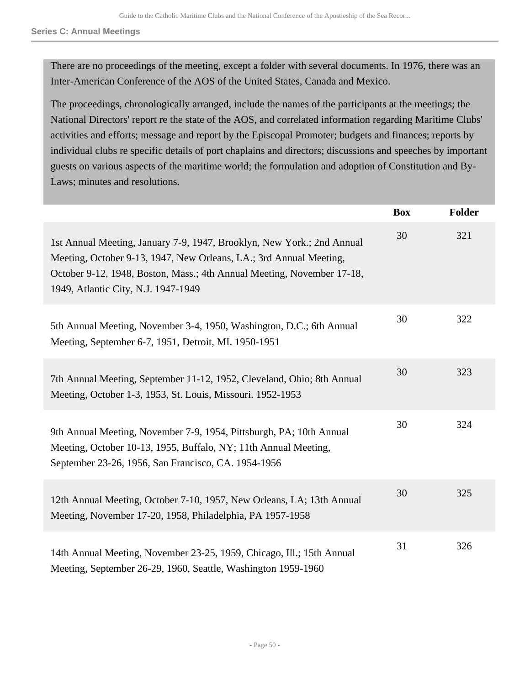Guide to the Catholic Maritime Clubs and the National Conference of the Apostleship of the Sea Recor...

**Series C: Annual Meetings**

There are no proceedings of the meeting, except a folder with several documents. In 1976, there was an Inter-American Conference of the AOS of the United States, Canada and Mexico.

The proceedings, chronologically arranged, include the names of the participants at the meetings; the National Directors' report re the state of the AOS, and correlated information regarding Maritime Clubs' activities and efforts; message and report by the Episcopal Promoter; budgets and finances; reports by individual clubs re specific details of port chaplains and directors; discussions and speeches by important guests on various aspects of the maritime world; the formulation and adoption of Constitution and By-Laws; minutes and resolutions.

|                                                                                                                                                                                                                                                               | <b>Box</b> | <b>Folder</b> |
|---------------------------------------------------------------------------------------------------------------------------------------------------------------------------------------------------------------------------------------------------------------|------------|---------------|
| 1st Annual Meeting, January 7-9, 1947, Brooklyn, New York.; 2nd Annual<br>Meeting, October 9-13, 1947, New Orleans, LA.; 3rd Annual Meeting,<br>October 9-12, 1948, Boston, Mass.; 4th Annual Meeting, November 17-18,<br>1949, Atlantic City, N.J. 1947-1949 | 30         | 321           |
| 5th Annual Meeting, November 3-4, 1950, Washington, D.C.; 6th Annual<br>Meeting, September 6-7, 1951, Detroit, MI. 1950-1951                                                                                                                                  | 30         | 322           |
| 7th Annual Meeting, September 11-12, 1952, Cleveland, Ohio; 8th Annual<br>Meeting, October 1-3, 1953, St. Louis, Missouri. 1952-1953                                                                                                                          | 30         | 323           |
| 9th Annual Meeting, November 7-9, 1954, Pittsburgh, PA; 10th Annual<br>Meeting, October 10-13, 1955, Buffalo, NY; 11th Annual Meeting,<br>September 23-26, 1956, San Francisco, CA. 1954-1956                                                                 | 30         | 324           |
| 12th Annual Meeting, October 7-10, 1957, New Orleans, LA; 13th Annual<br>Meeting, November 17-20, 1958, Philadelphia, PA 1957-1958                                                                                                                            | 30         | 325           |
| 14th Annual Meeting, November 23-25, 1959, Chicago, Ill.; 15th Annual<br>Meeting, September 26-29, 1960, Seattle, Washington 1959-1960                                                                                                                        | 31         | 326           |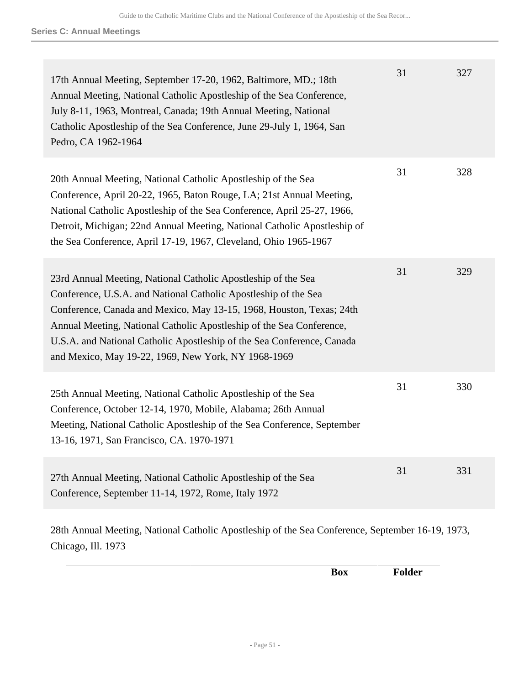| 17th Annual Meeting, September 17-20, 1962, Baltimore, MD.; 18th<br>Annual Meeting, National Catholic Apostleship of the Sea Conference,<br>July 8-11, 1963, Montreal, Canada; 19th Annual Meeting, National<br>Catholic Apostleship of the Sea Conference, June 29-July 1, 1964, San<br>Pedro, CA 1962-1964                                                                                                      | 31 | 327 |
|-------------------------------------------------------------------------------------------------------------------------------------------------------------------------------------------------------------------------------------------------------------------------------------------------------------------------------------------------------------------------------------------------------------------|----|-----|
| 20th Annual Meeting, National Catholic Apostleship of the Sea<br>Conference, April 20-22, 1965, Baton Rouge, LA; 21st Annual Meeting,<br>National Catholic Apostleship of the Sea Conference, April 25-27, 1966,<br>Detroit, Michigan; 22nd Annual Meeting, National Catholic Apostleship of<br>the Sea Conference, April 17-19, 1967, Cleveland, Ohio 1965-1967                                                  | 31 | 328 |
| 23rd Annual Meeting, National Catholic Apostleship of the Sea<br>Conference, U.S.A. and National Catholic Apostleship of the Sea<br>Conference, Canada and Mexico, May 13-15, 1968, Houston, Texas; 24th<br>Annual Meeting, National Catholic Apostleship of the Sea Conference,<br>U.S.A. and National Catholic Apostleship of the Sea Conference, Canada<br>and Mexico, May 19-22, 1969, New York, NY 1968-1969 | 31 | 329 |
| 25th Annual Meeting, National Catholic Apostleship of the Sea<br>Conference, October 12-14, 1970, Mobile, Alabama; 26th Annual<br>Meeting, National Catholic Apostleship of the Sea Conference, September<br>13-16, 1971, San Francisco, CA. 1970-1971                                                                                                                                                            | 31 | 330 |
| 27th Annual Meeting, National Catholic Apostleship of the Sea<br>Conference, September 11-14, 1972, Rome, Italy 1972                                                                                                                                                                                                                                                                                              | 31 | 331 |
| 28th Annual Meeting, National Catholic Apostleship of the Sea Conference, September 16-19, 1973,<br>Chicago, Ill. 1973                                                                                                                                                                                                                                                                                            |    |     |

**Box Folder**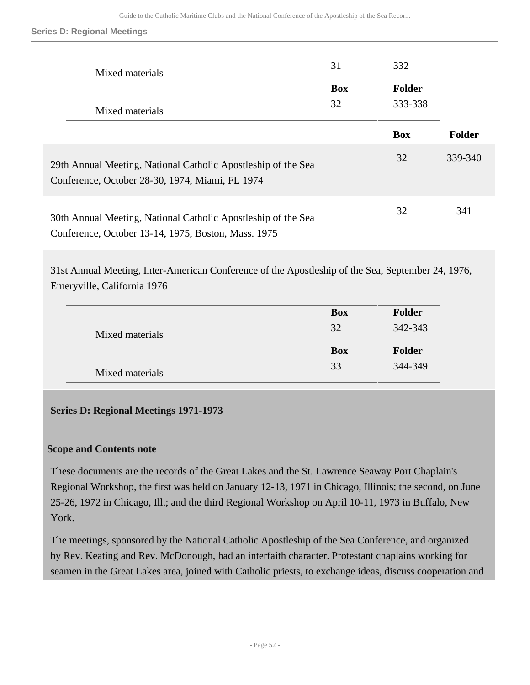#### **Series D: Regional Meetings**

| Mixed materials                                                                                                      | 31               | 332                      |         |
|----------------------------------------------------------------------------------------------------------------------|------------------|--------------------------|---------|
|                                                                                                                      | <b>Box</b><br>32 | <b>Folder</b><br>333-338 |         |
| Mixed materials                                                                                                      |                  |                          |         |
|                                                                                                                      |                  | <b>Box</b>               | Folder  |
| 29th Annual Meeting, National Catholic Apostleship of the Sea<br>Conference, October 28-30, 1974, Miami, FL 1974     |                  | 32                       | 339-340 |
| 30th Annual Meeting, National Catholic Apostleship of the Sea<br>Conference, October 13-14, 1975, Boston, Mass. 1975 |                  | 32                       | 341     |

31st Annual Meeting, Inter-American Conference of the Apostleship of the Sea, September 24, 1976, Emeryville, California 1976

|                 | <b>Box</b> | <b>Folder</b> |
|-----------------|------------|---------------|
| Mixed materials | 32         | 342-343       |
|                 | <b>Box</b> | <b>Folder</b> |
| Mixed materials | 33         | 344-349       |

## **Series D: Regional Meetings 1971-1973**

#### **Scope and Contents note**

These documents are the records of the Great Lakes and the St. Lawrence Seaway Port Chaplain's Regional Workshop, the first was held on January 12-13, 1971 in Chicago, Illinois; the second, on June 25-26, 1972 in Chicago, Ill.; and the third Regional Workshop on April 10-11, 1973 in Buffalo, New York.

The meetings, sponsored by the National Catholic Apostleship of the Sea Conference, and organized by Rev. Keating and Rev. McDonough, had an interfaith character. Protestant chaplains working for seamen in the Great Lakes area, joined with Catholic priests, to exchange ideas, discuss cooperation and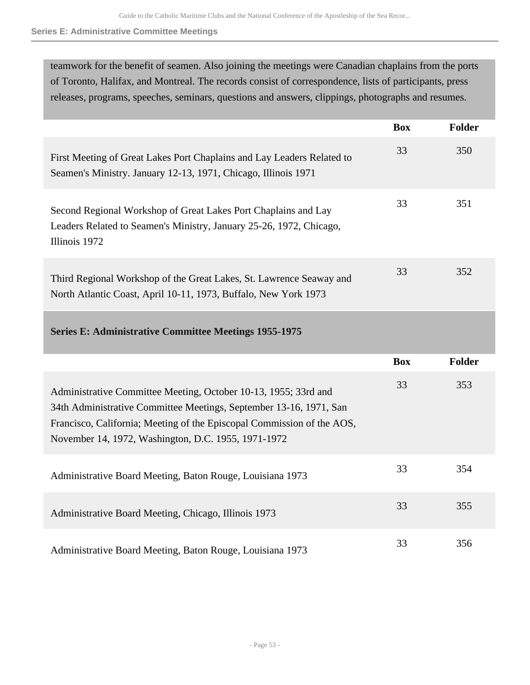#### **Series E: Administrative Committee Meetings**

teamwork for the benefit of seamen. Also joining the meetings were Canadian chaplains from the ports of Toronto, Halifax, and Montreal. The records consist of correspondence, lists of participants, press releases, programs, speeches, seminars, questions and answers, clippings, photographs and resumes.

|                                                                                                                                                        | <b>Box</b> | <b>Folder</b> |
|--------------------------------------------------------------------------------------------------------------------------------------------------------|------------|---------------|
| First Meeting of Great Lakes Port Chaplains and Lay Leaders Related to<br>Seamen's Ministry. January 12-13, 1971, Chicago, Illinois 1971               | 33         | 350           |
| Second Regional Workshop of Great Lakes Port Chaplains and Lay<br>Leaders Related to Seamen's Ministry, January 25-26, 1972, Chicago,<br>Illinois 1972 | 33         | 351           |
| Third Regional Workshop of the Great Lakes, St. Lawrence Seaway and<br>North Atlantic Coast, April 10-11, 1973, Buffalo, New York 1973                 | 33         | 352           |
| <b>Series E: Administrative Committee Meetings 1955-1975</b>                                                                                           |            |               |
|                                                                                                                                                        | <b>Box</b> | <b>Folder</b> |
|                                                                                                                                                        | 22         | 252           |

| Administrative Committee Meeting, October 10-13, 1955; 33rd and<br>34th Administrative Committee Meetings, September 13-16, 1971, San<br>Francisco, California; Meeting of the Episcopal Commission of the AOS,<br>November 14, 1972, Washington, D.C. 1955, 1971-1972 | 33 | 353 |
|------------------------------------------------------------------------------------------------------------------------------------------------------------------------------------------------------------------------------------------------------------------------|----|-----|
| Administrative Board Meeting, Baton Rouge, Louisiana 1973                                                                                                                                                                                                              | 33 | 354 |
| Administrative Board Meeting, Chicago, Illinois 1973                                                                                                                                                                                                                   | 33 | 355 |
|                                                                                                                                                                                                                                                                        |    |     |

Administrative Board Meeting, Baton Rouge, Louisiana 1973 33 356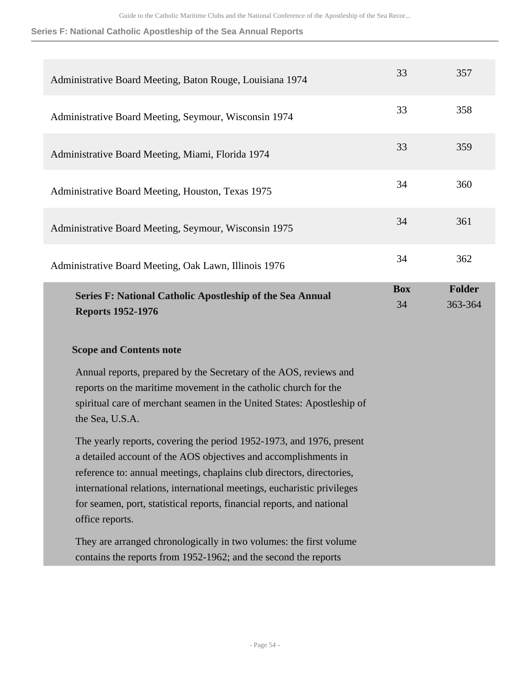**Series F: National Catholic Apostleship of the Sea Annual Reports**

| Administrative Board Meeting, Baton Rouge, Louisiana 1974                                                                                                                                                                                                                                                                                                                                | 33               | 357                      |
|------------------------------------------------------------------------------------------------------------------------------------------------------------------------------------------------------------------------------------------------------------------------------------------------------------------------------------------------------------------------------------------|------------------|--------------------------|
| Administrative Board Meeting, Seymour, Wisconsin 1974                                                                                                                                                                                                                                                                                                                                    | 33               | 358                      |
| Administrative Board Meeting, Miami, Florida 1974                                                                                                                                                                                                                                                                                                                                        | 33               | 359                      |
| Administrative Board Meeting, Houston, Texas 1975                                                                                                                                                                                                                                                                                                                                        | 34               | 360                      |
| Administrative Board Meeting, Seymour, Wisconsin 1975                                                                                                                                                                                                                                                                                                                                    | 34               | 361                      |
| Administrative Board Meeting, Oak Lawn, Illinois 1976                                                                                                                                                                                                                                                                                                                                    | 34               | 362                      |
| Series F: National Catholic Apostleship of the Sea Annual<br><b>Reports 1952-1976</b>                                                                                                                                                                                                                                                                                                    | <b>Box</b><br>34 | <b>Folder</b><br>363-364 |
| <b>Scope and Contents note</b>                                                                                                                                                                                                                                                                                                                                                           |                  |                          |
| Annual reports, prepared by the Secretary of the AOS, reviews and<br>reports on the maritime movement in the catholic church for the<br>spiritual care of merchant seamen in the United States: Apostleship of                                                                                                                                                                           |                  |                          |
| the Sea, U.S.A.                                                                                                                                                                                                                                                                                                                                                                          |                  |                          |
| The yearly reports, covering the period 1952-1973, and 1976, present<br>a detailed account of the AOS objectives and accomplishments in<br>reference to: annual meetings, chaplains club directors, directories,<br>international relations, international meetings, eucharistic privileges<br>for seamen, port, statistical reports, financial reports, and national<br>office reports. |                  |                          |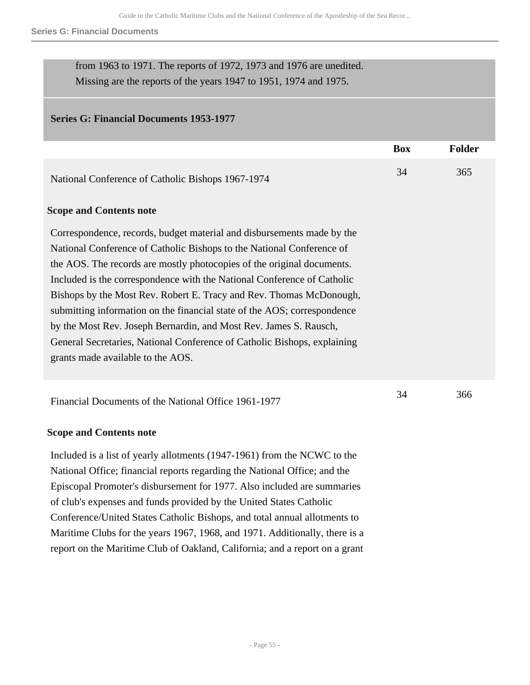#### **Series G: Financial Documents**

| from 1963 to 1971. The reports of 1972, 1973 and 1976 are unedited. |
|---------------------------------------------------------------------|
| Missing are the reports of the years 1947 to 1951, 1974 and 1975.   |

## **Series G: Financial Documents 1953-1977**

|                                                                                                                                                                                                                                                                                                                                                                                                                                                                                                                                                                                                                                               | <b>Box</b> | <b>Folder</b> |
|-----------------------------------------------------------------------------------------------------------------------------------------------------------------------------------------------------------------------------------------------------------------------------------------------------------------------------------------------------------------------------------------------------------------------------------------------------------------------------------------------------------------------------------------------------------------------------------------------------------------------------------------------|------------|---------------|
| National Conference of Catholic Bishops 1967-1974                                                                                                                                                                                                                                                                                                                                                                                                                                                                                                                                                                                             | 34         | 365           |
| <b>Scope and Contents note</b>                                                                                                                                                                                                                                                                                                                                                                                                                                                                                                                                                                                                                |            |               |
| Correspondence, records, budget material and disbursements made by the<br>National Conference of Catholic Bishops to the National Conference of<br>the AOS. The records are mostly photocopies of the original documents.<br>Included is the correspondence with the National Conference of Catholic<br>Bishops by the Most Rev. Robert E. Tracy and Rev. Thomas McDonough,<br>submitting information on the financial state of the AOS; correspondence<br>by the Most Rev. Joseph Bernardin, and Most Rev. James S. Rausch,<br>General Secretaries, National Conference of Catholic Bishops, explaining<br>grants made available to the AOS. |            |               |
| Financial Documents of the National Office 1961-1977                                                                                                                                                                                                                                                                                                                                                                                                                                                                                                                                                                                          | 34         | 366           |
| <b>Scope and Contents note</b>                                                                                                                                                                                                                                                                                                                                                                                                                                                                                                                                                                                                                |            |               |
| Included is a list of yearly allotments (1947-1961) from the NCWC to the<br>National Office; financial reports regarding the National Office; and the                                                                                                                                                                                                                                                                                                                                                                                                                                                                                         |            |               |

Episcopal Promoter's disbursement for 1977. Also included are summaries of club's expenses and funds provided by the United States Catholic Conference/United States Catholic Bishops, and total annual allotments to Maritime Clubs for the years 1967, 1968, and 1971. Additionally, there is a report on the Maritime Club of Oakland, California; and a report on a grant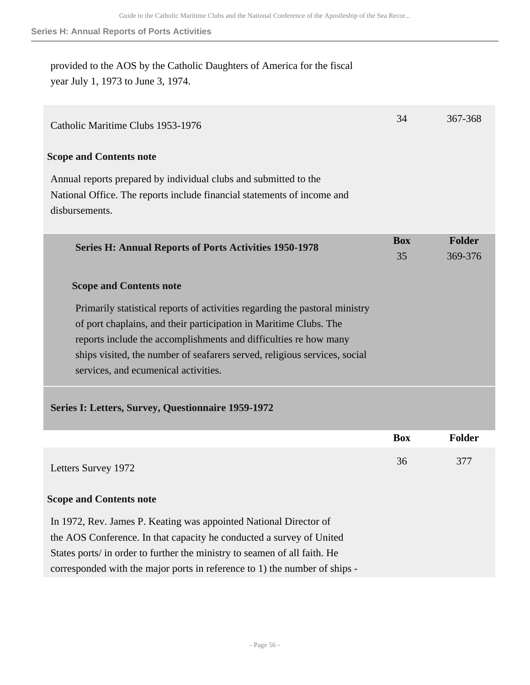provided to the AOS by the Catholic Daughters of America for the fiscal year July 1, 1973 to June 3, 1974.

| Catholic Maritime Clubs 1953-1976                                                                                                                                                                                                                                                                                                         | 34               | 367-368                  |
|-------------------------------------------------------------------------------------------------------------------------------------------------------------------------------------------------------------------------------------------------------------------------------------------------------------------------------------------|------------------|--------------------------|
| <b>Scope and Contents note</b>                                                                                                                                                                                                                                                                                                            |                  |                          |
| Annual reports prepared by individual clubs and submitted to the<br>National Office. The reports include financial statements of income and<br>disbursements.                                                                                                                                                                             |                  |                          |
| <b>Series H: Annual Reports of Ports Activities 1950-1978</b>                                                                                                                                                                                                                                                                             | <b>Box</b><br>35 | <b>Folder</b><br>369-376 |
| <b>Scope and Contents note</b>                                                                                                                                                                                                                                                                                                            |                  |                          |
| Primarily statistical reports of activities regarding the pastoral ministry<br>of port chaplains, and their participation in Maritime Clubs. The<br>reports include the accomplishments and difficulties re how many<br>ships visited, the number of seafarers served, religious services, social<br>services, and ecumenical activities. |                  |                          |
| Series I: Letters, Survey, Questionnaire 1959-1972                                                                                                                                                                                                                                                                                        |                  |                          |
|                                                                                                                                                                                                                                                                                                                                           | <b>Box</b>       | <b>Folder</b>            |
| Letters Survey 1972                                                                                                                                                                                                                                                                                                                       | 36               | 377                      |
| <b>Scope and Contents note</b>                                                                                                                                                                                                                                                                                                            |                  |                          |
| In 1972, Rev. James P. Keating was appointed National Director of<br>the AOS Conference. In that capacity he conducted a survey of United<br>States ports/ in order to further the ministry to seamen of all faith. He<br>corresponded with the major ports in reference to 1) the number of ships -                                      |                  |                          |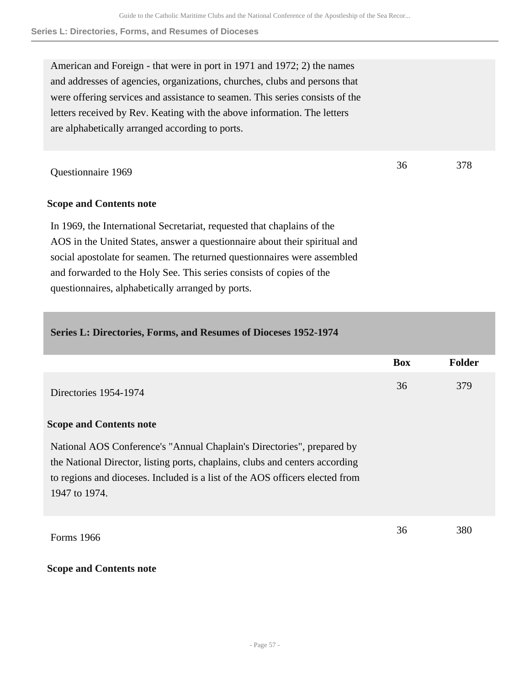36 378

American and Foreign - that were in port in 1971 and 1972; 2) the names and addresses of agencies, organizations, churches, clubs and persons that were offering services and assistance to seamen. This series consists of the letters received by Rev. Keating with the above information. The letters are alphabetically arranged according to ports.

Questionnaire 1969

## **Scope and Contents note**

In 1969, the International Secretariat, requested that chaplains of the AOS in the United States, answer a questionnaire about their spiritual and social apostolate for seamen. The returned questionnaires were assembled and forwarded to the Holy See. This series consists of copies of the questionnaires, alphabetically arranged by ports.

| Series L: Directories, Forms, and Resumes of Dioceses 1952-1974                                                                                                                                                                                         |            |               |
|---------------------------------------------------------------------------------------------------------------------------------------------------------------------------------------------------------------------------------------------------------|------------|---------------|
|                                                                                                                                                                                                                                                         | <b>Box</b> | <b>Folder</b> |
| Directories 1954-1974                                                                                                                                                                                                                                   | 36         | 379           |
| <b>Scope and Contents note</b>                                                                                                                                                                                                                          |            |               |
| National AOS Conference's "Annual Chaplain's Directories", prepared by<br>the National Director, listing ports, chaplains, clubs and centers according<br>to regions and dioceses. Included is a list of the AOS officers elected from<br>1947 to 1974. |            |               |
| Forms 1966                                                                                                                                                                                                                                              | 36         | 380           |

## **Scope and Contents note**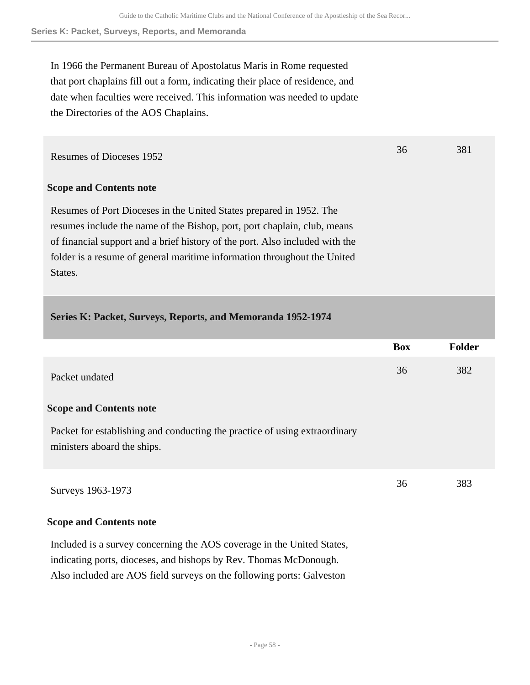36 381

**Series K: Packet, Surveys, Reports, and Memoranda**

In 1966 the Permanent Bureau of Apostolatus Maris in Rome requested that port chaplains fill out a form, indicating their place of residence, and date when faculties were received. This information was needed to update the Directories of the AOS Chaplains.

Resumes of Dioceses 1952

## **Scope and Contents note**

Resumes of Port Dioceses in the United States prepared in 1952. The resumes include the name of the Bishop, port, port chaplain, club, means of financial support and a brief history of the port. Also included with the folder is a resume of general maritime information throughout the United States.

## **Series K: Packet, Surveys, Reports, and Memoranda 1952-1974**

|                                                                                                           | <b>Box</b> | <b>Folder</b> |
|-----------------------------------------------------------------------------------------------------------|------------|---------------|
| Packet undated                                                                                            | 36         | 382           |
| <b>Scope and Contents note</b>                                                                            |            |               |
| Packet for establishing and conducting the practice of using extraordinary<br>ministers aboard the ships. |            |               |
| Surveys 1963-1973                                                                                         | 36         | 383           |

#### **Scope and Contents note**

Included is a survey concerning the AOS coverage in the United States, indicating ports, dioceses, and bishops by Rev. Thomas McDonough. Also included are AOS field surveys on the following ports: Galveston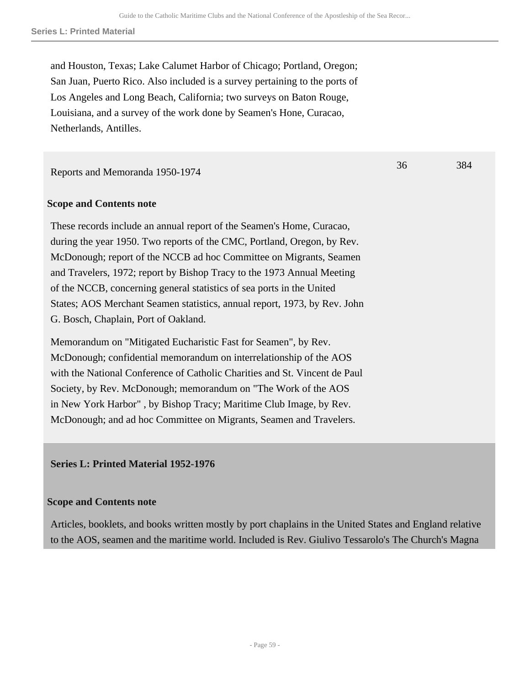36 384

and Houston, Texas; Lake Calumet Harbor of Chicago; Portland, Oregon; San Juan, Puerto Rico. Also included is a survey pertaining to the ports of Los Angeles and Long Beach, California; two surveys on Baton Rouge, Louisiana, and a survey of the work done by Seamen's Hone, Curacao, Netherlands, Antilles.

Reports and Memoranda 1950-1974

## **Scope and Contents note**

These records include an annual report of the Seamen's Home, Curacao, during the year 1950. Two reports of the CMC, Portland, Oregon, by Rev. McDonough; report of the NCCB ad hoc Committee on Migrants, Seamen and Travelers, 1972; report by Bishop Tracy to the 1973 Annual Meeting of the NCCB, concerning general statistics of sea ports in the United States; AOS Merchant Seamen statistics, annual report, 1973, by Rev. John G. Bosch, Chaplain, Port of Oakland.

Memorandum on "Mitigated Eucharistic Fast for Seamen", by Rev. McDonough; confidential memorandum on interrelationship of the AOS with the National Conference of Catholic Charities and St. Vincent de Paul Society, by Rev. McDonough; memorandum on "The Work of the AOS in New York Harbor" , by Bishop Tracy; Maritime Club Image, by Rev. McDonough; and ad hoc Committee on Migrants, Seamen and Travelers.

**Series L: Printed Material 1952-1976** 

## **Scope and Contents note**

Articles, booklets, and books written mostly by port chaplains in the United States and England relative to the AOS, seamen and the maritime world. Included is Rev. Giulivo Tessarolo's The Church's Magna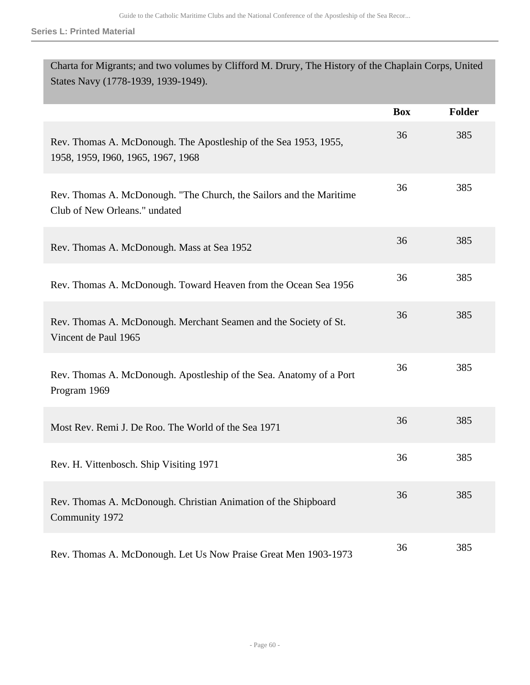**Series L: Printed Material**

Î.

| Charta for Migrants; and two volumes by Clifford M. Drury, The History of the Chaplain Corps, United<br>States Navy (1778-1939, 1939-1949). |            |        |  |
|---------------------------------------------------------------------------------------------------------------------------------------------|------------|--------|--|
|                                                                                                                                             | <b>Box</b> | Folder |  |
| Rev. Thomas A. McDonough. The Apostleship of the Sea 1953, 1955,<br>1958, 1959, 1960, 1965, 1967, 1968                                      | 36         | 385    |  |
| Rev. Thomas A. McDonough. "The Church, the Sailors and the Maritime<br>Club of New Orleans." undated                                        | 36         | 385    |  |
| Rev. Thomas A. McDonough. Mass at Sea 1952                                                                                                  | 36         | 385    |  |
| Rev. Thomas A. McDonough. Toward Heaven from the Ocean Sea 1956                                                                             | 36         | 385    |  |
| Rev. Thomas A. McDonough. Merchant Seamen and the Society of St.<br>Vincent de Paul 1965                                                    | 36         | 385    |  |
| Rev. Thomas A. McDonough. Apostleship of the Sea. Anatomy of a Port<br>Program 1969                                                         | 36         | 385    |  |
| Most Rev. Remi J. De Roo. The World of the Sea 1971                                                                                         | 36         | 385    |  |
| Rev. H. Vittenbosch. Ship Visiting 1971                                                                                                     | 36         | 385    |  |
| Rev. Thomas A. McDonough. Christian Animation of the Shipboard<br>Community 1972                                                            | 36         | 385    |  |
| Rev. Thomas A. McDonough. Let Us Now Praise Great Men 1903-1973                                                                             | 36         | 385    |  |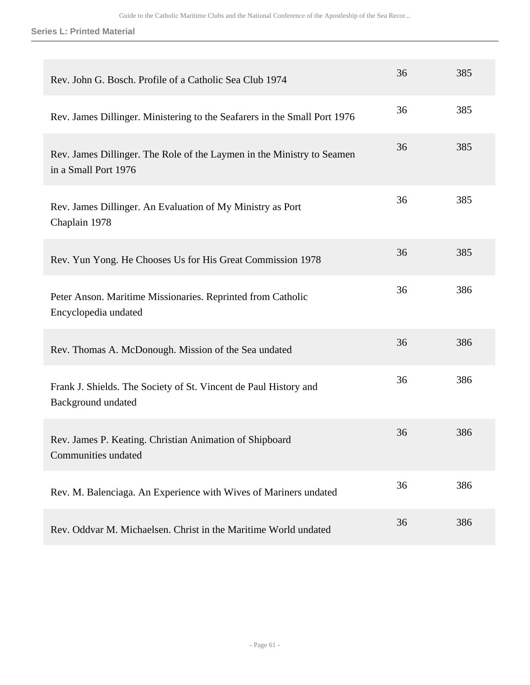**Series L: Printed Material**

| Rev. John G. Bosch. Profile of a Catholic Sea Club 1974                                        | 36 | 385 |
|------------------------------------------------------------------------------------------------|----|-----|
| Rev. James Dillinger. Ministering to the Seafarers in the Small Port 1976                      | 36 | 385 |
| Rev. James Dillinger. The Role of the Laymen in the Ministry to Seamen<br>in a Small Port 1976 | 36 | 385 |
| Rev. James Dillinger. An Evaluation of My Ministry as Port<br>Chaplain 1978                    | 36 | 385 |
| Rev. Yun Yong. He Chooses Us for His Great Commission 1978                                     | 36 | 385 |
| Peter Anson. Maritime Missionaries. Reprinted from Catholic<br>Encyclopedia undated            | 36 | 386 |
| Rev. Thomas A. McDonough. Mission of the Sea undated                                           | 36 | 386 |
| Frank J. Shields. The Society of St. Vincent de Paul History and<br><b>Background</b> undated  | 36 | 386 |
| Rev. James P. Keating. Christian Animation of Shipboard<br>Communities undated                 | 36 | 386 |
| Rev. M. Balenciaga. An Experience with Wives of Mariners undated                               | 36 | 386 |
| Rev. Oddvar M. Michaelsen. Christ in the Maritime World undated                                | 36 | 386 |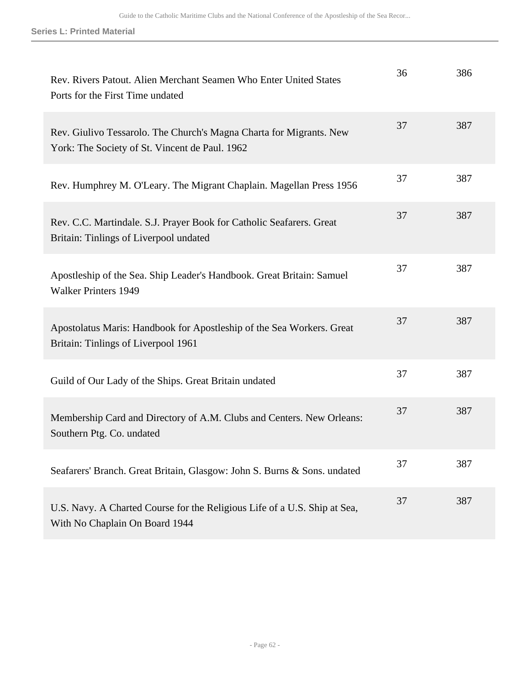**Series L: Printed Material**

| Rev. Rivers Patout. Alien Merchant Seamen Who Enter United States<br>Ports for the First Time undated                 | 36 | 386 |
|-----------------------------------------------------------------------------------------------------------------------|----|-----|
| Rev. Giulivo Tessarolo. The Church's Magna Charta for Migrants. New<br>York: The Society of St. Vincent de Paul. 1962 | 37 | 387 |
| Rev. Humphrey M. O'Leary. The Migrant Chaplain. Magellan Press 1956                                                   | 37 | 387 |
| Rev. C.C. Martindale. S.J. Prayer Book for Catholic Seafarers. Great<br>Britain: Tinlings of Liverpool undated        | 37 | 387 |
| Apostleship of the Sea. Ship Leader's Handbook. Great Britain: Samuel<br><b>Walker Printers 1949</b>                  | 37 | 387 |
| Apostolatus Maris: Handbook for Apostleship of the Sea Workers. Great<br>Britain: Tinlings of Liverpool 1961          | 37 | 387 |
| Guild of Our Lady of the Ships. Great Britain undated                                                                 | 37 | 387 |
| Membership Card and Directory of A.M. Clubs and Centers. New Orleans:<br>Southern Ptg. Co. undated                    | 37 | 387 |
| Seafarers' Branch. Great Britain, Glasgow: John S. Burns & Sons. undated                                              | 37 | 387 |
| U.S. Navy. A Charted Course for the Religious Life of a U.S. Ship at Sea,<br>With No Chaplain On Board 1944           | 37 | 387 |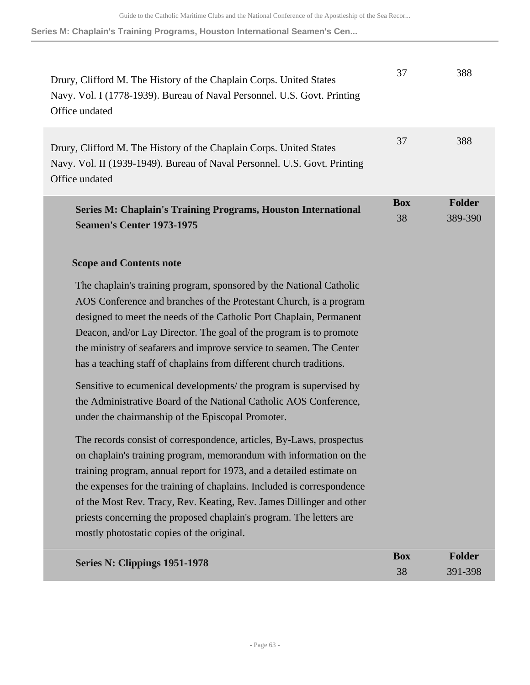**Series M: Chaplain's Training Programs, Houston International Seamen's Cen...**

| Drury, Clifford M. The History of the Chaplain Corps. United States<br>Navy. Vol. I (1778-1939). Bureau of Naval Personnel. U.S. Govt. Printing<br>Office undated                                                                                                                                                                                                                                                                                                                         | 37               | 388                      |
|-------------------------------------------------------------------------------------------------------------------------------------------------------------------------------------------------------------------------------------------------------------------------------------------------------------------------------------------------------------------------------------------------------------------------------------------------------------------------------------------|------------------|--------------------------|
| Drury, Clifford M. The History of the Chaplain Corps. United States<br>Navy. Vol. II (1939-1949). Bureau of Naval Personnel. U.S. Govt. Printing<br>Office undated                                                                                                                                                                                                                                                                                                                        | 37               | 388                      |
| <b>Series M: Chaplain's Training Programs, Houston International</b><br><b>Seamen's Center 1973-1975</b>                                                                                                                                                                                                                                                                                                                                                                                  | <b>Box</b><br>38 | <b>Folder</b><br>389-390 |
| <b>Scope and Contents note</b>                                                                                                                                                                                                                                                                                                                                                                                                                                                            |                  |                          |
| The chaplain's training program, sponsored by the National Catholic<br>AOS Conference and branches of the Protestant Church, is a program<br>designed to meet the needs of the Catholic Port Chaplain, Permanent<br>Deacon, and/or Lay Director. The goal of the program is to promote<br>the ministry of seafarers and improve service to seamen. The Center<br>has a teaching staff of chaplains from different church traditions.                                                      |                  |                          |
| Sensitive to ecumenical developments/ the program is supervised by<br>the Administrative Board of the National Catholic AOS Conference,<br>under the chairmanship of the Episcopal Promoter.                                                                                                                                                                                                                                                                                              |                  |                          |
| The records consist of correspondence, articles, By-Laws, prospectus<br>on chaplain's training program, memorandum with information on the<br>training program, annual report for 1973, and a detailed estimate on<br>the expenses for the training of chaplains. Included is correspondence<br>of the Most Rev. Tracy, Rev. Keating, Rev. James Dillinger and other<br>priests concerning the proposed chaplain's program. The letters are<br>mostly photostatic copies of the original. |                  |                          |
| Series N: Clippings 1951-1978                                                                                                                                                                                                                                                                                                                                                                                                                                                             | <b>Box</b><br>38 | <b>Folder</b><br>391-398 |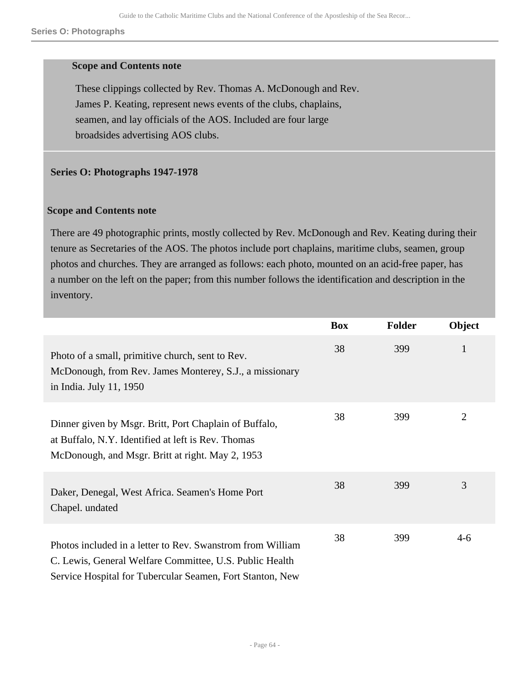#### **Scope and Contents note**

These clippings collected by Rev. Thomas A. McDonough and Rev. James P. Keating, represent news events of the clubs, chaplains, seamen, and lay officials of the AOS. Included are four large broadsides advertising AOS clubs.

### **Series O: Photographs 1947-1978**

#### **Scope and Contents note**

There are 49 photographic prints, mostly collected by Rev. McDonough and Rev. Keating during their tenure as Secretaries of the AOS. The photos include port chaplains, maritime clubs, seamen, group photos and churches. They are arranged as follows: each photo, mounted on an acid-free paper, has a number on the left on the paper; from this number follows the identification and description in the inventory.

|                                                                                                                                                                                    | <b>Box</b> | <b>Folder</b> | Object         |
|------------------------------------------------------------------------------------------------------------------------------------------------------------------------------------|------------|---------------|----------------|
| Photo of a small, primitive church, sent to Rev.<br>McDonough, from Rev. James Monterey, S.J., a missionary<br>in India. July 11, 1950                                             | 38         | 399           | 1              |
| Dinner given by Msgr. Britt, Port Chaplain of Buffalo,<br>at Buffalo, N.Y. Identified at left is Rev. Thomas<br>McDonough, and Msgr. Britt at right. May 2, 1953                   | 38         | 399           | $\overline{2}$ |
| Daker, Denegal, West Africa. Seamen's Home Port<br>Chapel. undated                                                                                                                 | 38         | 399           | 3              |
| Photos included in a letter to Rev. Swanstrom from William<br>C. Lewis, General Welfare Committee, U.S. Public Health<br>Service Hospital for Tubercular Seamen, Fort Stanton, New | 38         | 399           | $4 - 6$        |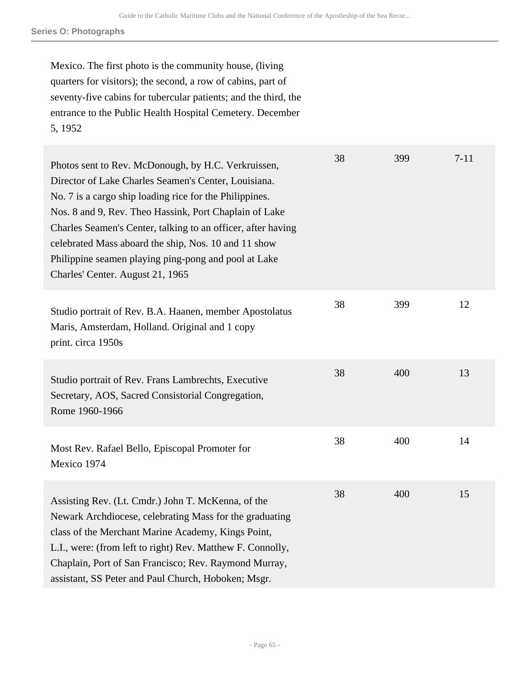**Series O: Photographs**

Mexico. The first photo is the community house, (living quarters for visitors); the second, a row of cabins, part of seventy-five cabins for tubercular patients; and the third, the entrance to the Public Health Hospital Cemetery. December 5, 1952

| Photos sent to Rev. McDonough, by H.C. Verkruissen,<br>Director of Lake Charles Seamen's Center, Louisiana.<br>No. 7 is a cargo ship loading rice for the Philippines.<br>Nos. 8 and 9, Rev. Theo Hassink, Port Chaplain of Lake<br>Charles Seamen's Center, talking to an officer, after having<br>celebrated Mass aboard the ship, Nos. 10 and 11 show<br>Philippine seamen playing ping-pong and pool at Lake<br>Charles' Center. August 21, 1965 | 38 | 399 | $7 - 11$ |
|------------------------------------------------------------------------------------------------------------------------------------------------------------------------------------------------------------------------------------------------------------------------------------------------------------------------------------------------------------------------------------------------------------------------------------------------------|----|-----|----------|
| Studio portrait of Rev. B.A. Haanen, member Apostolatus<br>Maris, Amsterdam, Holland. Original and 1 copy<br>print. circa 1950s                                                                                                                                                                                                                                                                                                                      | 38 | 399 | 12       |
| Studio portrait of Rev. Frans Lambrechts, Executive<br>Secretary, AOS, Sacred Consistorial Congregation,<br>Rome 1960-1966                                                                                                                                                                                                                                                                                                                           | 38 | 400 | 13       |
| Most Rev. Rafael Bello, Episcopal Promoter for<br>Mexico 1974                                                                                                                                                                                                                                                                                                                                                                                        | 38 | 400 | 14       |
| Assisting Rev. (Lt. Cmdr.) John T. McKenna, of the<br>Newark Archdiocese, celebrating Mass for the graduating<br>class of the Merchant Marine Academy, Kings Point,<br>L.I., were: (from left to right) Rev. Matthew F. Connolly,<br>Chaplain, Port of San Francisco; Rev. Raymond Murray,<br>assistant, SS Peter and Paul Church, Hoboken; Msgr.                                                                                                    | 38 | 400 | 15       |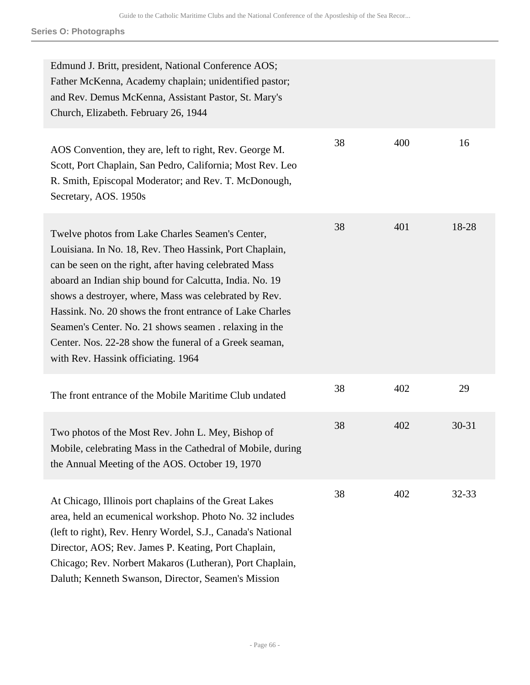**Series O: Photographs**

| Edmund J. Britt, president, National Conference AOS;<br>Father McKenna, Academy chaplain; unidentified pastor;<br>and Rev. Demus McKenna, Assistant Pastor, St. Mary's<br>Church, Elizabeth. February 26, 1944                                                                                                                                                                                                                                                                                                   |    |     |           |
|------------------------------------------------------------------------------------------------------------------------------------------------------------------------------------------------------------------------------------------------------------------------------------------------------------------------------------------------------------------------------------------------------------------------------------------------------------------------------------------------------------------|----|-----|-----------|
| AOS Convention, they are, left to right, Rev. George M.<br>Scott, Port Chaplain, San Pedro, California; Most Rev. Leo<br>R. Smith, Episcopal Moderator; and Rev. T. McDonough,<br>Secretary, AOS. 1950s                                                                                                                                                                                                                                                                                                          | 38 | 400 | 16        |
| Twelve photos from Lake Charles Seamen's Center,<br>Louisiana. In No. 18, Rev. Theo Hassink, Port Chaplain,<br>can be seen on the right, after having celebrated Mass<br>aboard an Indian ship bound for Calcutta, India. No. 19<br>shows a destroyer, where, Mass was celebrated by Rev.<br>Hassink. No. 20 shows the front entrance of Lake Charles<br>Seamen's Center. No. 21 shows seamen . relaxing in the<br>Center. Nos. 22-28 show the funeral of a Greek seaman,<br>with Rev. Hassink officiating. 1964 | 38 | 401 | 18-28     |
| The front entrance of the Mobile Maritime Club undated                                                                                                                                                                                                                                                                                                                                                                                                                                                           | 38 | 402 | 29        |
| Two photos of the Most Rev. John L. Mey, Bishop of<br>Mobile, celebrating Mass in the Cathedral of Mobile, during<br>the Annual Meeting of the AOS. October 19, 1970                                                                                                                                                                                                                                                                                                                                             | 38 | 402 | $30 - 31$ |
| At Chicago, Illinois port chaplains of the Great Lakes<br>area, held an ecumenical workshop. Photo No. 32 includes<br>(left to right), Rev. Henry Wordel, S.J., Canada's National<br>Director, AOS; Rev. James P. Keating, Port Chaplain,<br>Chicago; Rev. Norbert Makaros (Lutheran), Port Chaplain,<br>Daluth; Kenneth Swanson, Director, Seamen's Mission                                                                                                                                                     | 38 | 402 | $32 - 33$ |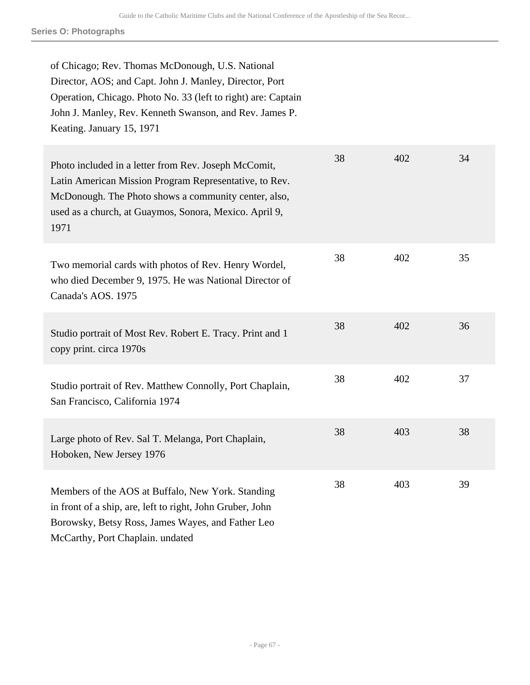**Series O: Photographs**

| of Chicago; Rev. Thomas McDonough, U.S. National<br>Director, AOS; and Capt. John J. Manley, Director, Port<br>Operation, Chicago. Photo No. 33 (left to right) are: Captain<br>John J. Manley, Rev. Kenneth Swanson, and Rev. James P.<br>Keating. January 15, 1971 |    |     |    |
|----------------------------------------------------------------------------------------------------------------------------------------------------------------------------------------------------------------------------------------------------------------------|----|-----|----|
| Photo included in a letter from Rev. Joseph McComit,<br>Latin American Mission Program Representative, to Rev.<br>McDonough. The Photo shows a community center, also,<br>used as a church, at Guaymos, Sonora, Mexico. April 9,<br>1971                             | 38 | 402 | 34 |
| Two memorial cards with photos of Rev. Henry Wordel,<br>who died December 9, 1975. He was National Director of<br>Canada's AOS. 1975                                                                                                                                 | 38 | 402 | 35 |
| Studio portrait of Most Rev. Robert E. Tracy. Print and 1<br>copy print. circa 1970s                                                                                                                                                                                 | 38 | 402 | 36 |
| Studio portrait of Rev. Matthew Connolly, Port Chaplain,<br>San Francisco, California 1974                                                                                                                                                                           | 38 | 402 | 37 |
| Large photo of Rev. Sal T. Melanga, Port Chaplain,<br>Hoboken, New Jersey 1976                                                                                                                                                                                       | 38 | 403 | 38 |
| Members of the AOS at Buffalo, New York. Standing<br>in front of a ship, are, left to right, John Gruber, John<br>Borowsky, Betsy Ross, James Wayes, and Father Leo<br>McCarthy, Port Chaplain. undated                                                              | 38 | 403 | 39 |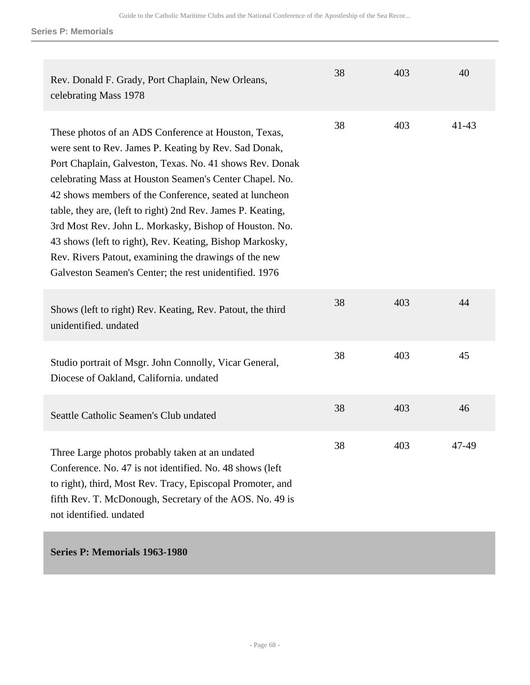**Series P: Memorials**

| Rev. Donald F. Grady, Port Chaplain, New Orleans,<br>celebrating Mass 1978                                                                                                                                                                                                                                                                                                                                                                                                                                                                                                                             | 38 | 403 | 40        |
|--------------------------------------------------------------------------------------------------------------------------------------------------------------------------------------------------------------------------------------------------------------------------------------------------------------------------------------------------------------------------------------------------------------------------------------------------------------------------------------------------------------------------------------------------------------------------------------------------------|----|-----|-----------|
| These photos of an ADS Conference at Houston, Texas,<br>were sent to Rev. James P. Keating by Rev. Sad Donak,<br>Port Chaplain, Galveston, Texas. No. 41 shows Rev. Donak<br>celebrating Mass at Houston Seamen's Center Chapel. No.<br>42 shows members of the Conference, seated at luncheon<br>table, they are, (left to right) 2nd Rev. James P. Keating,<br>3rd Most Rev. John L. Morkasky, Bishop of Houston. No.<br>43 shows (left to right), Rev. Keating, Bishop Markosky,<br>Rev. Rivers Patout, examining the drawings of the new<br>Galveston Seamen's Center; the rest unidentified. 1976 | 38 | 403 | $41 - 43$ |
| Shows (left to right) Rev. Keating, Rev. Patout, the third<br>unidentified. undated                                                                                                                                                                                                                                                                                                                                                                                                                                                                                                                    | 38 | 403 | 44        |
| Studio portrait of Msgr. John Connolly, Vicar General,<br>Diocese of Oakland, California. undated                                                                                                                                                                                                                                                                                                                                                                                                                                                                                                      | 38 | 403 | 45        |
| Seattle Catholic Seamen's Club undated                                                                                                                                                                                                                                                                                                                                                                                                                                                                                                                                                                 | 38 | 403 | 46        |
| Three Large photos probably taken at an undated<br>Conference. No. 47 is not identified. No. 48 shows (left)<br>to right), third, Most Rev. Tracy, Episcopal Promoter, and<br>fifth Rev. T. McDonough, Secretary of the AOS. No. 49 is<br>not identified. undated                                                                                                                                                                                                                                                                                                                                      | 38 | 403 | 47-49     |

# **Series P: Memorials 1963-1980**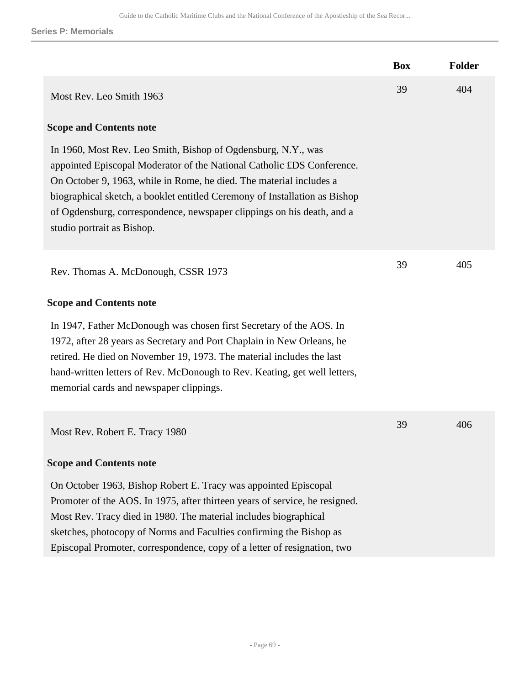**Series P: Memorials**

|                                                                                                                                                                                                                                                                                                                                                                                                      | <b>Box</b> | <b>Folder</b> |
|------------------------------------------------------------------------------------------------------------------------------------------------------------------------------------------------------------------------------------------------------------------------------------------------------------------------------------------------------------------------------------------------------|------------|---------------|
| Most Rev. Leo Smith 1963                                                                                                                                                                                                                                                                                                                                                                             | 39         | 404           |
| <b>Scope and Contents note</b>                                                                                                                                                                                                                                                                                                                                                                       |            |               |
| In 1960, Most Rev. Leo Smith, Bishop of Ogdensburg, N.Y., was<br>appointed Episcopal Moderator of the National Catholic £DS Conference.<br>On October 9, 1963, while in Rome, he died. The material includes a<br>biographical sketch, a booklet entitled Ceremony of Installation as Bishop<br>of Ogdensburg, correspondence, newspaper clippings on his death, and a<br>studio portrait as Bishop. |            |               |
| Rev. Thomas A. McDonough, CSSR 1973                                                                                                                                                                                                                                                                                                                                                                  | 39         | 405           |
| <b>Scope and Contents note</b>                                                                                                                                                                                                                                                                                                                                                                       |            |               |
| In 1947, Father McDonough was chosen first Secretary of the AOS. In<br>1972, after 28 years as Secretary and Port Chaplain in New Orleans, he<br>retired. He died on November 19, 1973. The material includes the last<br>hand-written letters of Rev. McDonough to Rev. Keating, get well letters,<br>memorial cards and newspaper clippings.                                                       |            |               |
| Most Rev. Robert E. Tracy 1980                                                                                                                                                                                                                                                                                                                                                                       | 39         | 406           |
| <b>Scope and Contents note</b>                                                                                                                                                                                                                                                                                                                                                                       |            |               |
| On October 1963, Bishop Robert E. Tracy was appointed Episcopal<br>Promoter of the AOS. In 1975, after thirteen years of service, he resigned.<br>Most Rev. Tracy died in 1980. The material includes biographical<br>sketches, photocopy of Norms and Faculties confirming the Bishop as<br>Episcopal Promoter, correspondence, copy of a letter of resignation, two                                |            |               |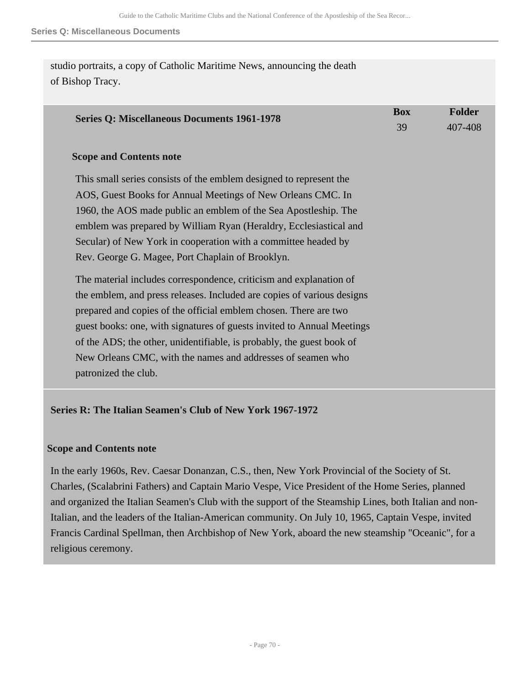studio portraits, a copy of Catholic Maritime News, announcing the death of Bishop Tracy.

| <b>Series Q: Miscellaneous Documents 1961-1978</b>                     | <b>Box</b><br>39 | <b>Folder</b><br>407-408 |
|------------------------------------------------------------------------|------------------|--------------------------|
| <b>Scope and Contents note</b>                                         |                  |                          |
| This small series consists of the emblem designed to represent the     |                  |                          |
| AOS, Guest Books for Annual Meetings of New Orleans CMC. In            |                  |                          |
| 1960, the AOS made public an emblem of the Sea Apostleship. The        |                  |                          |
| emblem was prepared by William Ryan (Heraldry, Ecclesiastical and      |                  |                          |
| Secular) of New York in cooperation with a committee headed by         |                  |                          |
| Rev. George G. Magee, Port Chaplain of Brooklyn.                       |                  |                          |
| The material includes correspondence, criticism and explanation of     |                  |                          |
| the emblem, and press releases. Included are copies of various designs |                  |                          |
| prepared and copies of the official emblem chosen. There are two       |                  |                          |
| guest books: one, with signatures of guests invited to Annual Meetings |                  |                          |
| of the ADS; the other, unidentifiable, is probably, the guest book of  |                  |                          |
| New Orleans CMC, with the names and addresses of seamen who            |                  |                          |
| patronized the club.                                                   |                  |                          |

# **Series R: The Italian Seamen's Club of New York 1967-1972**

#### **Scope and Contents note**

In the early 1960s, Rev. Caesar Donanzan, C.S., then, New York Provincial of the Society of St. Charles, (Scalabrini Fathers) and Captain Mario Vespe, Vice President of the Home Series, planned and organized the Italian Seamen's Club with the support of the Steamship Lines, both Italian and non-Italian, and the leaders of the Italian-American community. On July 10, 1965, Captain Vespe, invited Francis Cardinal Spellman, then Archbishop of New York, aboard the new steamship "Oceanic", for a religious ceremony.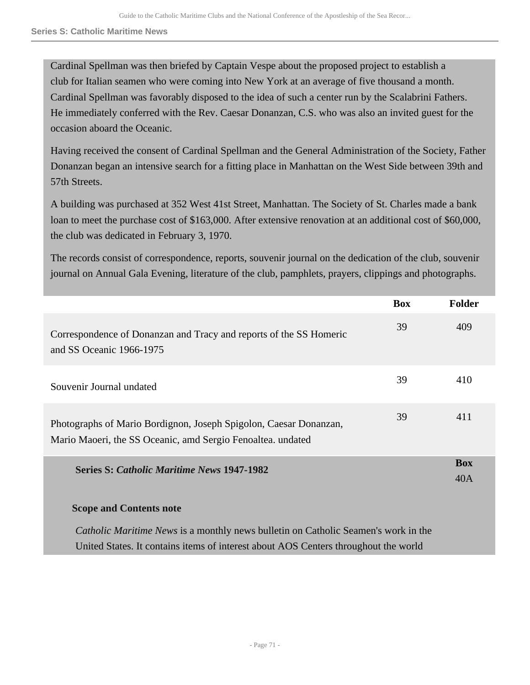#### **Series S: Catholic Maritime News**

Cardinal Spellman was then briefed by Captain Vespe about the proposed project to establish a club for Italian seamen who were coming into New York at an average of five thousand a month. Cardinal Spellman was favorably disposed to the idea of such a center run by the Scalabrini Fathers. He immediately conferred with the Rev. Caesar Donanzan, C.S. who was also an invited guest for the occasion aboard the Oceanic.

Having received the consent of Cardinal Spellman and the General Administration of the Society, Father Donanzan began an intensive search for a fitting place in Manhattan on the West Side between 39th and 57th Streets.

A building was purchased at 352 West 41st Street, Manhattan. The Society of St. Charles made a bank loan to meet the purchase cost of \$163,000. After extensive renovation at an additional cost of \$60,000, the club was dedicated in February 3, 1970.

The records consist of correspondence, reports, souvenir journal on the dedication of the club, souvenir journal on Annual Gala Evening, literature of the club, pamphlets, prayers, clippings and photographs.

|                                                                                                                                                                                  | <b>Box</b> | <b>Folder</b>     |
|----------------------------------------------------------------------------------------------------------------------------------------------------------------------------------|------------|-------------------|
| Correspondence of Donanzan and Tracy and reports of the SS Homeric<br>and SS Oceanic 1966-1975                                                                                   | 39         | 409               |
| Souvenir Journal undated                                                                                                                                                         | 39         | 410               |
| Photographs of Mario Bordignon, Joseph Spigolon, Caesar Donanzan,<br>Mario Maoeri, the SS Oceanic, amd Sergio Fenoaltea. undated                                                 | 39         | 411               |
| <b>Series S: Catholic Maritime News 1947-1982</b>                                                                                                                                |            | <b>Box</b><br>40A |
| <b>Scope and Contents note</b>                                                                                                                                                   |            |                   |
| <i>Catholic Maritime News</i> is a monthly news bulletin on Catholic Seamen's work in the<br>United States. It contains items of interest about AOS Centers throughout the world |            |                   |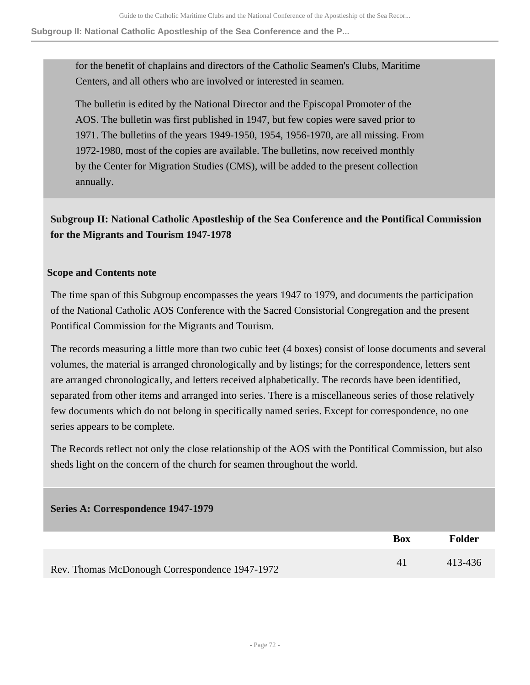#### **Subgroup II: National Catholic Apostleship of the Sea Conference and the P...**

for the benefit of chaplains and directors of the Catholic Seamen's Clubs, Maritime Centers, and all others who are involved or interested in seamen.

The bulletin is edited by the National Director and the Episcopal Promoter of the AOS. The bulletin was first published in 1947, but few copies were saved prior to 1971. The bulletins of the years 1949-1950, 1954, 1956-1970, are all missing. From 1972-1980, most of the copies are available. The bulletins, now received monthly by the Center for Migration Studies (CMS), will be added to the present collection annually.

# **Subgroup II: National Catholic Apostleship of the Sea Conference and the Pontifical Commission for the Migrants and Tourism 1947-1978**

# **Scope and Contents note**

The time span of this Subgroup encompasses the years 1947 to 1979, and documents the participation of the National Catholic AOS Conference with the Sacred Consistorial Congregation and the present Pontifical Commission for the Migrants and Tourism.

The records measuring a little more than two cubic feet (4 boxes) consist of loose documents and several volumes, the material is arranged chronologically and by listings; for the correspondence, letters sent are arranged chronologically, and letters received alphabetically. The records have been identified, separated from other items and arranged into series. There is a miscellaneous series of those relatively few documents which do not belong in specifically named series. Except for correspondence, no one series appears to be complete.

The Records reflect not only the close relationship of the AOS with the Pontifical Commission, but also sheds light on the concern of the church for seamen throughout the world.

| Series A: Correspondence 1947-1979             |            |               |
|------------------------------------------------|------------|---------------|
|                                                | <b>Box</b> | <b>Folder</b> |
| Rev. Thomas McDonough Correspondence 1947-1972 | 41         | 413-436       |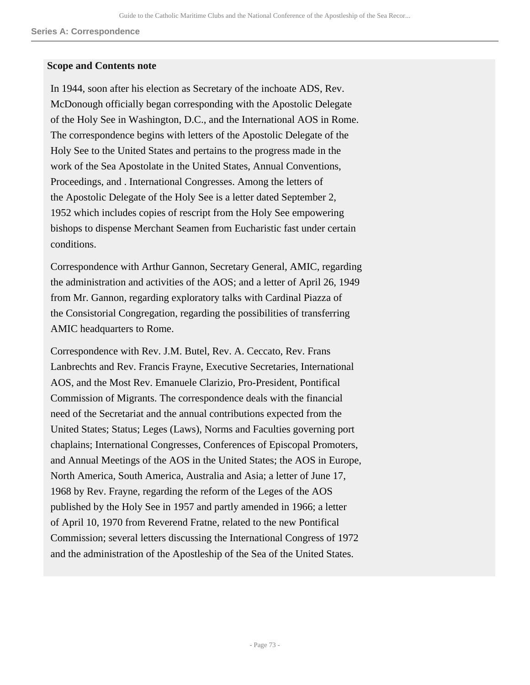#### **Series A: Correspondence**

### **Scope and Contents note**

In 1944, soon after his election as Secretary of the inchoate ADS, Rev. McDonough officially began corresponding with the Apostolic Delegate of the Holy See in Washington, D.C., and the International AOS in Rome. The correspondence begins with letters of the Apostolic Delegate of the Holy See to the United States and pertains to the progress made in the work of the Sea Apostolate in the United States, Annual Conventions, Proceedings, and . International Congresses. Among the letters of the Apostolic Delegate of the Holy See is a letter dated September 2, 1952 which includes copies of rescript from the Holy See empowering bishops to dispense Merchant Seamen from Eucharistic fast under certain conditions.

Correspondence with Arthur Gannon, Secretary General, AMIC, regarding the administration and activities of the AOS; and a letter of April 26, 1949 from Mr. Gannon, regarding exploratory talks with Cardinal Piazza of the Consistorial Congregation, regarding the possibilities of transferring AMIC headquarters to Rome.

Correspondence with Rev. J.M. Butel, Rev. A. Ceccato, Rev. Frans Lanbrechts and Rev. Francis Frayne, Executive Secretaries, International AOS, and the Most Rev. Emanuele Clarizio, Pro-President, Pontifical Commission of Migrants. The correspondence deals with the financial need of the Secretariat and the annual contributions expected from the United States; Status; Leges (Laws), Norms and Faculties governing port chaplains; International Congresses, Conferences of Episcopal Promoters, and Annual Meetings of the AOS in the United States; the AOS in Europe, North America, South America, Australia and Asia; a letter of June 17, 1968 by Rev. Frayne, regarding the reform of the Leges of the AOS published by the Holy See in 1957 and partly amended in 1966; a letter of April 10, 1970 from Reverend Fratne, related to the new Pontifical Commission; several letters discussing the International Congress of 1972 and the administration of the Apostleship of the Sea of the United States.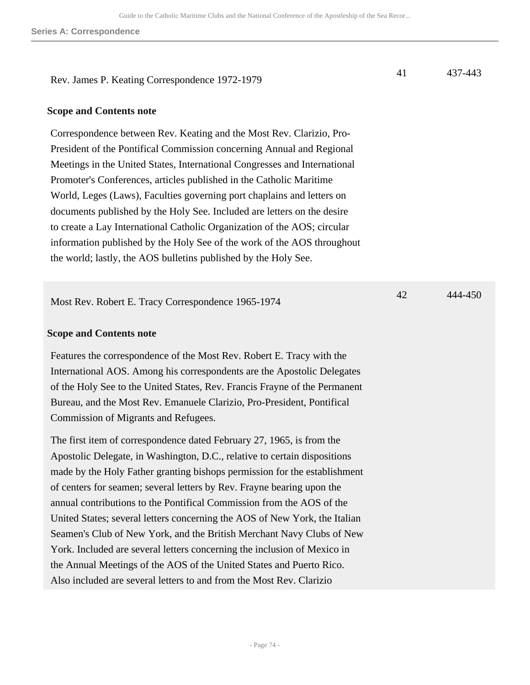Rev. James P. Keating Correspondence 1972-1979

### **Scope and Contents note**

Correspondence between Rev. Keating and the Most Rev. Clarizio, Pro-President of the Pontifical Commission concerning Annual and Regional Meetings in the United States, International Congresses and International Promoter's Conferences, articles published in the Catholic Maritime World, Leges (Laws), Faculties governing port chaplains and letters on documents published by the Holy See. Included are letters on the desire to create a Lay International Catholic Organization of the AOS; circular information published by the Holy See of the work of the AOS throughout the world; lastly, the AOS bulletins published by the Holy See.

Most Rev. Robert E. Tracy Correspondence 1965-1974

#### **Scope and Contents note**

Features the correspondence of the Most Rev. Robert E. Tracy with the International AOS. Among his correspondents are the Apostolic Delegates of the Holy See to the United States, Rev. Francis Frayne of the Permanent Bureau, and the Most Rev. Emanuele Clarizio, Pro-President, Pontifical Commission of Migrants and Refugees.

The first item of correspondence dated February 27, 1965, is from the Apostolic Delegate, in Washington, D.C., relative to certain dispositions made by the Holy Father granting bishops permission for the establishment of centers for seamen; several letters by Rev. Frayne bearing upon the annual contributions to the Pontifical Commission from the AOS of the United States; several letters concerning the AOS of New York, the Italian Seamen's Club of New York, and the British Merchant Navy Clubs of New York. Included are several letters concerning the inclusion of Mexico in the Annual Meetings of the AOS of the United States and Puerto Rico. Also included are several letters to and from the Most Rev. Clarizio

41 437-443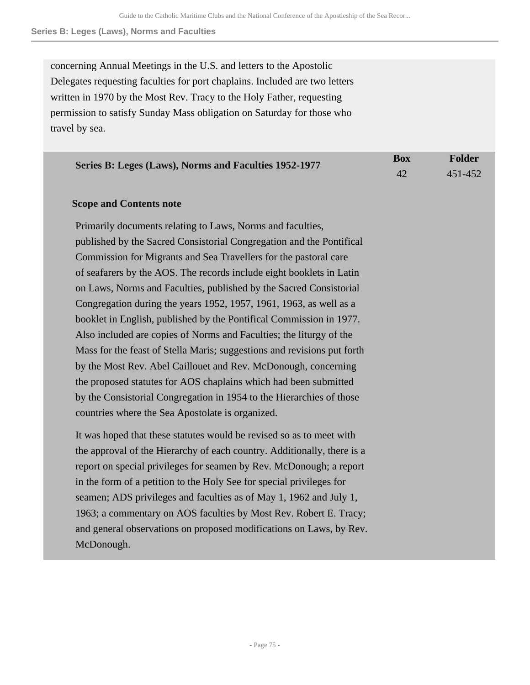**Series B: Leges (Laws), Norms and Faculties**

concerning Annual Meetings in the U.S. and letters to the Apostolic Delegates requesting faculties for port chaplains. Included are two letters written in 1970 by the Most Rev. Tracy to the Holy Father, requesting permission to satisfy Sunday Mass obligation on Saturday for those who travel by sea.

| Series B: Leges (Laws), Norms and Faculties 1952-1977 | Box | Folder  |
|-------------------------------------------------------|-----|---------|
|                                                       |     | 451-452 |

## **Scope and Contents note**

Primarily documents relating to Laws, Norms and faculties, published by the Sacred Consistorial Congregation and the Pontifical Commission for Migrants and Sea Travellers for the pastoral care of seafarers by the AOS. The records include eight booklets in Latin on Laws, Norms and Faculties, published by the Sacred Consistorial Congregation during the years 1952, 1957, 1961, 1963, as well as a booklet in English, published by the Pontifical Commission in 1977. Also included are copies of Norms and Faculties; the liturgy of the Mass for the feast of Stella Maris; suggestions and revisions put forth by the Most Rev. Abel Caillouet and Rev. McDonough, concerning the proposed statutes for AOS chaplains which had been submitted by the Consistorial Congregation in 1954 to the Hierarchies of those countries where the Sea Apostolate is organized.

It was hoped that these statutes would be revised so as to meet with the approval of the Hierarchy of each country. Additionally, there is a report on special privileges for seamen by Rev. McDonough; a report in the form of a petition to the Holy See for special privileges for seamen; ADS privileges and faculties as of May 1, 1962 and July 1, 1963; a commentary on AOS faculties by Most Rev. Robert E. Tracy; and general observations on proposed modifications on Laws, by Rev. McDonough.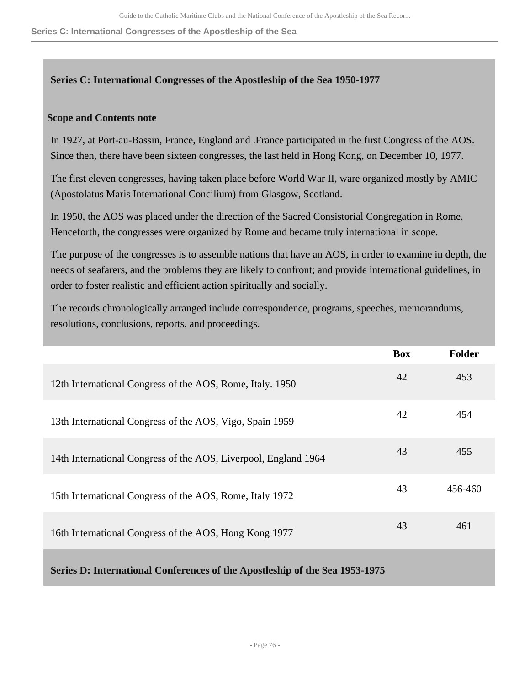**Series C: International Congresses of the Apostleship of the Sea**

# **Series C: International Congresses of the Apostleship of the Sea 1950-1977**

# **Scope and Contents note**

In 1927, at Port-au-Bassin, France, England and .France participated in the first Congress of the AOS. Since then, there have been sixteen congresses, the last held in Hong Kong, on December 10, 1977.

The first eleven congresses, having taken place before World War II, ware organized mostly by AMIC (Apostolatus Maris International Concilium) from Glasgow, Scotland.

In 1950, the AOS was placed under the direction of the Sacred Consistorial Congregation in Rome. Henceforth, the congresses were organized by Rome and became truly international in scope.

The purpose of the congresses is to assemble nations that have an AOS, in order to examine in depth, the needs of seafarers, and the problems they are likely to confront; and provide international guidelines, in order to foster realistic and efficient action spiritually and socially.

The records chronologically arranged include correspondence, programs, speeches, memorandums, resolutions, conclusions, reports, and proceedings.

|                                                                             | <b>Box</b> | <b>Folder</b> |
|-----------------------------------------------------------------------------|------------|---------------|
| 12th International Congress of the AOS, Rome, Italy. 1950                   | 42         | 453           |
| 13th International Congress of the AOS, Vigo, Spain 1959                    | 42         | 454           |
| 14th International Congress of the AOS, Liverpool, England 1964             | 43         | 455           |
| 15th International Congress of the AOS, Rome, Italy 1972                    | 43         | 456-460       |
| 16th International Congress of the AOS, Hong Kong 1977                      | 43         | 461           |
| Series D: International Conferences of the Apostleship of the Sea 1953-1975 |            |               |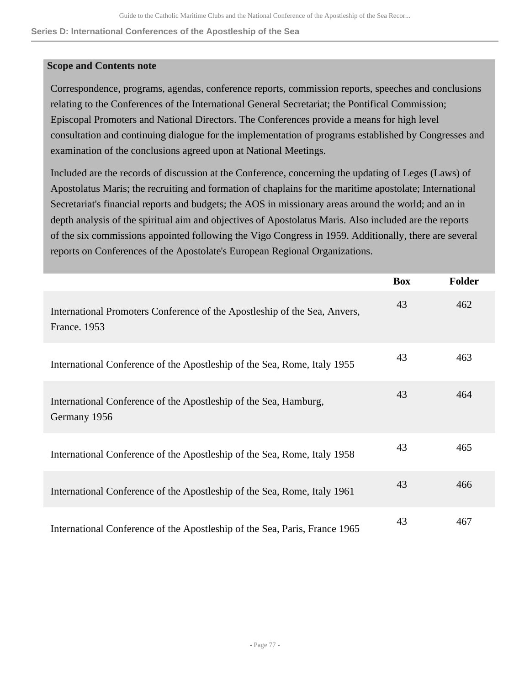**Series D: International Conferences of the Apostleship of the Sea**

## **Scope and Contents note**

Correspondence, programs, agendas, conference reports, commission reports, speeches and conclusions relating to the Conferences of the International General Secretariat; the Pontifical Commission; Episcopal Promoters and National Directors. The Conferences provide a means for high level consultation and continuing dialogue for the implementation of programs established by Congresses and examination of the conclusions agreed upon at National Meetings.

Included are the records of discussion at the Conference, concerning the updating of Leges (Laws) of Apostolatus Maris; the recruiting and formation of chaplains for the maritime apostolate; International Secretariat's financial reports and budgets; the AOS in missionary areas around the world; and an in depth analysis of the spiritual aim and objectives of Apostolatus Maris. Also included are the reports of the six commissions appointed following the Vigo Congress in 1959. Additionally, there are several reports on Conferences of the Apostolate's European Regional Organizations.

|                                                                                           | <b>Box</b> | <b>Folder</b> |
|-------------------------------------------------------------------------------------------|------------|---------------|
| International Promoters Conference of the Apostleship of the Sea, Anvers,<br>France. 1953 | 43         | 462           |
| International Conference of the Apostleship of the Sea, Rome, Italy 1955                  | 43         | 463           |
| International Conference of the Apostleship of the Sea, Hamburg,<br>Germany 1956          | 43         | 464           |
| International Conference of the Apostleship of the Sea, Rome, Italy 1958                  | 43         | 465           |
| International Conference of the Apostleship of the Sea, Rome, Italy 1961                  | 43         | 466           |
| International Conference of the Apostleship of the Sea, Paris, France 1965                | 43         | 467           |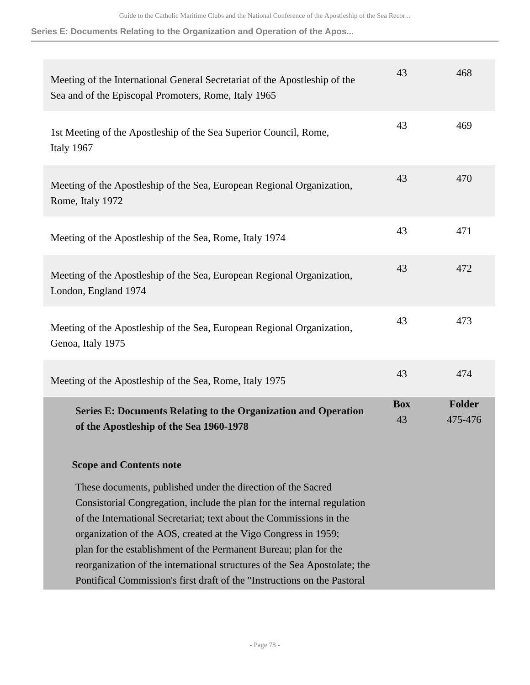**Series E: Documents Relating to the Organization and Operation of the Apos...**

| Meeting of the International General Secretariat of the Apostleship of the<br>Sea and of the Episcopal Promoters, Rome, Italy 1965                                                                                                                                                                                                                                                                                                                                                                            | 43               | 468                      |
|---------------------------------------------------------------------------------------------------------------------------------------------------------------------------------------------------------------------------------------------------------------------------------------------------------------------------------------------------------------------------------------------------------------------------------------------------------------------------------------------------------------|------------------|--------------------------|
| 1st Meeting of the Apostleship of the Sea Superior Council, Rome,<br>Italy 1967                                                                                                                                                                                                                                                                                                                                                                                                                               | 43               | 469                      |
| Meeting of the Apostleship of the Sea, European Regional Organization,<br>Rome, Italy 1972                                                                                                                                                                                                                                                                                                                                                                                                                    | 43               | 470                      |
| Meeting of the Apostleship of the Sea, Rome, Italy 1974                                                                                                                                                                                                                                                                                                                                                                                                                                                       | 43               | 471                      |
| Meeting of the Apostleship of the Sea, European Regional Organization,<br>London, England 1974                                                                                                                                                                                                                                                                                                                                                                                                                | 43               | 472                      |
| Meeting of the Apostleship of the Sea, European Regional Organization,<br>Genoa, Italy 1975                                                                                                                                                                                                                                                                                                                                                                                                                   | 43               | 473                      |
| Meeting of the Apostleship of the Sea, Rome, Italy 1975                                                                                                                                                                                                                                                                                                                                                                                                                                                       | 43               | 474                      |
| <b>Series E: Documents Relating to the Organization and Operation</b><br>of the Apostleship of the Sea 1960-1978                                                                                                                                                                                                                                                                                                                                                                                              | <b>Box</b><br>43 | <b>Folder</b><br>475-476 |
| <b>Scope and Contents note</b>                                                                                                                                                                                                                                                                                                                                                                                                                                                                                |                  |                          |
| These documents, published under the direction of the Sacred<br>Consistorial Congregation, include the plan for the internal regulation<br>of the International Secretariat; text about the Commissions in the<br>organization of the AOS, created at the Vigo Congress in 1959;<br>plan for the establishment of the Permanent Bureau; plan for the<br>reorganization of the international structures of the Sea Apostolate; the<br>Pontifical Commission's first draft of the "Instructions on the Pastoral |                  |                          |